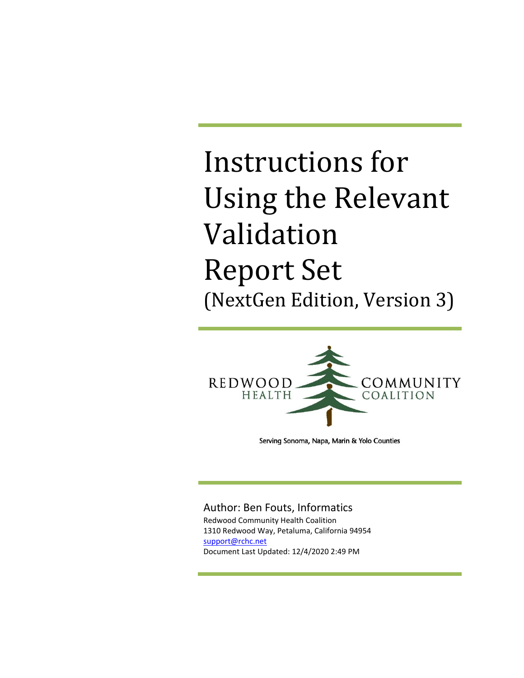

Serving Sonoma, Napa, Marin & Yolo Counties

#### Author: Ben Fouts, Informatics

Redwood Community Health Coalition 1310 Redwood Way, Petaluma, California 94954 [support@rchc.net](mailto:support@rchc.net) Document Last Updated: 12/4/2020 2:49 PM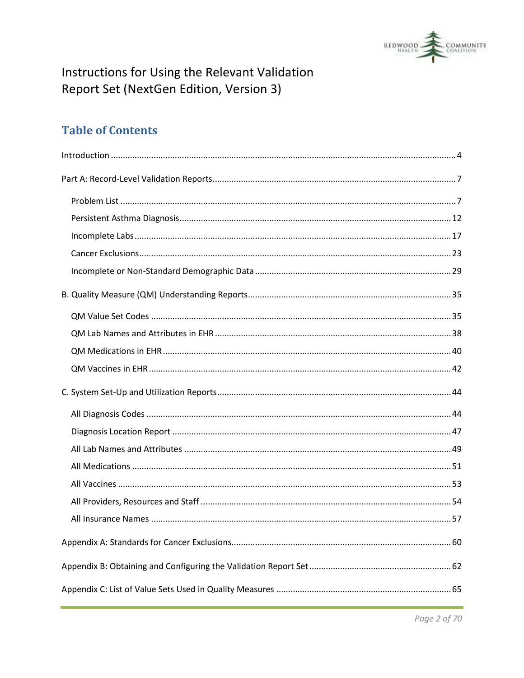

### **Table of Contents**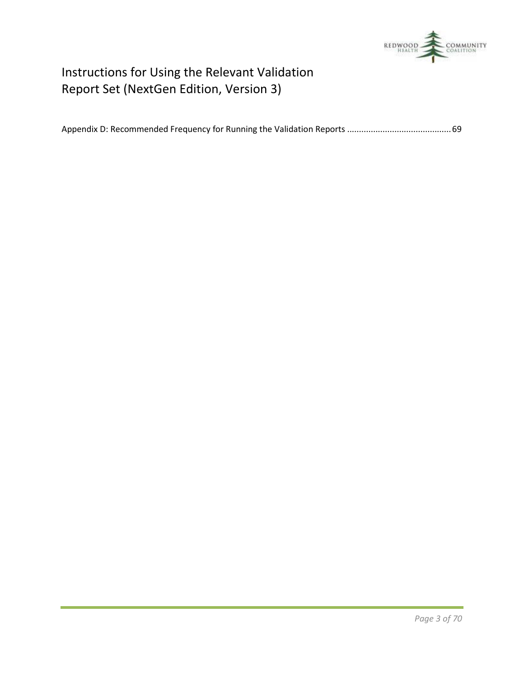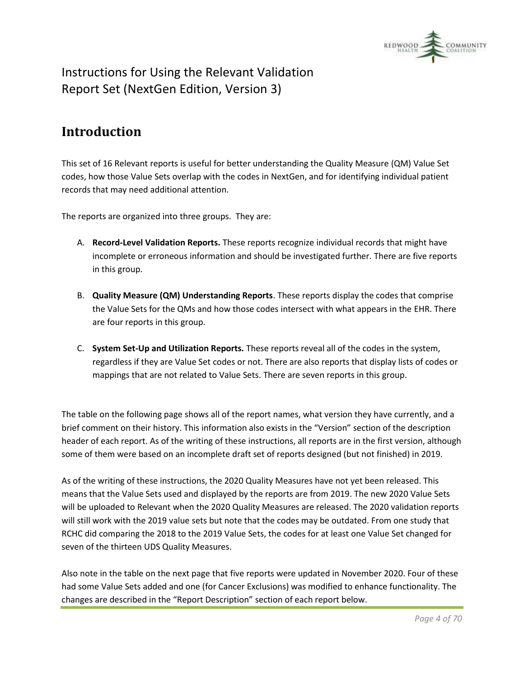

### <span id="page-3-0"></span>**Introduction**

This set of 16 Relevant reports is useful for better understanding the Quality Measure (QM) Value Set codes, how those Value Sets overlap with the codes in NextGen, and for identifying individual patient records that may need additional attention.

The reports are organized into three groups. They are:

- A. **Record-Level Validation Reports.** These reports recognize individual records that might have incomplete or erroneous information and should be investigated further. There are five reports in this group.
- B. **Quality Measure (QM) Understanding Reports**. These reports display the codes that comprise the Value Sets for the QMs and how those codes intersect with what appears in the EHR. There are four reports in this group.
- C. **System Set-Up and Utilization Reports.** These reports reveal all of the codes in the system, regardless if they are Value Set codes or not. There are also reports that display lists of codes or mappings that are not related to Value Sets. There are seven reports in this group.

The table on the following page shows all of the report names, what version they have currently, and a brief comment on their history. This information also exists in the "Version" section of the description header of each report. As of the writing of these instructions, all reports are in the first version, although some of them were based on an incomplete draft set of reports designed (but not finished) in 2019.

As of the writing of these instructions, the 2020 Quality Measures have not yet been released. This means that the Value Sets used and displayed by the reports are from 2019. The new 2020 Value Sets will be uploaded to Relevant when the 2020 Quality Measures are released. The 2020 validation reports will still work with the 2019 value sets but note that the codes may be outdated. From one study that RCHC did comparing the 2018 to the 2019 Value Sets, the codes for at least one Value Set changed for seven of the thirteen UDS Quality Measures.

Also note in the table on the next page that five reports were updated in November 2020. Four of these had some Value Sets added and one (for Cancer Exclusions) was modified to enhance functionality. The changes are described in the "Report Description" section of each report below.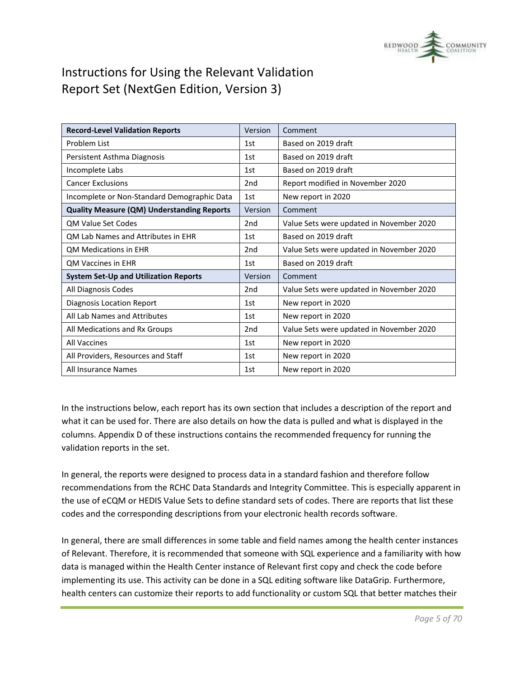

| <b>Record-Level Validation Reports</b>            | Version         | Comment                                  |
|---------------------------------------------------|-----------------|------------------------------------------|
| Problem List                                      | 1st             | Based on 2019 draft                      |
| Persistent Asthma Diagnosis                       | 1st             | Based on 2019 draft                      |
| Incomplete Labs                                   | 1st             | Based on 2019 draft                      |
| <b>Cancer Exclusions</b>                          | 2 <sub>nd</sub> | Report modified in November 2020         |
| Incomplete or Non-Standard Demographic Data       | 1st             | New report in 2020                       |
| <b>Quality Measure (QM) Understanding Reports</b> | Version         | Comment                                  |
| <b>OM Value Set Codes</b>                         | 2nd             | Value Sets were updated in November 2020 |
| QM Lab Names and Attributes in EHR                | 1st             | Based on 2019 draft                      |
| <b>QM Medications in EHR</b>                      | 2 <sub>nd</sub> | Value Sets were updated in November 2020 |
| <b>OM Vaccines in EHR</b>                         | 1st             | Based on 2019 draft                      |
| <b>System Set-Up and Utilization Reports</b>      | Version         | Comment                                  |
| All Diagnosis Codes                               | 2 <sub>nd</sub> | Value Sets were updated in November 2020 |
| Diagnosis Location Report                         | 1st             | New report in 2020                       |
| All Lab Names and Attributes                      | 1st             | New report in 2020                       |
| All Medications and Rx Groups                     | 2 <sub>nd</sub> | Value Sets were updated in November 2020 |
| <b>All Vaccines</b>                               | 1st             | New report in 2020                       |
| All Providers, Resources and Staff                | 1st             | New report in 2020                       |
| All Insurance Names                               | 1st             | New report in 2020                       |

In the instructions below, each report has its own section that includes a description of the report and what it can be used for. There are also details on how the data is pulled and what is displayed in the columns. Appendix D of these instructions contains the recommended frequency for running the validation reports in the set.

In general, the reports were designed to process data in a standard fashion and therefore follow recommendations from the RCHC Data Standards and Integrity Committee. This is especially apparent in the use of eCQM or HEDIS Value Sets to define standard sets of codes. There are reports that list these codes and the corresponding descriptions from your electronic health records software.

In general, there are small differences in some table and field names among the health center instances of Relevant. Therefore, it is recommended that someone with SQL experience and a familiarity with how data is managed within the Health Center instance of Relevant first copy and check the code before implementing its use. This activity can be done in a SQL editing software like DataGrip. Furthermore, health centers can customize their reports to add functionality or custom SQL that better matches their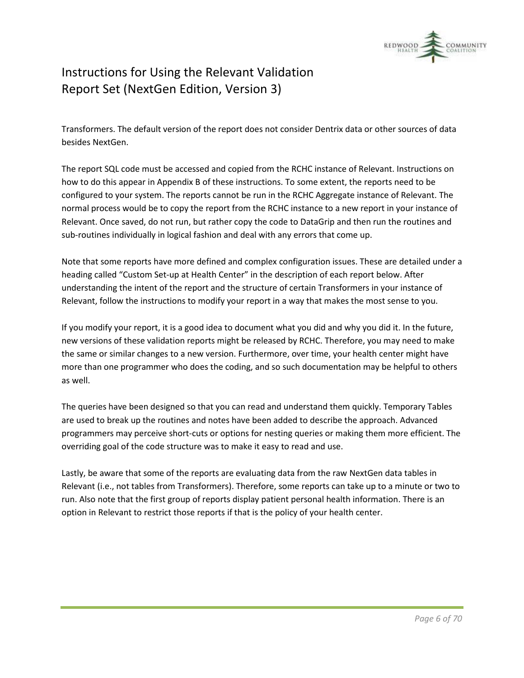

Transformers. The default version of the report does not consider Dentrix data or other sources of data besides NextGen.

The report SQL code must be accessed and copied from the RCHC instance of Relevant. Instructions on how to do this appear in Appendix B of these instructions. To some extent, the reports need to be configured to your system. The reports cannot be run in the RCHC Aggregate instance of Relevant. The normal process would be to copy the report from the RCHC instance to a new report in your instance of Relevant. Once saved, do not run, but rather copy the code to DataGrip and then run the routines and sub-routines individually in logical fashion and deal with any errors that come up.

Note that some reports have more defined and complex configuration issues. These are detailed under a heading called "Custom Set-up at Health Center" in the description of each report below. After understanding the intent of the report and the structure of certain Transformers in your instance of Relevant, follow the instructions to modify your report in a way that makes the most sense to you.

If you modify your report, it is a good idea to document what you did and why you did it. In the future, new versions of these validation reports might be released by RCHC. Therefore, you may need to make the same or similar changes to a new version. Furthermore, over time, your health center might have more than one programmer who does the coding, and so such documentation may be helpful to others as well.

The queries have been designed so that you can read and understand them quickly. Temporary Tables are used to break up the routines and notes have been added to describe the approach. Advanced programmers may perceive short-cuts or options for nesting queries or making them more efficient. The overriding goal of the code structure was to make it easy to read and use.

Lastly, be aware that some of the reports are evaluating data from the raw NextGen data tables in Relevant (i.e., not tables from Transformers). Therefore, some reports can take up to a minute or two to run. Also note that the first group of reports display patient personal health information. There is an option in Relevant to restrict those reports if that is the policy of your health center.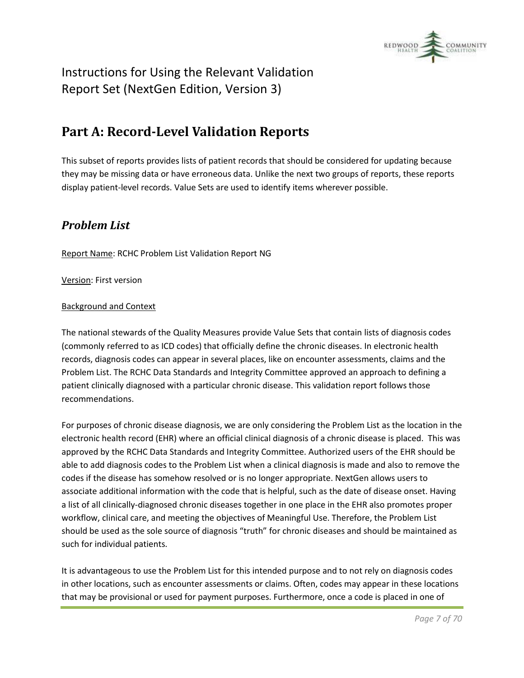

### <span id="page-6-0"></span>**Part A: Record-Level Validation Reports**

This subset of reports provides lists of patient records that should be considered for updating because they may be missing data or have erroneous data. Unlike the next two groups of reports, these reports display patient-level records. Value Sets are used to identify items wherever possible.

### <span id="page-6-1"></span>*Problem List*

Report Name: RCHC Problem List Validation Report NG

Version: First version

#### Background and Context

The national stewards of the Quality Measures provide Value Sets that contain lists of diagnosis codes (commonly referred to as ICD codes) that officially define the chronic diseases. In electronic health records, diagnosis codes can appear in several places, like on encounter assessments, claims and the Problem List. The RCHC Data Standards and Integrity Committee approved an approach to defining a patient clinically diagnosed with a particular chronic disease. This validation report follows those recommendations.

For purposes of chronic disease diagnosis, we are only considering the Problem List as the location in the electronic health record (EHR) where an official clinical diagnosis of a chronic disease is placed. This was approved by the RCHC Data Standards and Integrity Committee. Authorized users of the EHR should be able to add diagnosis codes to the Problem List when a clinical diagnosis is made and also to remove the codes if the disease has somehow resolved or is no longer appropriate. NextGen allows users to associate additional information with the code that is helpful, such as the date of disease onset. Having a list of all clinically-diagnosed chronic diseases together in one place in the EHR also promotes proper workflow, clinical care, and meeting the objectives of Meaningful Use. Therefore, the Problem List should be used as the sole source of diagnosis "truth" for chronic diseases and should be maintained as such for individual patients.

It is advantageous to use the Problem List for this intended purpose and to not rely on diagnosis codes in other locations, such as encounter assessments or claims. Often, codes may appear in these locations that may be provisional or used for payment purposes. Furthermore, once a code is placed in one of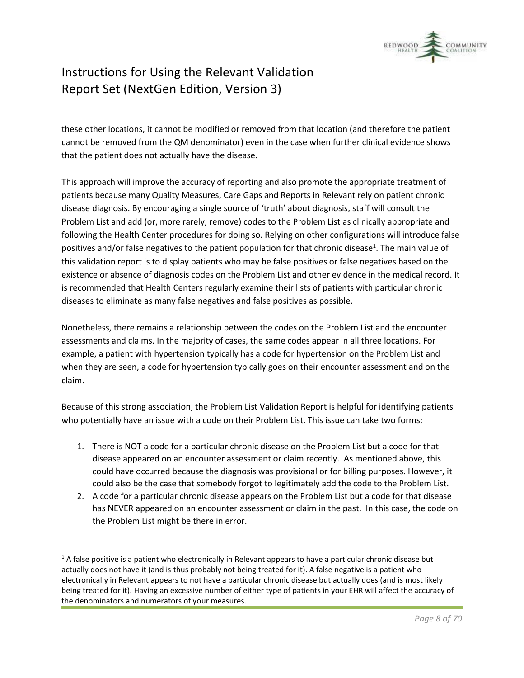

these other locations, it cannot be modified or removed from that location (and therefore the patient cannot be removed from the QM denominator) even in the case when further clinical evidence shows that the patient does not actually have the disease.

This approach will improve the accuracy of reporting and also promote the appropriate treatment of patients because many Quality Measures, Care Gaps and Reports in Relevant rely on patient chronic disease diagnosis. By encouraging a single source of 'truth' about diagnosis, staff will consult the Problem List and add (or, more rarely, remove) codes to the Problem List as clinically appropriate and following the Health Center procedures for doing so. Relying on other configurations will introduce false positives and/or false negatives to the patient population for that chronic disease<sup>1</sup>. The main value of this validation report is to display patients who may be false positives or false negatives based on the existence or absence of diagnosis codes on the Problem List and other evidence in the medical record. It is recommended that Health Centers regularly examine their lists of patients with particular chronic diseases to eliminate as many false negatives and false positives as possible.

Nonetheless, there remains a relationship between the codes on the Problem List and the encounter assessments and claims. In the majority of cases, the same codes appear in all three locations. For example, a patient with hypertension typically has a code for hypertension on the Problem List and when they are seen, a code for hypertension typically goes on their encounter assessment and on the claim.

Because of this strong association, the Problem List Validation Report is helpful for identifying patients who potentially have an issue with a code on their Problem List. This issue can take two forms:

- 1. There is NOT a code for a particular chronic disease on the Problem List but a code for that disease appeared on an encounter assessment or claim recently. As mentioned above, this could have occurred because the diagnosis was provisional or for billing purposes. However, it could also be the case that somebody forgot to legitimately add the code to the Problem List.
- 2. A code for a particular chronic disease appears on the Problem List but a code for that disease has NEVER appeared on an encounter assessment or claim in the past. In this case, the code on the Problem List might be there in error.

 $1A$  false positive is a patient who electronically in Relevant appears to have a particular chronic disease but actually does not have it (and is thus probably not being treated for it). A false negative is a patient who electronically in Relevant appears to not have a particular chronic disease but actually does (and is most likely being treated for it). Having an excessive number of either type of patients in your EHR will affect the accuracy of the denominators and numerators of your measures.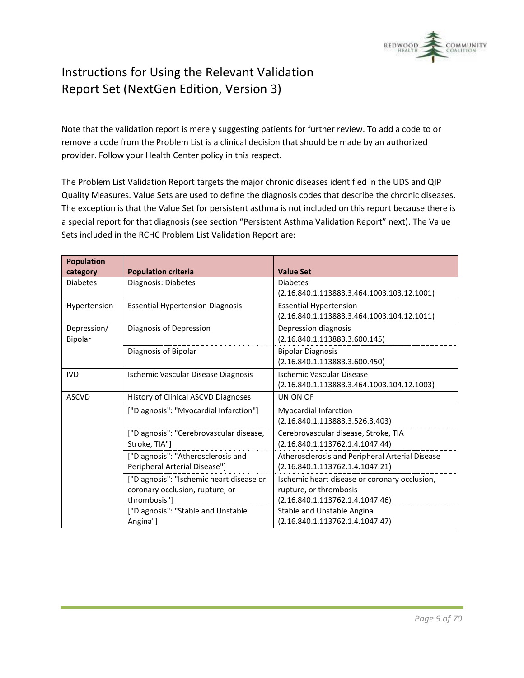

Note that the validation report is merely suggesting patients for further review. To add a code to or remove a code from the Problem List is a clinical decision that should be made by an authorized provider. Follow your Health Center policy in this respect.

The Problem List Validation Report targets the major chronic diseases identified in the UDS and QIP Quality Measures. Value Sets are used to define the diagnosis codes that describe the chronic diseases. The exception is that the Value Set for persistent asthma is not included on this report because there is a special report for that diagnosis (see section "Persistent Asthma Validation Report" next). The Value Sets included in the RCHC Problem List Validation Report are:

| <b>Population</b> |                                          |                                                 |
|-------------------|------------------------------------------|-------------------------------------------------|
| category          | <b>Population criteria</b>               | <b>Value Set</b>                                |
| <b>Diabetes</b>   | Diagnosis: Diabetes                      | <b>Diabetes</b>                                 |
|                   |                                          | $(2.16.840.1.113883.3.464.1003.103.12.1001)$    |
| Hypertension      | <b>Essential Hypertension Diagnosis</b>  | <b>Essential Hypertension</b>                   |
|                   |                                          | $(2.16.840.1.113883.3.464.1003.104.12.1011)$    |
| Depression/       | Diagnosis of Depression                  | Depression diagnosis                            |
| Bipolar           |                                          | (2.16.840.1.113883.3.600.145)                   |
|                   | Diagnosis of Bipolar                     | <b>Bipolar Diagnosis</b>                        |
|                   |                                          | (2.16.840.1.113883.3.600.450)                   |
| <b>IVD</b>        | Ischemic Vascular Disease Diagnosis      | <b>Ischemic Vascular Disease</b>                |
|                   |                                          | $(2.16.840.1.113883.3.464.1003.104.12.1003)$    |
| <b>ASCVD</b>      | History of Clinical ASCVD Diagnoses      | <b>UNION OF</b>                                 |
|                   | ["Diagnosis": "Myocardial Infarction"]   | Myocardial Infarction                           |
|                   |                                          | (2.16.840.1.113883.3.526.3.403)                 |
|                   | ["Diagnosis": "Cerebrovascular disease,  | Cerebrovascular disease, Stroke, TIA            |
|                   | Stroke, TIA"]                            | (2.16.840.1.113762.1.4.1047.44)                 |
|                   | ["Diagnosis": "Atherosclerosis and       | Atherosclerosis and Peripheral Arterial Disease |
|                   | Peripheral Arterial Disease"]            | (2.16.840.1.113762.1.4.1047.21)                 |
|                   | ["Diagnosis": "Ischemic heart disease or | Ischemic heart disease or coronary occlusion,   |
|                   | coronary occlusion, rupture, or          | rupture, or thrombosis                          |
|                   | thrombosis"]                             | (2.16.840.1.113762.1.4.1047.46)                 |
|                   | ["Diagnosis": "Stable and Unstable       | Stable and Unstable Angina                      |
|                   | Angina"]                                 | (2.16.840.1.113762.1.4.1047.47)                 |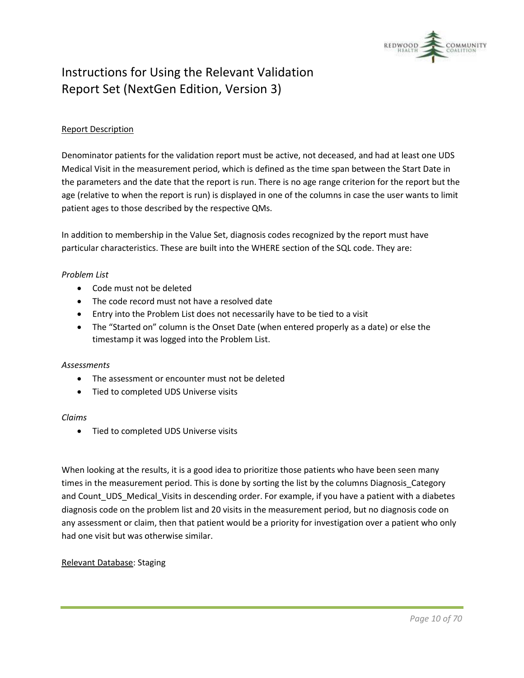

#### Report Description

Denominator patients for the validation report must be active, not deceased, and had at least one UDS Medical Visit in the measurement period, which is defined as the time span between the Start Date in the parameters and the date that the report is run. There is no age range criterion for the report but the age (relative to when the report is run) is displayed in one of the columns in case the user wants to limit patient ages to those described by the respective QMs.

In addition to membership in the Value Set, diagnosis codes recognized by the report must have particular characteristics. These are built into the WHERE section of the SQL code. They are:

#### *Problem List*

- Code must not be deleted
- The code record must not have a resolved date
- Entry into the Problem List does not necessarily have to be tied to a visit
- The "Started on" column is the Onset Date (when entered properly as a date) or else the timestamp it was logged into the Problem List.

#### *Assessments*

- The assessment or encounter must not be deleted
- Tied to completed UDS Universe visits

#### *Claims*

• Tied to completed UDS Universe visits

When looking at the results, it is a good idea to prioritize those patients who have been seen many times in the measurement period. This is done by sorting the list by the columns Diagnosis\_Category and Count\_UDS\_Medical\_Visits in descending order. For example, if you have a patient with a diabetes diagnosis code on the problem list and 20 visits in the measurement period, but no diagnosis code on any assessment or claim, then that patient would be a priority for investigation over a patient who only had one visit but was otherwise similar.

Relevant Database: Staging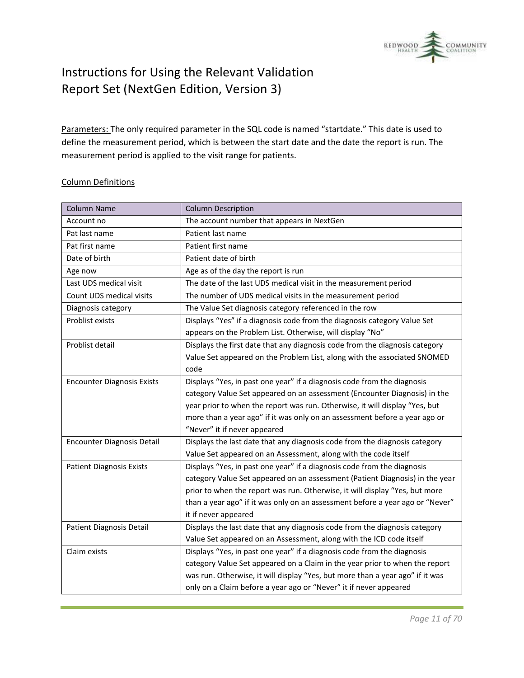

Parameters: The only required parameter in the SQL code is named "startdate." This date is used to define the measurement period, which is between the start date and the date the report is run. The measurement period is applied to the visit range for patients.

#### Column Definitions

| <b>Column Name</b>                | <b>Column Description</b>                                                     |
|-----------------------------------|-------------------------------------------------------------------------------|
| Account no                        | The account number that appears in NextGen                                    |
| Pat last name                     | Patient last name                                                             |
| Pat first name                    | Patient first name                                                            |
| Date of birth                     | Patient date of birth                                                         |
| Age now                           | Age as of the day the report is run                                           |
| Last UDS medical visit            | The date of the last UDS medical visit in the measurement period              |
| Count UDS medical visits          | The number of UDS medical visits in the measurement period                    |
| Diagnosis category                | The Value Set diagnosis category referenced in the row                        |
| Problist exists                   | Displays "Yes" if a diagnosis code from the diagnosis category Value Set      |
|                                   | appears on the Problem List. Otherwise, will display "No"                     |
| Problist detail                   | Displays the first date that any diagnosis code from the diagnosis category   |
|                                   | Value Set appeared on the Problem List, along with the associated SNOMED      |
|                                   | code                                                                          |
| <b>Encounter Diagnosis Exists</b> | Displays "Yes, in past one year" if a diagnosis code from the diagnosis       |
|                                   | category Value Set appeared on an assessment (Encounter Diagnosis) in the     |
|                                   | year prior to when the report was run. Otherwise, it will display "Yes, but   |
|                                   | more than a year ago" if it was only on an assessment before a year ago or    |
|                                   | "Never" it if never appeared                                                  |
| <b>Encounter Diagnosis Detail</b> | Displays the last date that any diagnosis code from the diagnosis category    |
|                                   | Value Set appeared on an Assessment, along with the code itself               |
| <b>Patient Diagnosis Exists</b>   | Displays "Yes, in past one year" if a diagnosis code from the diagnosis       |
|                                   | category Value Set appeared on an assessment (Patient Diagnosis) in the year  |
|                                   | prior to when the report was run. Otherwise, it will display "Yes, but more   |
|                                   | than a year ago" if it was only on an assessment before a year ago or "Never" |
|                                   | it if never appeared                                                          |
| Patient Diagnosis Detail          | Displays the last date that any diagnosis code from the diagnosis category    |
|                                   | Value Set appeared on an Assessment, along with the ICD code itself           |
| Claim exists                      | Displays "Yes, in past one year" if a diagnosis code from the diagnosis       |
|                                   | category Value Set appeared on a Claim in the year prior to when the report   |
|                                   | was run. Otherwise, it will display "Yes, but more than a year ago" if it was |
|                                   | only on a Claim before a year ago or "Never" it if never appeared             |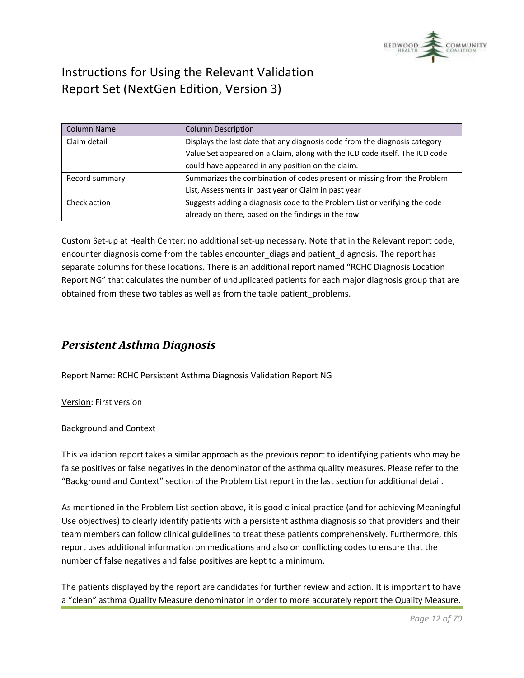

| <b>Column Name</b> | <b>Column Description</b>                                                   |
|--------------------|-----------------------------------------------------------------------------|
| Claim detail       | Displays the last date that any diagnosis code from the diagnosis category  |
|                    | Value Set appeared on a Claim, along with the ICD code itself. The ICD code |
|                    | could have appeared in any position on the claim.                           |
| Record summary     | Summarizes the combination of codes present or missing from the Problem     |
|                    | List, Assessments in past year or Claim in past year                        |
| Check action       | Suggests adding a diagnosis code to the Problem List or verifying the code  |
|                    | already on there, based on the findings in the row                          |

Custom Set-up at Health Center: no additional set-up necessary. Note that in the Relevant report code, encounter diagnosis come from the tables encounter\_diags and patient\_diagnosis. The report has separate columns for these locations. There is an additional report named "RCHC Diagnosis Location Report NG" that calculates the number of unduplicated patients for each major diagnosis group that are obtained from these two tables as well as from the table patient\_problems.

### <span id="page-11-0"></span>*Persistent Asthma Diagnosis*

Report Name: RCHC Persistent Asthma Diagnosis Validation Report NG

Version: First version

#### Background and Context

This validation report takes a similar approach as the previous report to identifying patients who may be false positives or false negatives in the denominator of the asthma quality measures. Please refer to the "Background and Context" section of the Problem List report in the last section for additional detail.

As mentioned in the Problem List section above, it is good clinical practice (and for achieving Meaningful Use objectives) to clearly identify patients with a persistent asthma diagnosis so that providers and their team members can follow clinical guidelines to treat these patients comprehensively. Furthermore, this report uses additional information on medications and also on conflicting codes to ensure that the number of false negatives and false positives are kept to a minimum.

The patients displayed by the report are candidates for further review and action. It is important to have a "clean" asthma Quality Measure denominator in order to more accurately report the Quality Measure.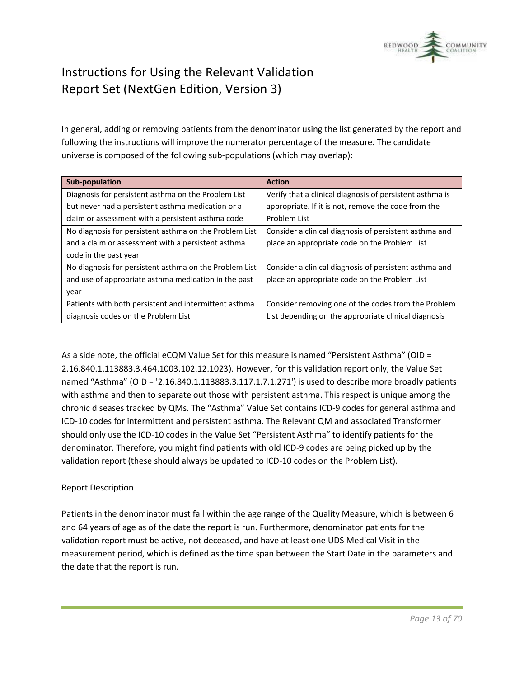

In general, adding or removing patients from the denominator using the list generated by the report and following the instructions will improve the numerator percentage of the measure. The candidate universe is composed of the following sub-populations (which may overlap):

| <b>Sub-population</b>                                  | <b>Action</b>                                            |
|--------------------------------------------------------|----------------------------------------------------------|
| Diagnosis for persistent asthma on the Problem List    | Verify that a clinical diagnosis of persistent asthma is |
| but never had a persistent asthma medication or a      | appropriate. If it is not, remove the code from the      |
| claim or assessment with a persistent asthma code      | Problem List                                             |
| No diagnosis for persistent asthma on the Problem List | Consider a clinical diagnosis of persistent asthma and   |
| and a claim or assessment with a persistent asthma     | place an appropriate code on the Problem List            |
| code in the past year                                  |                                                          |
| No diagnosis for persistent asthma on the Problem List | Consider a clinical diagnosis of persistent asthma and   |
| and use of appropriate asthma medication in the past   | place an appropriate code on the Problem List            |
| year                                                   |                                                          |
| Patients with both persistent and intermittent asthma  | Consider removing one of the codes from the Problem      |
| diagnosis codes on the Problem List                    | List depending on the appropriate clinical diagnosis     |

As a side note, the official eCQM Value Set for this measure is named "Persistent Asthma" (OID = 2.16.840.1.113883.3.464.1003.102.12.1023). However, for this validation report only, the Value Set named "Asthma" (OID = '2.16.840.1.113883.3.117.1.7.1.271') is used to describe more broadly patients with asthma and then to separate out those with persistent asthma. This respect is unique among the chronic diseases tracked by QMs. The "Asthma" Value Set contains ICD-9 codes for general asthma and ICD-10 codes for intermittent and persistent asthma. The Relevant QM and associated Transformer should only use the ICD-10 codes in the Value Set "Persistent Asthma" to identify patients for the denominator. Therefore, you might find patients with old ICD-9 codes are being picked up by the validation report (these should always be updated to ICD-10 codes on the Problem List).

#### Report Description

Patients in the denominator must fall within the age range of the Quality Measure, which is between 6 and 64 years of age as of the date the report is run. Furthermore, denominator patients for the validation report must be active, not deceased, and have at least one UDS Medical Visit in the measurement period, which is defined as the time span between the Start Date in the parameters and the date that the report is run.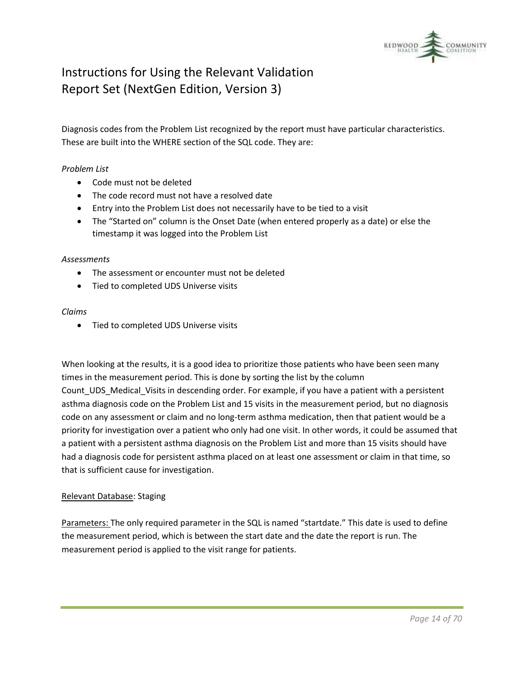

Diagnosis codes from the Problem List recognized by the report must have particular characteristics. These are built into the WHERE section of the SQL code. They are:

#### *Problem List*

- Code must not be deleted
- The code record must not have a resolved date
- Entry into the Problem List does not necessarily have to be tied to a visit
- The "Started on" column is the Onset Date (when entered properly as a date) or else the timestamp it was logged into the Problem List

#### *Assessments*

- The assessment or encounter must not be deleted
- Tied to completed UDS Universe visits

#### *Claims*

• Tied to completed UDS Universe visits

When looking at the results, it is a good idea to prioritize those patients who have been seen many times in the measurement period. This is done by sorting the list by the column Count\_UDS\_Medical\_Visits in descending order. For example, if you have a patient with a persistent asthma diagnosis code on the Problem List and 15 visits in the measurement period, but no diagnosis code on any assessment or claim and no long-term asthma medication, then that patient would be a priority for investigation over a patient who only had one visit. In other words, it could be assumed that a patient with a persistent asthma diagnosis on the Problem List and more than 15 visits should have had a diagnosis code for persistent asthma placed on at least one assessment or claim in that time, so that is sufficient cause for investigation.

#### Relevant Database: Staging

Parameters: The only required parameter in the SQL is named "startdate." This date is used to define the measurement period, which is between the start date and the date the report is run. The measurement period is applied to the visit range for patients.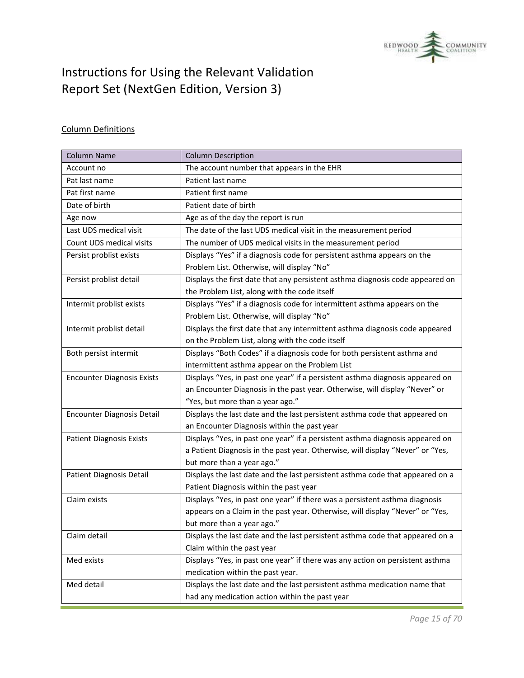

### Column Definitions

| <b>Column Name</b>                | <b>Column Description</b>                                                      |
|-----------------------------------|--------------------------------------------------------------------------------|
| Account no                        | The account number that appears in the EHR                                     |
| Pat last name                     | Patient last name                                                              |
| Pat first name                    | Patient first name                                                             |
| Date of birth                     | Patient date of birth                                                          |
| Age now                           | Age as of the day the report is run                                            |
| Last UDS medical visit            | The date of the last UDS medical visit in the measurement period               |
| Count UDS medical visits          | The number of UDS medical visits in the measurement period                     |
| Persist problist exists           | Displays "Yes" if a diagnosis code for persistent asthma appears on the        |
|                                   | Problem List. Otherwise, will display "No"                                     |
| Persist problist detail           | Displays the first date that any persistent asthma diagnosis code appeared on  |
|                                   | the Problem List, along with the code itself                                   |
| Intermit problist exists          | Displays "Yes" if a diagnosis code for intermittent asthma appears on the      |
|                                   | Problem List. Otherwise, will display "No"                                     |
| Intermit problist detail          | Displays the first date that any intermittent asthma diagnosis code appeared   |
|                                   | on the Problem List, along with the code itself                                |
| Both persist intermit             | Displays "Both Codes" if a diagnosis code for both persistent asthma and       |
|                                   | intermittent asthma appear on the Problem List                                 |
| <b>Encounter Diagnosis Exists</b> | Displays "Yes, in past one year" if a persistent asthma diagnosis appeared on  |
|                                   | an Encounter Diagnosis in the past year. Otherwise, will display "Never" or    |
|                                   | "Yes, but more than a year ago."                                               |
| <b>Encounter Diagnosis Detail</b> | Displays the last date and the last persistent asthma code that appeared on    |
|                                   | an Encounter Diagnosis within the past year                                    |
| <b>Patient Diagnosis Exists</b>   | Displays "Yes, in past one year" if a persistent asthma diagnosis appeared on  |
|                                   | a Patient Diagnosis in the past year. Otherwise, will display "Never" or "Yes, |
|                                   | but more than a year ago."                                                     |
| Patient Diagnosis Detail          | Displays the last date and the last persistent asthma code that appeared on a  |
|                                   | Patient Diagnosis within the past year                                         |
| Claim exists                      | Displays "Yes, in past one year" if there was a persistent asthma diagnosis    |
|                                   | appears on a Claim in the past year. Otherwise, will display "Never" or "Yes,  |
|                                   | but more than a year ago."                                                     |
| Claim detail                      | Displays the last date and the last persistent asthma code that appeared on a  |
|                                   | Claim within the past year                                                     |
| Med exists                        | Displays "Yes, in past one year" if there was any action on persistent asthma  |
|                                   | medication within the past year.                                               |
| Med detail                        | Displays the last date and the last persistent asthma medication name that     |
|                                   | had any medication action within the past year                                 |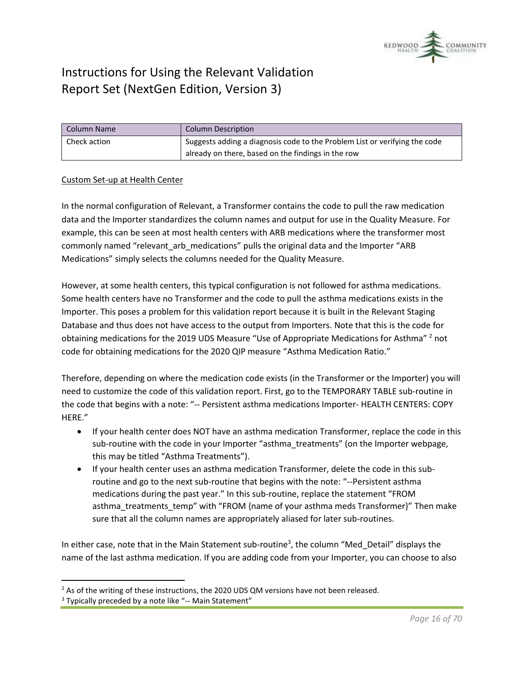

| Column Name  | <b>Column Description</b>                                                  |
|--------------|----------------------------------------------------------------------------|
| Check action | Suggests adding a diagnosis code to the Problem List or verifying the code |
|              | already on there, based on the findings in the row                         |

#### Custom Set-up at Health Center

In the normal configuration of Relevant, a Transformer contains the code to pull the raw medication data and the Importer standardizes the column names and output for use in the Quality Measure. For example, this can be seen at most health centers with ARB medications where the transformer most commonly named "relevant arb medications" pulls the original data and the Importer "ARB Medications" simply selects the columns needed for the Quality Measure.

However, at some health centers, this typical configuration is not followed for asthma medications. Some health centers have no Transformer and the code to pull the asthma medications exists in the Importer. This poses a problem for this validation report because it is built in the Relevant Staging Database and thus does not have access to the output from Importers. Note that this is the code for obtaining medications for the 2019 UDS Measure "Use of Appropriate Medications for Asthma"<sup>2</sup> not code for obtaining medications for the 2020 QIP measure "Asthma Medication Ratio."

Therefore, depending on where the medication code exists (in the Transformer or the Importer) you will need to customize the code of this validation report. First, go to the TEMPORARY TABLE sub-routine in the code that begins with a note: "-- Persistent asthma medications Importer- HEALTH CENTERS: COPY HERE."

- If your health center does NOT have an asthma medication Transformer, replace the code in this sub-routine with the code in your Importer "asthma\_treatments" (on the Importer webpage, this may be titled "Asthma Treatments").
- If your health center uses an asthma medication Transformer, delete the code in this subroutine and go to the next sub-routine that begins with the note: "--Persistent asthma medications during the past year." In this sub-routine, replace the statement "FROM asthma treatments temp" with "FROM {name of your asthma meds Transformer}" Then make sure that all the column names are appropriately aliased for later sub-routines.

In either case, note that in the Main Statement sub-routine<sup>3</sup>, the column "Med\_Detail" displays the name of the last asthma medication. If you are adding code from your Importer, you can choose to also

<sup>&</sup>lt;sup>2</sup> As of the writing of these instructions, the 2020 UDS QM versions have not been released.

<sup>&</sup>lt;sup>3</sup> Typically preceded by a note like "-- Main Statement"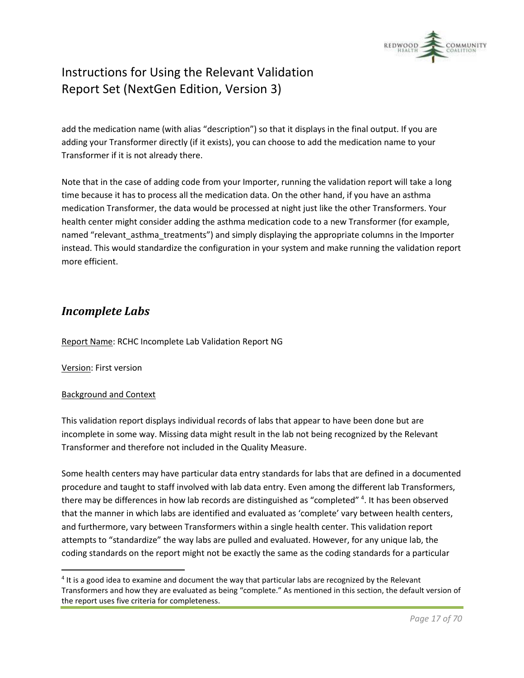

add the medication name (with alias "description") so that it displays in the final output. If you are adding your Transformer directly (if it exists), you can choose to add the medication name to your Transformer if it is not already there.

Note that in the case of adding code from your Importer, running the validation report will take a long time because it has to process all the medication data. On the other hand, if you have an asthma medication Transformer, the data would be processed at night just like the other Transformers. Your health center might consider adding the asthma medication code to a new Transformer (for example, named "relevant\_asthma\_treatments") and simply displaying the appropriate columns in the Importer instead. This would standardize the configuration in your system and make running the validation report more efficient.

### <span id="page-16-0"></span>*Incomplete Labs*

Report Name: RCHC Incomplete Lab Validation Report NG

Version: First version

#### Background and Context

This validation report displays individual records of labs that appear to have been done but are incomplete in some way. Missing data might result in the lab not being recognized by the Relevant Transformer and therefore not included in the Quality Measure.

Some health centers may have particular data entry standards for labs that are defined in a documented procedure and taught to staff involved with lab data entry. Even among the different lab Transformers, there may be differences in how lab records are distinguished as "completed" <sup>4</sup>. It has been observed that the manner in which labs are identified and evaluated as 'complete' vary between health centers, and furthermore, vary between Transformers within a single health center. This validation report attempts to "standardize" the way labs are pulled and evaluated. However, for any unique lab, the coding standards on the report might not be exactly the same as the coding standards for a particular

<sup>&</sup>lt;sup>4</sup> It is a good idea to examine and document the way that particular labs are recognized by the Relevant Transformers and how they are evaluated as being "complete." As mentioned in this section, the default version of the report uses five criteria for completeness.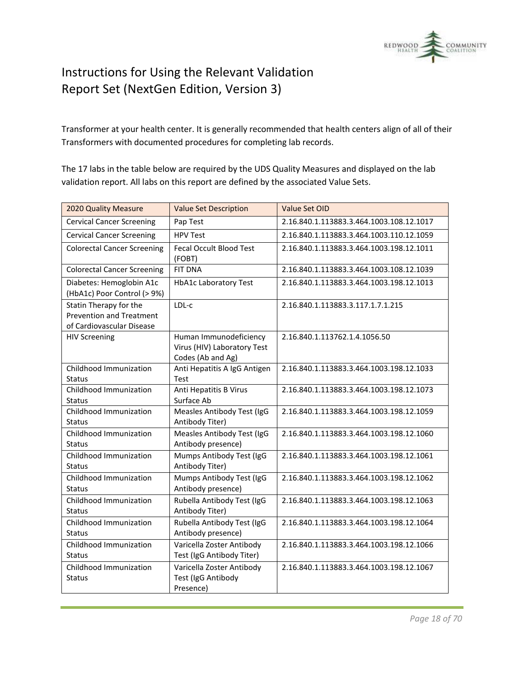

Transformer at your health center. It is generally recommended that health centers align of all of their Transformers with documented procedures for completing lab records.

The 17 labs in the table below are required by the UDS Quality Measures and displayed on the lab validation report. All labs on this report are defined by the associated Value Sets.

| 2020 Quality Measure                                                                   | <b>Value Set Description</b>                                               | Value Set OID                            |
|----------------------------------------------------------------------------------------|----------------------------------------------------------------------------|------------------------------------------|
| <b>Cervical Cancer Screening</b>                                                       | Pap Test                                                                   | 2.16.840.1.113883.3.464.1003.108.12.1017 |
| <b>Cervical Cancer Screening</b>                                                       | <b>HPV Test</b>                                                            | 2.16.840.1.113883.3.464.1003.110.12.1059 |
| <b>Colorectal Cancer Screening</b>                                                     | <b>Fecal Occult Blood Test</b><br>(FOBT)                                   | 2.16.840.1.113883.3.464.1003.198.12.1011 |
| <b>Colorectal Cancer Screening</b>                                                     | <b>FIT DNA</b>                                                             | 2.16.840.1.113883.3.464.1003.108.12.1039 |
| Diabetes: Hemoglobin A1c<br>(HbA1c) Poor Control (> 9%)                                | <b>HbA1c Laboratory Test</b>                                               | 2.16.840.1.113883.3.464.1003.198.12.1013 |
| Statin Therapy for the<br><b>Prevention and Treatment</b><br>of Cardiovascular Disease | LDL-c                                                                      | 2.16.840.1.113883.3.117.1.7.1.215        |
| <b>HIV Screening</b>                                                                   | Human Immunodeficiency<br>Virus (HIV) Laboratory Test<br>Codes (Ab and Ag) | 2.16.840.1.113762.1.4.1056.50            |
| Childhood Immunization<br><b>Status</b>                                                | Anti Hepatitis A IgG Antigen<br>Test                                       | 2.16.840.1.113883.3.464.1003.198.12.1033 |
| Childhood Immunization<br>Status                                                       | Anti Hepatitis B Virus<br>Surface Ab                                       | 2.16.840.1.113883.3.464.1003.198.12.1073 |
| Childhood Immunization<br><b>Status</b>                                                | Measles Antibody Test (IgG<br>Antibody Titer)                              | 2.16.840.1.113883.3.464.1003.198.12.1059 |
| Childhood Immunization<br><b>Status</b>                                                | Measles Antibody Test (IgG<br>Antibody presence)                           | 2.16.840.1.113883.3.464.1003.198.12.1060 |
| Childhood Immunization<br><b>Status</b>                                                | Mumps Antibody Test (IgG<br>Antibody Titer)                                | 2.16.840.1.113883.3.464.1003.198.12.1061 |
| Childhood Immunization<br><b>Status</b>                                                | Mumps Antibody Test (IgG<br>Antibody presence)                             | 2.16.840.1.113883.3.464.1003.198.12.1062 |
| Childhood Immunization<br><b>Status</b>                                                | Rubella Antibody Test (IgG<br>Antibody Titer)                              | 2.16.840.1.113883.3.464.1003.198.12.1063 |
| Childhood Immunization<br>Status                                                       | Rubella Antibody Test (IgG<br>Antibody presence)                           | 2.16.840.1.113883.3.464.1003.198.12.1064 |
| Childhood Immunization<br>Status                                                       | Varicella Zoster Antibody<br>Test (IgG Antibody Titer)                     | 2.16.840.1.113883.3.464.1003.198.12.1066 |
| Childhood Immunization<br><b>Status</b>                                                | Varicella Zoster Antibody<br>Test (IgG Antibody<br>Presence)               | 2.16.840.1.113883.3.464.1003.198.12.1067 |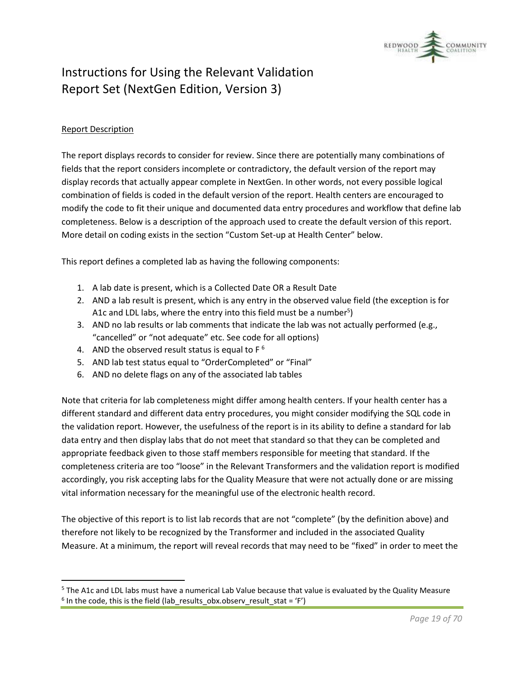

#### Report Description

The report displays records to consider for review. Since there are potentially many combinations of fields that the report considers incomplete or contradictory, the default version of the report may display records that actually appear complete in NextGen. In other words, not every possible logical combination of fields is coded in the default version of the report. Health centers are encouraged to modify the code to fit their unique and documented data entry procedures and workflow that define lab completeness. Below is a description of the approach used to create the default version of this report. More detail on coding exists in the section "Custom Set-up at Health Center" below.

This report defines a completed lab as having the following components:

- 1. A lab date is present, which is a Collected Date OR a Result Date
- 2. AND a lab result is present, which is any entry in the observed value field (the exception is for A1c and LDL labs, where the entry into this field must be a number<sup>5</sup>)
- 3. AND no lab results or lab comments that indicate the lab was not actually performed (e.g., "cancelled" or "not adequate" etc. See code for all options)
- 4. AND the observed result status is equal to  $F^6$
- 5. AND lab test status equal to "OrderCompleted" or "Final"
- 6. AND no delete flags on any of the associated lab tables

Note that criteria for lab completeness might differ among health centers. If your health center has a different standard and different data entry procedures, you might consider modifying the SQL code in the validation report. However, the usefulness of the report is in its ability to define a standard for lab data entry and then display labs that do not meet that standard so that they can be completed and appropriate feedback given to those staff members responsible for meeting that standard. If the completeness criteria are too "loose" in the Relevant Transformers and the validation report is modified accordingly, you risk accepting labs for the Quality Measure that were not actually done or are missing vital information necessary for the meaningful use of the electronic health record.

The objective of this report is to list lab records that are not "complete" (by the definition above) and therefore not likely to be recognized by the Transformer and included in the associated Quality Measure. At a minimum, the report will reveal records that may need to be "fixed" in order to meet the

<sup>5</sup> The A1c and LDL labs must have a numerical Lab Value because that value is evaluated by the Quality Measure  $^6$  In the code, this is the field (lab\_results\_obx.observ\_result\_stat = 'F')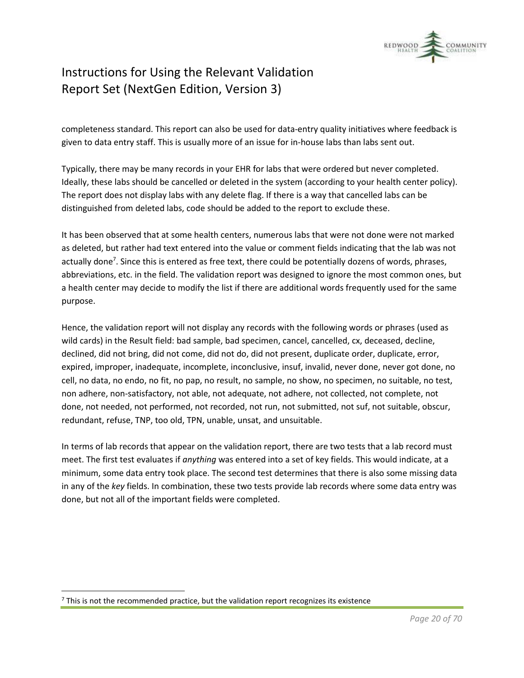

completeness standard. This report can also be used for data-entry quality initiatives where feedback is given to data entry staff. This is usually more of an issue for in-house labs than labs sent out.

Typically, there may be many records in your EHR for labs that were ordered but never completed. Ideally, these labs should be cancelled or deleted in the system (according to your health center policy). The report does not display labs with any delete flag. If there is a way that cancelled labs can be distinguished from deleted labs, code should be added to the report to exclude these.

It has been observed that at some health centers, numerous labs that were not done were not marked as deleted, but rather had text entered into the value or comment fields indicating that the lab was not actually done<sup>7</sup>. Since this is entered as free text, there could be potentially dozens of words, phrases, abbreviations, etc. in the field. The validation report was designed to ignore the most common ones, but a health center may decide to modify the list if there are additional words frequently used for the same purpose.

Hence, the validation report will not display any records with the following words or phrases (used as wild cards) in the Result field: bad sample, bad specimen, cancel, cancelled, cx, deceased, decline, declined, did not bring, did not come, did not do, did not present, duplicate order, duplicate, error, expired, improper, inadequate, incomplete, inconclusive, insuf, invalid, never done, never got done, no cell, no data, no endo, no fit, no pap, no result, no sample, no show, no specimen, no suitable, no test, non adhere, non-satisfactory, not able, not adequate, not adhere, not collected, not complete, not done, not needed, not performed, not recorded, not run, not submitted, not suf, not suitable, obscur, redundant, refuse, TNP, too old, TPN, unable, unsat, and unsuitable.

In terms of lab records that appear on the validation report, there are two tests that a lab record must meet. The first test evaluates if *anything* was entered into a set of key fields. This would indicate, at a minimum, some data entry took place. The second test determines that there is also some missing data in any of the *key* fields. In combination, these two tests provide lab records where some data entry was done, but not all of the important fields were completed.

 $<sup>7</sup>$  This is not the recommended practice, but the validation report recognizes its existence</sup>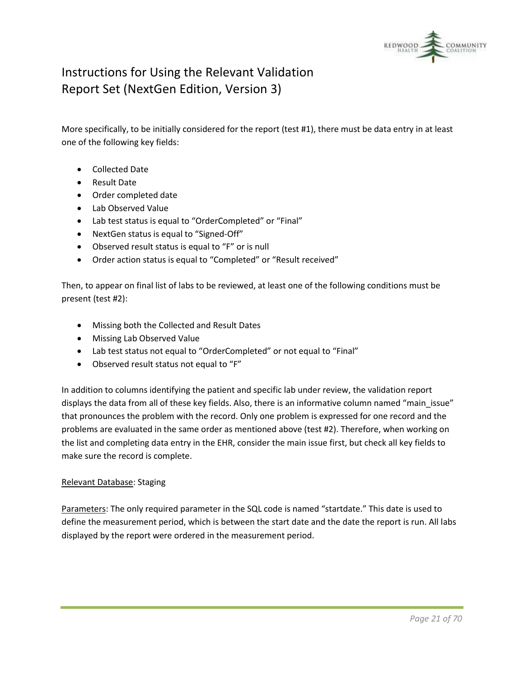

More specifically, to be initially considered for the report (test #1), there must be data entry in at least one of the following key fields:

- Collected Date
- Result Date
- Order completed date
- Lab Observed Value
- Lab test status is equal to "OrderCompleted" or "Final"
- NextGen status is equal to "Signed-Off"
- Observed result status is equal to "F" or is null
- Order action status is equal to "Completed" or "Result received"

Then, to appear on final list of labs to be reviewed, at least one of the following conditions must be present (test #2):

- Missing both the Collected and Result Dates
- Missing Lab Observed Value
- Lab test status not equal to "OrderCompleted" or not equal to "Final"
- Observed result status not equal to "F"

In addition to columns identifying the patient and specific lab under review, the validation report displays the data from all of these key fields. Also, there is an informative column named "main\_issue" that pronounces the problem with the record. Only one problem is expressed for one record and the problems are evaluated in the same order as mentioned above (test #2). Therefore, when working on the list and completing data entry in the EHR, consider the main issue first, but check all key fields to make sure the record is complete.

#### Relevant Database: Staging

Parameters: The only required parameter in the SQL code is named "startdate." This date is used to define the measurement period, which is between the start date and the date the report is run. All labs displayed by the report were ordered in the measurement period.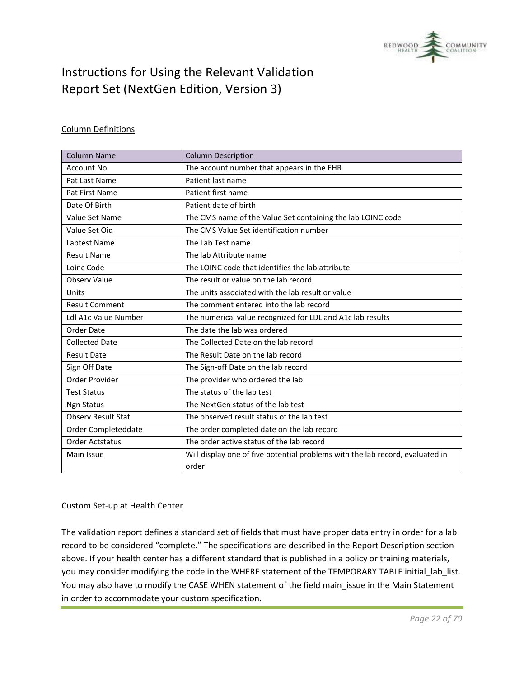

#### Column Definitions

| Column Name                 | <b>Column Description</b>                                                     |
|-----------------------------|-------------------------------------------------------------------------------|
| <b>Account No</b>           | The account number that appears in the EHR                                    |
| Pat Last Name               | Patient last name                                                             |
| Pat First Name              | Patient first name                                                            |
| Date Of Birth               | Patient date of birth                                                         |
| Value Set Name              | The CMS name of the Value Set containing the lab LOINC code                   |
| Value Set Oid               | The CMS Value Set identification number                                       |
| Labtest Name                | The Lab Test name                                                             |
| <b>Result Name</b>          | The lab Attribute name                                                        |
| Loinc Code                  | The LOINC code that identifies the lab attribute                              |
| Observ Value                | The result or value on the lab record                                         |
| Units                       | The units associated with the lab result or value                             |
| <b>Result Comment</b>       | The comment entered into the lab record                                       |
| <b>Ldl A1c Value Number</b> | The numerical value recognized for LDL and A1c lab results                    |
| Order Date                  | The date the lab was ordered                                                  |
| <b>Collected Date</b>       | The Collected Date on the lab record                                          |
| <b>Result Date</b>          | The Result Date on the lab record                                             |
| Sign Off Date               | The Sign-off Date on the lab record                                           |
| Order Provider              | The provider who ordered the lab                                              |
| <b>Test Status</b>          | The status of the lab test                                                    |
| <b>Ngn Status</b>           | The NextGen status of the lab test                                            |
| <b>Observ Result Stat</b>   | The observed result status of the lab test                                    |
| Order Completeddate         | The order completed date on the lab record                                    |
| <b>Order Actstatus</b>      | The order active status of the lab record                                     |
| Main Issue                  | Will display one of five potential problems with the lab record, evaluated in |
|                             | order                                                                         |

#### Custom Set-up at Health Center

The validation report defines a standard set of fields that must have proper data entry in order for a lab record to be considered "complete." The specifications are described in the Report Description section above. If your health center has a different standard that is published in a policy or training materials, you may consider modifying the code in the WHERE statement of the TEMPORARY TABLE initial\_lab\_list. You may also have to modify the CASE WHEN statement of the field main\_issue in the Main Statement in order to accommodate your custom specification.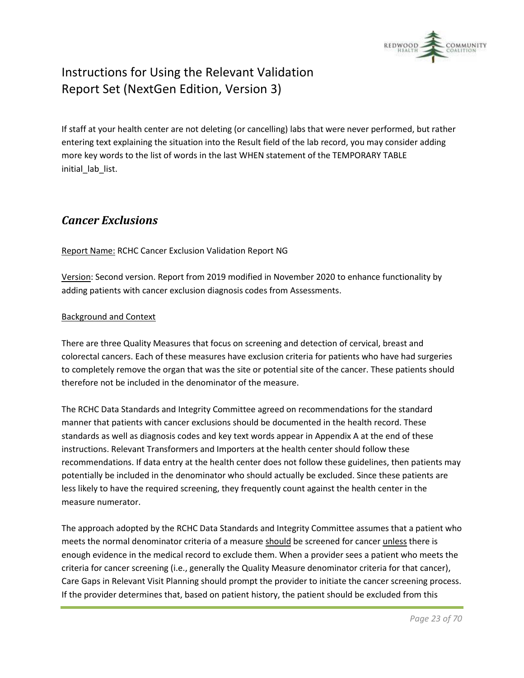

If staff at your health center are not deleting (or cancelling) labs that were never performed, but rather entering text explaining the situation into the Result field of the lab record, you may consider adding more key words to the list of words in the last WHEN statement of the TEMPORARY TABLE initial\_lab\_list.

### <span id="page-22-0"></span>*Cancer Exclusions*

Report Name: RCHC Cancer Exclusion Validation Report NG

Version: Second version. Report from 2019 modified in November 2020 to enhance functionality by adding patients with cancer exclusion diagnosis codes from Assessments.

#### Background and Context

There are three Quality Measures that focus on screening and detection of cervical, breast and colorectal cancers. Each of these measures have exclusion criteria for patients who have had surgeries to completely remove the organ that was the site or potential site of the cancer. These patients should therefore not be included in the denominator of the measure.

The RCHC Data Standards and Integrity Committee agreed on recommendations for the standard manner that patients with cancer exclusions should be documented in the health record. These standards as well as diagnosis codes and key text words appear in Appendix A at the end of these instructions. Relevant Transformers and Importers at the health center should follow these recommendations. If data entry at the health center does not follow these guidelines, then patients may potentially be included in the denominator who should actually be excluded. Since these patients are less likely to have the required screening, they frequently count against the health center in the measure numerator.

The approach adopted by the RCHC Data Standards and Integrity Committee assumes that a patient who meets the normal denominator criteria of a measure should be screened for cancer unless there is enough evidence in the medical record to exclude them. When a provider sees a patient who meets the criteria for cancer screening (i.e., generally the Quality Measure denominator criteria for that cancer), Care Gaps in Relevant Visit Planning should prompt the provider to initiate the cancer screening process. If the provider determines that, based on patient history, the patient should be excluded from this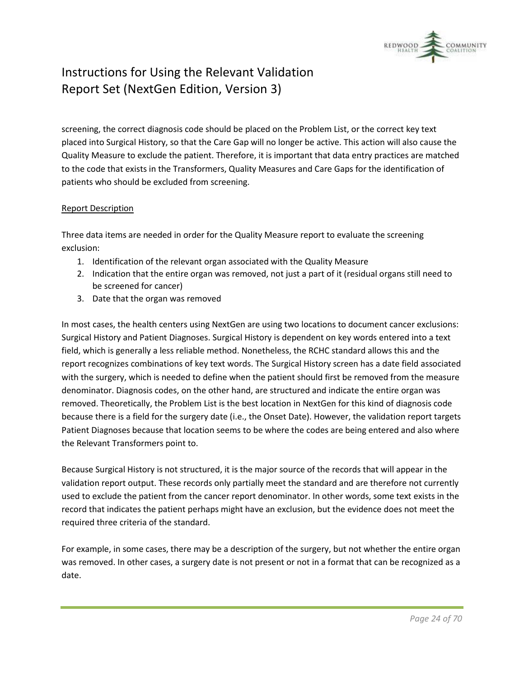

screening, the correct diagnosis code should be placed on the Problem List, or the correct key text placed into Surgical History, so that the Care Gap will no longer be active. This action will also cause the Quality Measure to exclude the patient. Therefore, it is important that data entry practices are matched to the code that exists in the Transformers, Quality Measures and Care Gaps for the identification of patients who should be excluded from screening.

#### Report Description

Three data items are needed in order for the Quality Measure report to evaluate the screening exclusion:

- 1. Identification of the relevant organ associated with the Quality Measure
- 2. Indication that the entire organ was removed, not just a part of it (residual organs still need to be screened for cancer)
- 3. Date that the organ was removed

In most cases, the health centers using NextGen are using two locations to document cancer exclusions: Surgical History and Patient Diagnoses. Surgical History is dependent on key words entered into a text field, which is generally a less reliable method. Nonetheless, the RCHC standard allows this and the report recognizes combinations of key text words. The Surgical History screen has a date field associated with the surgery, which is needed to define when the patient should first be removed from the measure denominator. Diagnosis codes, on the other hand, are structured and indicate the entire organ was removed. Theoretically, the Problem List is the best location in NextGen for this kind of diagnosis code because there is a field for the surgery date (i.e., the Onset Date). However, the validation report targets Patient Diagnoses because that location seems to be where the codes are being entered and also where the Relevant Transformers point to.

Because Surgical History is not structured, it is the major source of the records that will appear in the validation report output. These records only partially meet the standard and are therefore not currently used to exclude the patient from the cancer report denominator. In other words, some text exists in the record that indicates the patient perhaps might have an exclusion, but the evidence does not meet the required three criteria of the standard.

For example, in some cases, there may be a description of the surgery, but not whether the entire organ was removed. In other cases, a surgery date is not present or not in a format that can be recognized as a date.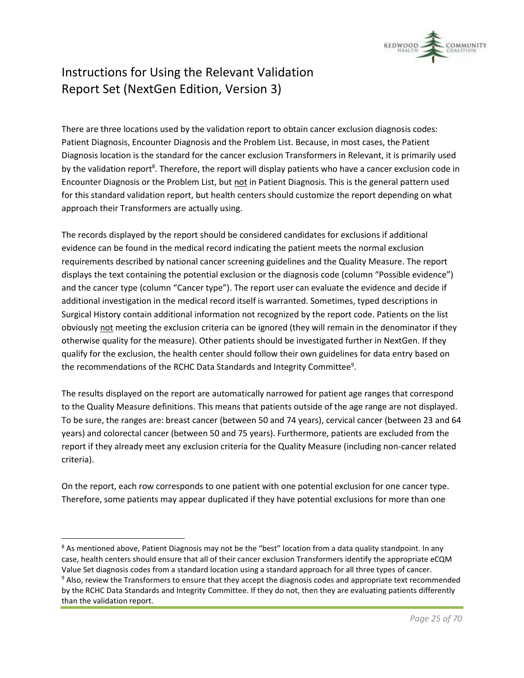

There are three locations used by the validation report to obtain cancer exclusion diagnosis codes: Patient Diagnosis, Encounter Diagnosis and the Problem List. Because, in most cases, the Patient Diagnosis location is the standard for the cancer exclusion Transformers in Relevant, it is primarily used by the validation report<sup>8</sup>. Therefore, the report will display patients who have a cancer exclusion code in Encounter Diagnosis or the Problem List, but not in Patient Diagnosis. This is the general pattern used for this standard validation report, but health centers should customize the report depending on what approach their Transformers are actually using.

The records displayed by the report should be considered candidates for exclusions if additional evidence can be found in the medical record indicating the patient meets the normal exclusion requirements described by national cancer screening guidelines and the Quality Measure. The report displays the text containing the potential exclusion or the diagnosis code (column "Possible evidence") and the cancer type (column "Cancer type"). The report user can evaluate the evidence and decide if additional investigation in the medical record itself is warranted. Sometimes, typed descriptions in Surgical History contain additional information not recognized by the report code. Patients on the list obviously not meeting the exclusion criteria can be ignored (they will remain in the denominator if they otherwise quality for the measure). Other patients should be investigated further in NextGen. If they qualify for the exclusion, the health center should follow their own guidelines for data entry based on the recommendations of the RCHC Data Standards and Integrity Committee<sup>9</sup>.

The results displayed on the report are automatically narrowed for patient age ranges that correspond to the Quality Measure definitions. This means that patients outside of the age range are not displayed. To be sure, the ranges are: breast cancer (between 50 and 74 years), cervical cancer (between 23 and 64 years) and colorectal cancer (between 50 and 75 years). Furthermore, patients are excluded from the report if they already meet any exclusion criteria for the Quality Measure (including non-cancer related criteria).

On the report, each row corresponds to one patient with one potential exclusion for one cancer type. Therefore, some patients may appear duplicated if they have potential exclusions for more than one

<sup>&</sup>lt;sup>8</sup> As mentioned above, Patient Diagnosis may not be the "best" location from a data quality standpoint. In any case, health centers should ensure that all of their cancer exclusion Transformers identify the appropriate eCQM Value Set diagnosis codes from a standard location using a standard approach for all three types of cancer.

<sup>&</sup>lt;sup>9</sup> Also, review the Transformers to ensure that they accept the diagnosis codes and appropriate text recommended by the RCHC Data Standards and Integrity Committee. If they do not, then they are evaluating patients differently than the validation report.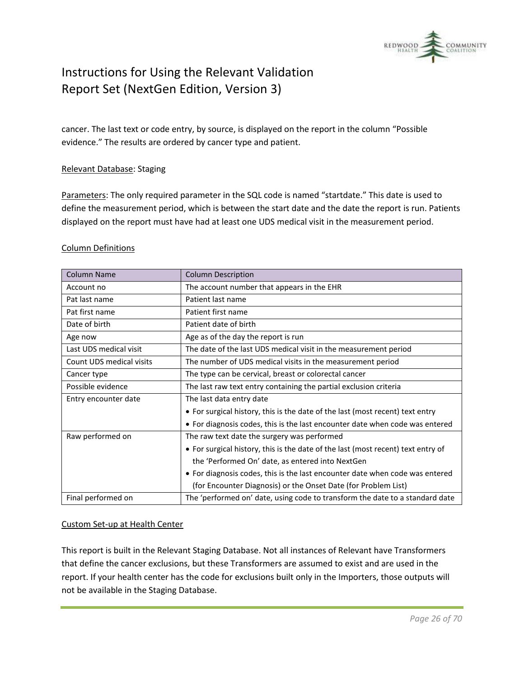

cancer. The last text or code entry, by source, is displayed on the report in the column "Possible evidence." The results are ordered by cancer type and patient.

#### Relevant Database: Staging

Parameters: The only required parameter in the SQL code is named "startdate." This date is used to define the measurement period, which is between the start date and the date the report is run. Patients displayed on the report must have had at least one UDS medical visit in the measurement period.

#### Column Definitions

| <b>Column Name</b>       | <b>Column Description</b>                                                        |
|--------------------------|----------------------------------------------------------------------------------|
| Account no               | The account number that appears in the EHR                                       |
| Pat last name            | Patient last name                                                                |
| Pat first name           | Patient first name                                                               |
| Date of birth            | Patient date of birth                                                            |
| Age now                  | Age as of the day the report is run                                              |
| Last UDS medical visit   | The date of the last UDS medical visit in the measurement period                 |
| Count UDS medical visits | The number of UDS medical visits in the measurement period                       |
| Cancer type              | The type can be cervical, breast or colorectal cancer                            |
| Possible evidence        | The last raw text entry containing the partial exclusion criteria                |
| Entry encounter date     | The last data entry date                                                         |
|                          | • For surgical history, this is the date of the last (most recent) text entry    |
|                          | • For diagnosis codes, this is the last encounter date when code was entered     |
| Raw performed on         | The raw text date the surgery was performed                                      |
|                          | • For surgical history, this is the date of the last (most recent) text entry of |
|                          | the 'Performed On' date, as entered into NextGen                                 |
|                          | • For diagnosis codes, this is the last encounter date when code was entered     |
|                          | (for Encounter Diagnosis) or the Onset Date (for Problem List)                   |
| Final performed on       | The 'performed on' date, using code to transform the date to a standard date     |

#### Custom Set-up at Health Center

This report is built in the Relevant Staging Database. Not all instances of Relevant have Transformers that define the cancer exclusions, but these Transformers are assumed to exist and are used in the report. If your health center has the code for exclusions built only in the Importers, those outputs will not be available in the Staging Database.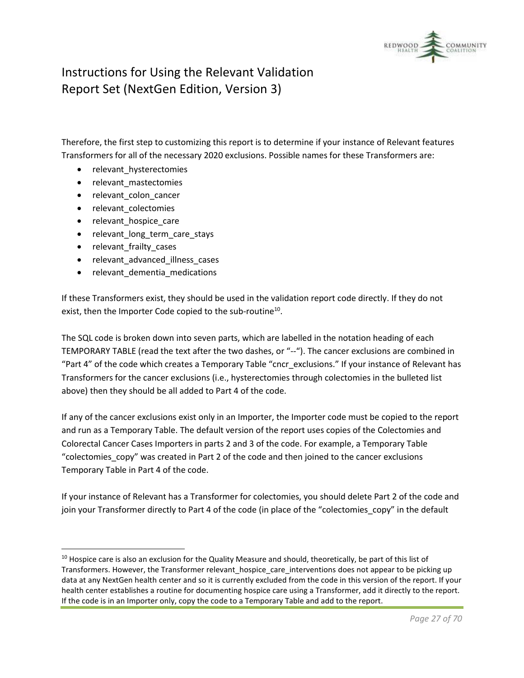

Therefore, the first step to customizing this report is to determine if your instance of Relevant features Transformers for all of the necessary 2020 exclusions. Possible names for these Transformers are:

- relevant\_hysterectomies
- relevant mastectomies
- relevant colon cancer
- relevant colectomies
- relevant\_hospice\_care
- relevant\_long\_term\_care\_stays
- relevant\_frailty\_cases
- relevant advanced illness cases
- relevant dementia medications

If these Transformers exist, they should be used in the validation report code directly. If they do not exist, then the Importer Code copied to the sub-routine<sup>10</sup>.

The SQL code is broken down into seven parts, which are labelled in the notation heading of each TEMPORARY TABLE (read the text after the two dashes, or "--"). The cancer exclusions are combined in "Part 4" of the code which creates a Temporary Table "cncr\_exclusions." If your instance of Relevant has Transformers for the cancer exclusions (i.e., hysterectomies through colectomies in the bulleted list above) then they should be all added to Part 4 of the code.

If any of the cancer exclusions exist only in an Importer, the Importer code must be copied to the report and run as a Temporary Table. The default version of the report uses copies of the Colectomies and Colorectal Cancer Cases Importers in parts 2 and 3 of the code. For example, a Temporary Table "colectomies copy" was created in Part 2 of the code and then joined to the cancer exclusions Temporary Table in Part 4 of the code.

If your instance of Relevant has a Transformer for colectomies, you should delete Part 2 of the code and join your Transformer directly to Part 4 of the code (in place of the "colectomies\_copy" in the default

 $10$  Hospice care is also an exclusion for the Quality Measure and should, theoretically, be part of this list of Transformers. However, the Transformer relevant hospice care interventions does not appear to be picking up data at any NextGen health center and so it is currently excluded from the code in this version of the report. If your health center establishes a routine for documenting hospice care using a Transformer, add it directly to the report. If the code is in an Importer only, copy the code to a Temporary Table and add to the report.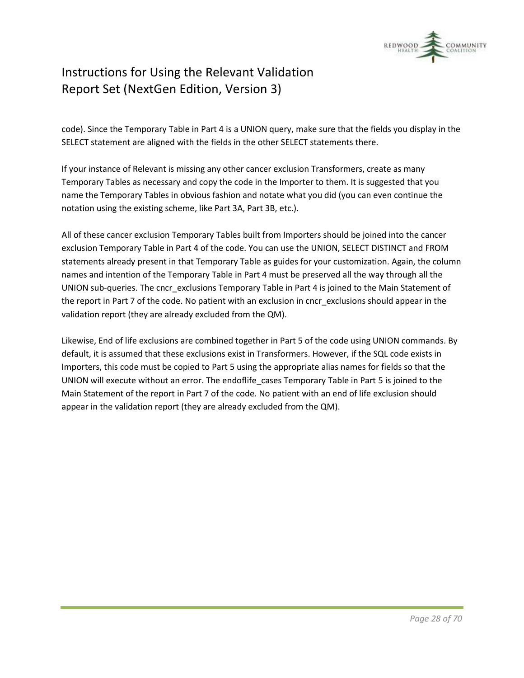

code). Since the Temporary Table in Part 4 is a UNION query, make sure that the fields you display in the SELECT statement are aligned with the fields in the other SELECT statements there.

If your instance of Relevant is missing any other cancer exclusion Transformers, create as many Temporary Tables as necessary and copy the code in the Importer to them. It is suggested that you name the Temporary Tables in obvious fashion and notate what you did (you can even continue the notation using the existing scheme, like Part 3A, Part 3B, etc.).

All of these cancer exclusion Temporary Tables built from Importers should be joined into the cancer exclusion Temporary Table in Part 4 of the code. You can use the UNION, SELECT DISTINCT and FROM statements already present in that Temporary Table as guides for your customization. Again, the column names and intention of the Temporary Table in Part 4 must be preserved all the way through all the UNION sub-queries. The cncr\_exclusions Temporary Table in Part 4 is joined to the Main Statement of the report in Part 7 of the code. No patient with an exclusion in cncr\_exclusions should appear in the validation report (they are already excluded from the QM).

Likewise, End of life exclusions are combined together in Part 5 of the code using UNION commands. By default, it is assumed that these exclusions exist in Transformers. However, if the SQL code exists in Importers, this code must be copied to Part 5 using the appropriate alias names for fields so that the UNION will execute without an error. The endoflife\_cases Temporary Table in Part 5 is joined to the Main Statement of the report in Part 7 of the code. No patient with an end of life exclusion should appear in the validation report (they are already excluded from the QM).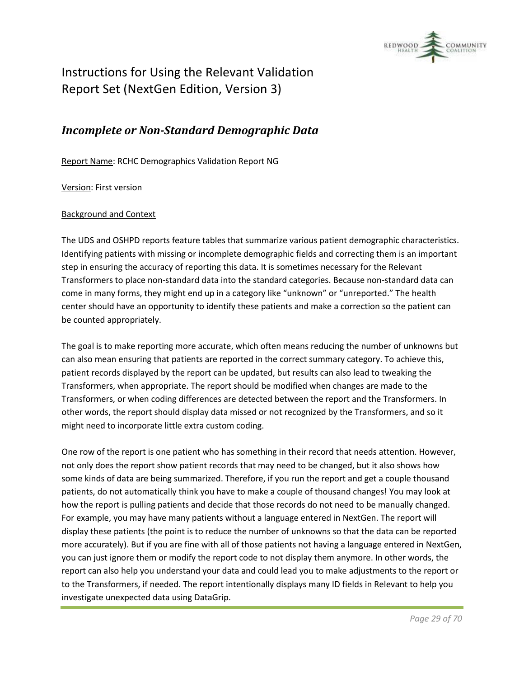

### <span id="page-28-0"></span>*Incomplete or Non-Standard Demographic Data*

Report Name: RCHC Demographics Validation Report NG

Version: First version

#### Background and Context

The UDS and OSHPD reports feature tables that summarize various patient demographic characteristics. Identifying patients with missing or incomplete demographic fields and correcting them is an important step in ensuring the accuracy of reporting this data. It is sometimes necessary for the Relevant Transformers to place non-standard data into the standard categories. Because non-standard data can come in many forms, they might end up in a category like "unknown" or "unreported." The health center should have an opportunity to identify these patients and make a correction so the patient can be counted appropriately.

The goal is to make reporting more accurate, which often means reducing the number of unknowns but can also mean ensuring that patients are reported in the correct summary category. To achieve this, patient records displayed by the report can be updated, but results can also lead to tweaking the Transformers, when appropriate. The report should be modified when changes are made to the Transformers, or when coding differences are detected between the report and the Transformers. In other words, the report should display data missed or not recognized by the Transformers, and so it might need to incorporate little extra custom coding.

One row of the report is one patient who has something in their record that needs attention. However, not only does the report show patient records that may need to be changed, but it also shows how some kinds of data are being summarized. Therefore, if you run the report and get a couple thousand patients, do not automatically think you have to make a couple of thousand changes! You may look at how the report is pulling patients and decide that those records do not need to be manually changed. For example, you may have many patients without a language entered in NextGen. The report will display these patients (the point is to reduce the number of unknowns so that the data can be reported more accurately). But if you are fine with all of those patients not having a language entered in NextGen, you can just ignore them or modify the report code to not display them anymore. In other words, the report can also help you understand your data and could lead you to make adjustments to the report or to the Transformers, if needed. The report intentionally displays many ID fields in Relevant to help you investigate unexpected data using DataGrip.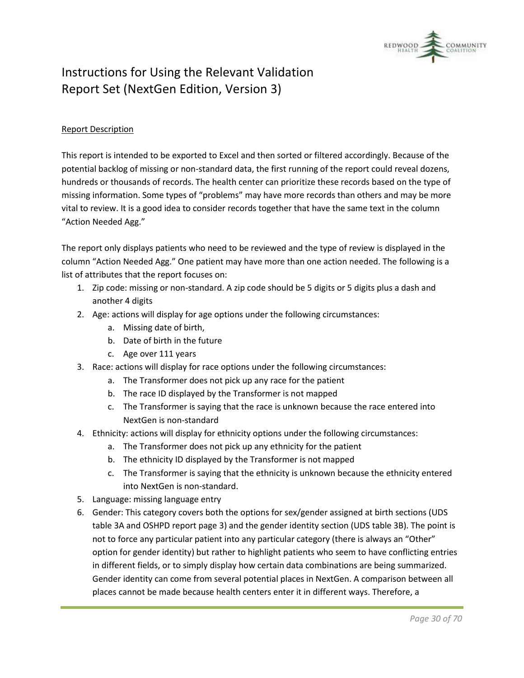

#### Report Description

This report is intended to be exported to Excel and then sorted or filtered accordingly. Because of the potential backlog of missing or non-standard data, the first running of the report could reveal dozens, hundreds or thousands of records. The health center can prioritize these records based on the type of missing information. Some types of "problems" may have more records than others and may be more vital to review. It is a good idea to consider records together that have the same text in the column "Action Needed Agg."

The report only displays patients who need to be reviewed and the type of review is displayed in the column "Action Needed Agg." One patient may have more than one action needed. The following is a list of attributes that the report focuses on:

- 1. Zip code: missing or non-standard. A zip code should be 5 digits or 5 digits plus a dash and another 4 digits
- 2. Age: actions will display for age options under the following circumstances:
	- a. Missing date of birth,
	- b. Date of birth in the future
	- c. Age over 111 years
- 3. Race: actions will display for race options under the following circumstances:
	- a. The Transformer does not pick up any race for the patient
	- b. The race ID displayed by the Transformer is not mapped
	- c. The Transformer is saying that the race is unknown because the race entered into NextGen is non-standard
- 4. Ethnicity: actions will display for ethnicity options under the following circumstances:
	- a. The Transformer does not pick up any ethnicity for the patient
	- b. The ethnicity ID displayed by the Transformer is not mapped
	- c. The Transformer is saying that the ethnicity is unknown because the ethnicity entered into NextGen is non-standard.
- 5. Language: missing language entry
- 6. Gender: This category covers both the options for sex/gender assigned at birth sections (UDS table 3A and OSHPD report page 3) and the gender identity section (UDS table 3B). The point is not to force any particular patient into any particular category (there is always an "Other" option for gender identity) but rather to highlight patients who seem to have conflicting entries in different fields, or to simply display how certain data combinations are being summarized. Gender identity can come from several potential places in NextGen. A comparison between all places cannot be made because health centers enter it in different ways. Therefore, a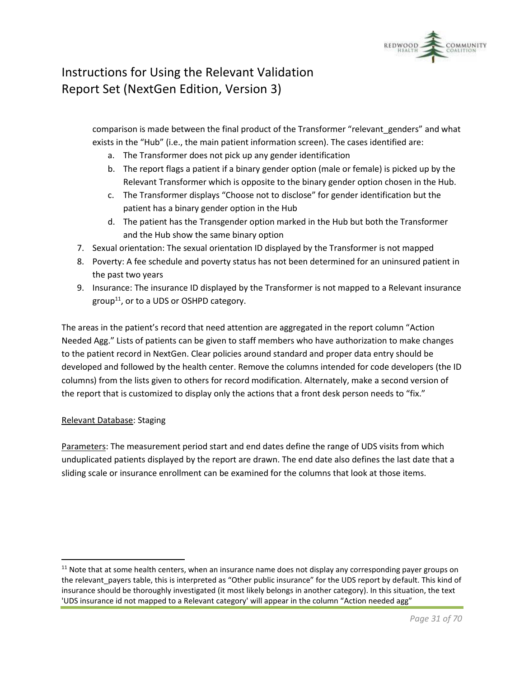

comparison is made between the final product of the Transformer "relevant genders" and what exists in the "Hub" (i.e., the main patient information screen). The cases identified are:

- a. The Transformer does not pick up any gender identification
- b. The report flags a patient if a binary gender option (male or female) is picked up by the Relevant Transformer which is opposite to the binary gender option chosen in the Hub.
- c. The Transformer displays "Choose not to disclose" for gender identification but the patient has a binary gender option in the Hub
- d. The patient has the Transgender option marked in the Hub but both the Transformer and the Hub show the same binary option
- 7. Sexual orientation: The sexual orientation ID displayed by the Transformer is not mapped
- 8. Poverty: A fee schedule and poverty status has not been determined for an uninsured patient in the past two years
- 9. Insurance: The insurance ID displayed by the Transformer is not mapped to a Relevant insurance group<sup>11</sup>, or to a UDS or OSHPD category.

The areas in the patient's record that need attention are aggregated in the report column "Action Needed Agg." Lists of patients can be given to staff members who have authorization to make changes to the patient record in NextGen. Clear policies around standard and proper data entry should be developed and followed by the health center. Remove the columns intended for code developers (the ID columns) from the lists given to others for record modification. Alternately, make a second version of the report that is customized to display only the actions that a front desk person needs to "fix."

#### Relevant Database: Staging

Parameters: The measurement period start and end dates define the range of UDS visits from which unduplicated patients displayed by the report are drawn. The end date also defines the last date that a sliding scale or insurance enrollment can be examined for the columns that look at those items.

 $11$  Note that at some health centers, when an insurance name does not display any corresponding payer groups on the relevant payers table, this is interpreted as "Other public insurance" for the UDS report by default. This kind of insurance should be thoroughly investigated (it most likely belongs in another category). In this situation, the text 'UDS insurance id not mapped to a Relevant category' will appear in the column "Action needed agg"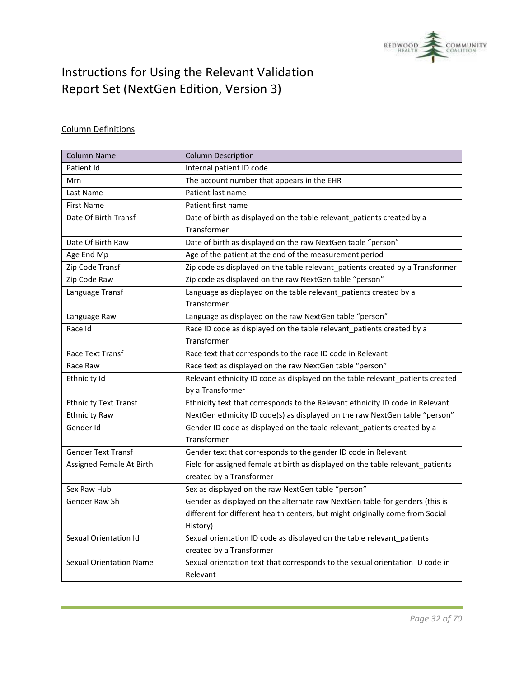

### Column Definitions

| <b>Column Name</b>             | <b>Column Description</b>                                                      |
|--------------------------------|--------------------------------------------------------------------------------|
| Patient Id                     | Internal patient ID code                                                       |
| Mrn                            | The account number that appears in the EHR                                     |
| Last Name                      | Patient last name                                                              |
| First Name                     | Patient first name                                                             |
| Date Of Birth Transf           | Date of birth as displayed on the table relevant_patients created by a         |
|                                | Transformer                                                                    |
| Date Of Birth Raw              | Date of birth as displayed on the raw NextGen table "person"                   |
| Age End Mp                     | Age of the patient at the end of the measurement period                        |
| Zip Code Transf                | Zip code as displayed on the table relevant_patients created by a Transformer  |
| Zip Code Raw                   | Zip code as displayed on the raw NextGen table "person"                        |
| Language Transf                | Language as displayed on the table relevant_patients created by a              |
|                                | Transformer                                                                    |
| Language Raw                   | Language as displayed on the raw NextGen table "person"                        |
| Race Id                        | Race ID code as displayed on the table relevant_patients created by a          |
|                                | Transformer                                                                    |
| Race Text Transf               | Race text that corresponds to the race ID code in Relevant                     |
| Race Raw                       | Race text as displayed on the raw NextGen table "person"                       |
| Ethnicity Id                   | Relevant ethnicity ID code as displayed on the table relevant_patients created |
|                                | by a Transformer                                                               |
| <b>Ethnicity Text Transf</b>   | Ethnicity text that corresponds to the Relevant ethnicity ID code in Relevant  |
| <b>Ethnicity Raw</b>           | NextGen ethnicity ID code(s) as displayed on the raw NextGen table "person"    |
| Gender Id                      | Gender ID code as displayed on the table relevant_patients created by a        |
|                                | Transformer                                                                    |
| <b>Gender Text Transf</b>      | Gender text that corresponds to the gender ID code in Relevant                 |
| Assigned Female At Birth       | Field for assigned female at birth as displayed on the table relevant_patients |
|                                | created by a Transformer                                                       |
| Sex Raw Hub                    | Sex as displayed on the raw NextGen table "person"                             |
| Gender Raw Sh                  | Gender as displayed on the alternate raw NextGen table for genders (this is    |
|                                | different for different health centers, but might originally come from Social  |
|                                | History)                                                                       |
| Sexual Orientation Id          | Sexual orientation ID code as displayed on the table relevant_patients         |
|                                | created by a Transformer                                                       |
| <b>Sexual Orientation Name</b> | Sexual orientation text that corresponds to the sexual orientation ID code in  |
|                                | Relevant                                                                       |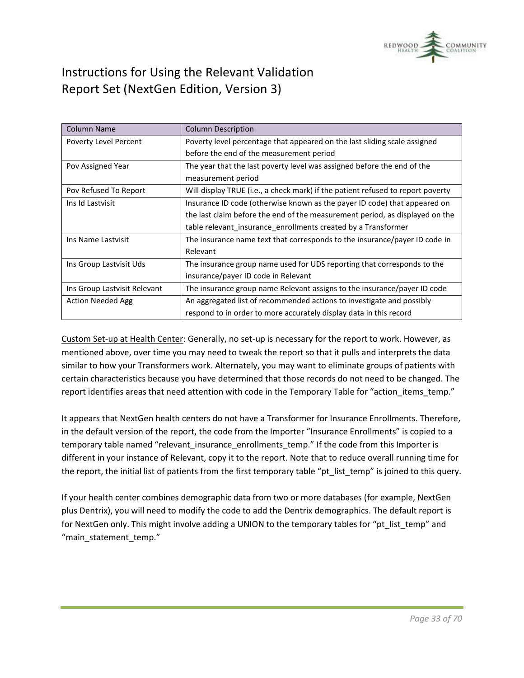

| <b>Column Name</b>           | <b>Column Description</b>                                                       |
|------------------------------|---------------------------------------------------------------------------------|
| Poverty Level Percent        | Poverty level percentage that appeared on the last sliding scale assigned       |
|                              | before the end of the measurement period                                        |
| Pov Assigned Year            | The year that the last poverty level was assigned before the end of the         |
|                              | measurement period                                                              |
| Pov Refused To Report        | Will display TRUE (i.e., a check mark) if the patient refused to report poverty |
| Ins Id Lastvisit             | Insurance ID code (otherwise known as the payer ID code) that appeared on       |
|                              | the last claim before the end of the measurement period, as displayed on the    |
|                              | table relevant_insurance_enrollments created by a Transformer                   |
| Ins Name Lastvisit           | The insurance name text that corresponds to the insurance/payer ID code in      |
|                              | Relevant                                                                        |
| Ins Group Lastvisit Uds      | The insurance group name used for UDS reporting that corresponds to the         |
|                              | insurance/payer ID code in Relevant                                             |
| Ins Group Lastvisit Relevant | The insurance group name Relevant assigns to the insurance/payer ID code        |
| <b>Action Needed Agg</b>     | An aggregated list of recommended actions to investigate and possibly           |
|                              | respond to in order to more accurately display data in this record              |

Custom Set-up at Health Center: Generally, no set-up is necessary for the report to work. However, as mentioned above, over time you may need to tweak the report so that it pulls and interprets the data similar to how your Transformers work. Alternately, you may want to eliminate groups of patients with certain characteristics because you have determined that those records do not need to be changed. The report identifies areas that need attention with code in the Temporary Table for "action\_items\_temp."

It appears that NextGen health centers do not have a Transformer for Insurance Enrollments. Therefore, in the default version of the report, the code from the Importer "Insurance Enrollments" is copied to a temporary table named "relevant\_insurance\_enrollments\_temp." If the code from this Importer is different in your instance of Relevant, copy it to the report. Note that to reduce overall running time for the report, the initial list of patients from the first temporary table "pt\_list\_temp" is joined to this query.

If your health center combines demographic data from two or more databases (for example, NextGen plus Dentrix), you will need to modify the code to add the Dentrix demographics. The default report is for NextGen only. This might involve adding a UNION to the temporary tables for "pt\_list\_temp" and "main statement temp."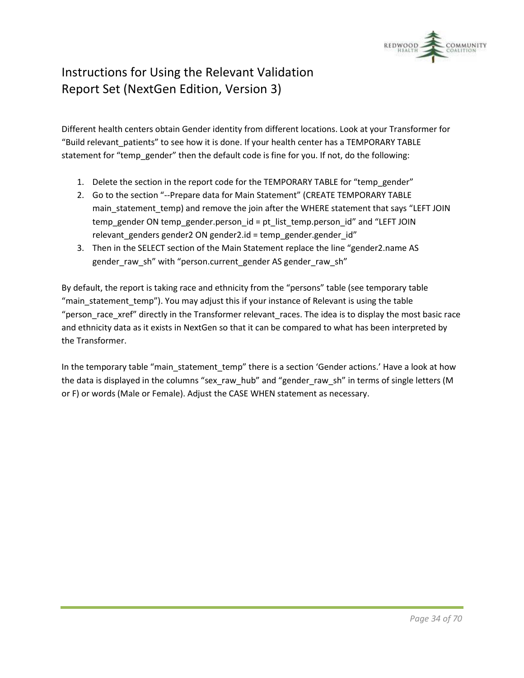

Different health centers obtain Gender identity from different locations. Look at your Transformer for "Build relevant patients" to see how it is done. If your health center has a TEMPORARY TABLE statement for "temp\_gender" then the default code is fine for you. If not, do the following:

- 1. Delete the section in the report code for the TEMPORARY TABLE for "temp\_gender"
- 2. Go to the section "--Prepare data for Main Statement" (CREATE TEMPORARY TABLE main statement temp) and remove the join after the WHERE statement that says "LEFT JOIN temp\_gender ON temp\_gender.person\_id = pt\_list\_temp.person\_id" and "LEFT JOIN relevant\_genders gender2 ON gender2.id = temp\_gender.gender\_id"
- 3. Then in the SELECT section of the Main Statement replace the line "gender2.name AS gender\_raw\_sh" with "person.current\_gender AS gender\_raw\_sh"

By default, the report is taking race and ethnicity from the "persons" table (see temporary table "main\_statement\_temp"). You may adjust this if your instance of Relevant is using the table "person race xref" directly in the Transformer relevant races. The idea is to display the most basic race and ethnicity data as it exists in NextGen so that it can be compared to what has been interpreted by the Transformer.

In the temporary table "main\_statement\_temp" there is a section 'Gender actions.' Have a look at how the data is displayed in the columns "sex\_raw\_hub" and "gender\_raw\_sh" in terms of single letters (M or F) or words (Male or Female). Adjust the CASE WHEN statement as necessary.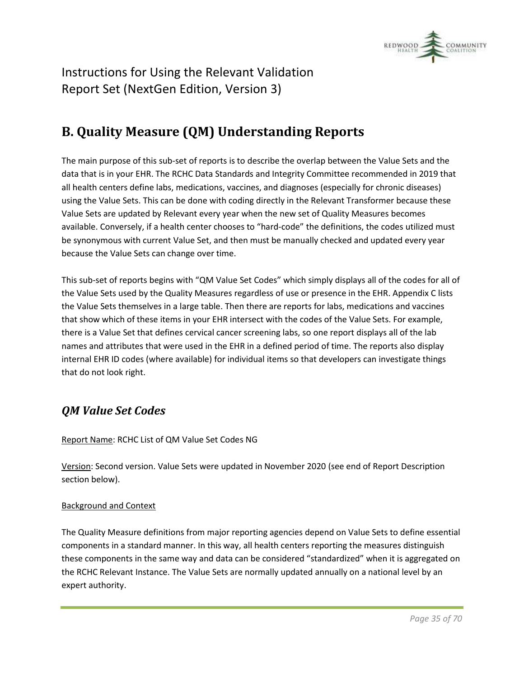

# <span id="page-34-0"></span>**B. Quality Measure (QM) Understanding Reports**

The main purpose of this sub-set of reports is to describe the overlap between the Value Sets and the data that is in your EHR. The RCHC Data Standards and Integrity Committee recommended in 2019 that all health centers define labs, medications, vaccines, and diagnoses (especially for chronic diseases) using the Value Sets. This can be done with coding directly in the Relevant Transformer because these Value Sets are updated by Relevant every year when the new set of Quality Measures becomes available. Conversely, if a health center chooses to "hard-code" the definitions, the codes utilized must be synonymous with current Value Set, and then must be manually checked and updated every year because the Value Sets can change over time.

This sub-set of reports begins with "QM Value Set Codes" which simply displays all of the codes for all of the Value Sets used by the Quality Measures regardless of use or presence in the EHR. Appendix C lists the Value Sets themselves in a large table. Then there are reports for labs, medications and vaccines that show which of these items in your EHR intersect with the codes of the Value Sets. For example, there is a Value Set that defines cervical cancer screening labs, so one report displays all of the lab names and attributes that were used in the EHR in a defined period of time. The reports also display internal EHR ID codes (where available) for individual items so that developers can investigate things that do not look right.

### <span id="page-34-1"></span>*QM Value Set Codes*

Report Name: RCHC List of QM Value Set Codes NG

Version: Second version. Value Sets were updated in November 2020 (see end of Report Description section below).

#### Background and Context

The Quality Measure definitions from major reporting agencies depend on Value Sets to define essential components in a standard manner. In this way, all health centers reporting the measures distinguish these components in the same way and data can be considered "standardized" when it is aggregated on the RCHC Relevant Instance. The Value Sets are normally updated annually on a national level by an expert authority.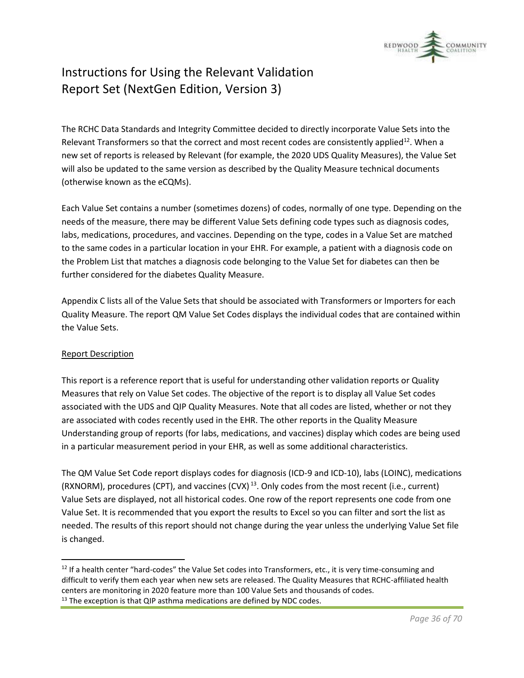

The RCHC Data Standards and Integrity Committee decided to directly incorporate Value Sets into the Relevant Transformers so that the correct and most recent codes are consistently applied<sup>12</sup>. When a new set of reports is released by Relevant (for example, the 2020 UDS Quality Measures), the Value Set will also be updated to the same version as described by the Quality Measure technical documents (otherwise known as the eCQMs).

Each Value Set contains a number (sometimes dozens) of codes, normally of one type. Depending on the needs of the measure, there may be different Value Sets defining code types such as diagnosis codes, labs, medications, procedures, and vaccines. Depending on the type, codes in a Value Set are matched to the same codes in a particular location in your EHR. For example, a patient with a diagnosis code on the Problem List that matches a diagnosis code belonging to the Value Set for diabetes can then be further considered for the diabetes Quality Measure.

Appendix C lists all of the Value Sets that should be associated with Transformers or Importers for each Quality Measure. The report QM Value Set Codes displays the individual codes that are contained within the Value Sets.

#### Report Description

This report is a reference report that is useful for understanding other validation reports or Quality Measures that rely on Value Set codes. The objective of the report is to display all Value Set codes associated with the UDS and QIP Quality Measures. Note that all codes are listed, whether or not they are associated with codes recently used in the EHR. The other reports in the Quality Measure Understanding group of reports (for labs, medications, and vaccines) display which codes are being used in a particular measurement period in your EHR, as well as some additional characteristics.

The QM Value Set Code report displays codes for diagnosis (ICD-9 and ICD-10), labs (LOINC), medications (RXNORM), procedures (CPT), and vaccines (CVX)<sup>13</sup>. Only codes from the most recent (i.e., current) Value Sets are displayed, not all historical codes. One row of the report represents one code from one Value Set. It is recommended that you export the results to Excel so you can filter and sort the list as needed. The results of this report should not change during the year unless the underlying Value Set file is changed.

 $12$  If a health center "hard-codes" the Value Set codes into Transformers, etc., it is very time-consuming and difficult to verify them each year when new sets are released. The Quality Measures that RCHC-affiliated health centers are monitoring in 2020 feature more than 100 Value Sets and thousands of codes.  $13$  The exception is that QIP asthma medications are defined by NDC codes.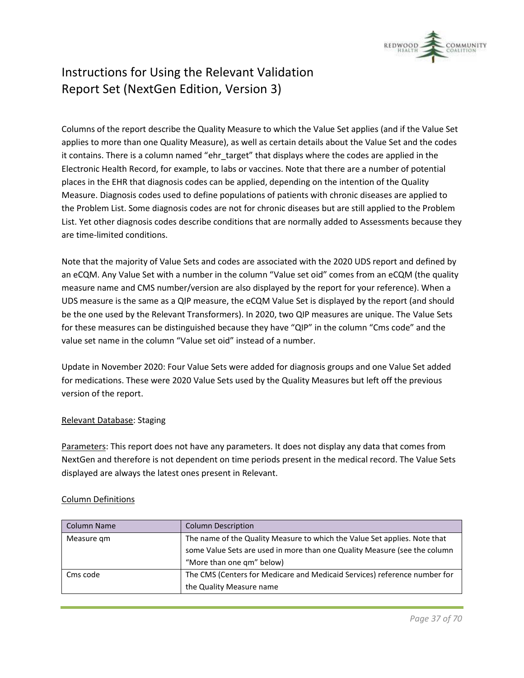

Columns of the report describe the Quality Measure to which the Value Set applies (and if the Value Set applies to more than one Quality Measure), as well as certain details about the Value Set and the codes it contains. There is a column named "ehr\_target" that displays where the codes are applied in the Electronic Health Record, for example, to labs or vaccines. Note that there are a number of potential places in the EHR that diagnosis codes can be applied, depending on the intention of the Quality Measure. Diagnosis codes used to define populations of patients with chronic diseases are applied to the Problem List. Some diagnosis codes are not for chronic diseases but are still applied to the Problem List. Yet other diagnosis codes describe conditions that are normally added to Assessments because they are time-limited conditions.

Note that the majority of Value Sets and codes are associated with the 2020 UDS report and defined by an eCQM. Any Value Set with a number in the column "Value set oid" comes from an eCQM (the quality measure name and CMS number/version are also displayed by the report for your reference). When a UDS measure is the same as a QIP measure, the eCQM Value Set is displayed by the report (and should be the one used by the Relevant Transformers). In 2020, two QIP measures are unique. The Value Sets for these measures can be distinguished because they have "QIP" in the column "Cms code" and the value set name in the column "Value set oid" instead of a number.

Update in November 2020: Four Value Sets were added for diagnosis groups and one Value Set added for medications. These were 2020 Value Sets used by the Quality Measures but left off the previous version of the report.

#### Relevant Database: Staging

Parameters: This report does not have any parameters. It does not display any data that comes from NextGen and therefore is not dependent on time periods present in the medical record. The Value Sets displayed are always the latest ones present in Relevant.

#### Column Definitions

| Column Name | <b>Column Description</b>                                                 |
|-------------|---------------------------------------------------------------------------|
| Measure gm  | The name of the Quality Measure to which the Value Set applies. Note that |
|             | some Value Sets are used in more than one Quality Measure (see the column |
|             | "More than one qm" below)                                                 |
| Cms code    | The CMS (Centers for Medicare and Medicaid Services) reference number for |
|             | the Quality Measure name                                                  |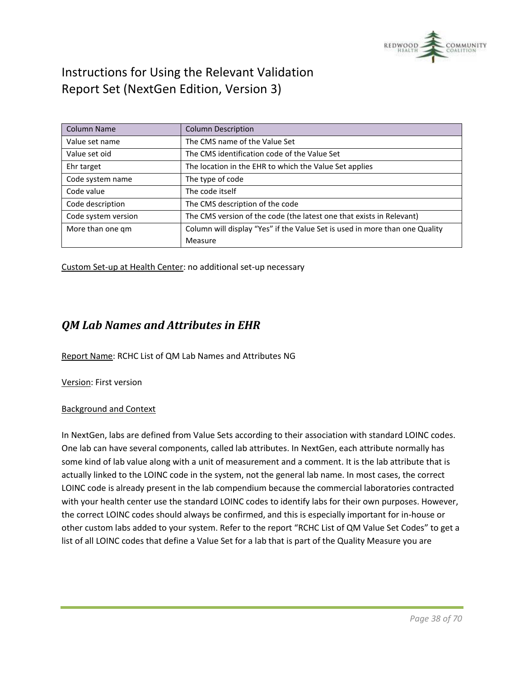

| <b>Column Name</b>  | <b>Column Description</b>                                                   |
|---------------------|-----------------------------------------------------------------------------|
| Value set name      | The CMS name of the Value Set                                               |
| Value set oid       | The CMS identification code of the Value Set                                |
| Ehr target          | The location in the EHR to which the Value Set applies                      |
| Code system name    | The type of code                                                            |
| Code value          | The code itself                                                             |
| Code description    | The CMS description of the code                                             |
| Code system version | The CMS version of the code (the latest one that exists in Relevant)        |
| More than one gm    | Column will display "Yes" if the Value Set is used in more than one Quality |
|                     | Measure                                                                     |

Custom Set-up at Health Center: no additional set-up necessary

### <span id="page-37-0"></span>*QM Lab Names and Attributes in EHR*

Report Name: RCHC List of QM Lab Names and Attributes NG

Version: First version

#### Background and Context

In NextGen, labs are defined from Value Sets according to their association with standard LOINC codes. One lab can have several components, called lab attributes. In NextGen, each attribute normally has some kind of lab value along with a unit of measurement and a comment. It is the lab attribute that is actually linked to the LOINC code in the system, not the general lab name. In most cases, the correct LOINC code is already present in the lab compendium because the commercial laboratories contracted with your health center use the standard LOINC codes to identify labs for their own purposes. However, the correct LOINC codes should always be confirmed, and this is especially important for in-house or other custom labs added to your system. Refer to the report "RCHC List of QM Value Set Codes" to get a list of all LOINC codes that define a Value Set for a lab that is part of the Quality Measure you are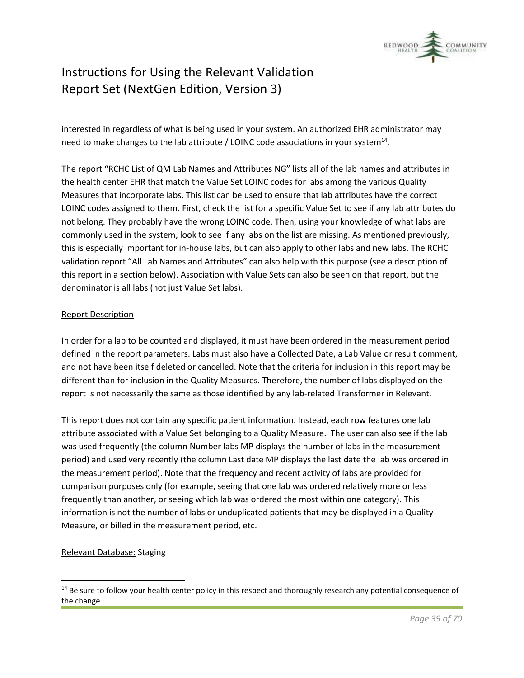

interested in regardless of what is being used in your system. An authorized EHR administrator may need to make changes to the lab attribute / LOINC code associations in your system<sup>14</sup>.

The report "RCHC List of QM Lab Names and Attributes NG" lists all of the lab names and attributes in the health center EHR that match the Value Set LOINC codes for labs among the various Quality Measures that incorporate labs. This list can be used to ensure that lab attributes have the correct LOINC codes assigned to them. First, check the list for a specific Value Set to see if any lab attributes do not belong. They probably have the wrong LOINC code. Then, using your knowledge of what labs are commonly used in the system, look to see if any labs on the list are missing. As mentioned previously, this is especially important for in-house labs, but can also apply to other labs and new labs. The RCHC validation report "All Lab Names and Attributes" can also help with this purpose (see a description of this report in a section below). Association with Value Sets can also be seen on that report, but the denominator is all labs (not just Value Set labs).

#### Report Description

In order for a lab to be counted and displayed, it must have been ordered in the measurement period defined in the report parameters. Labs must also have a Collected Date, a Lab Value or result comment, and not have been itself deleted or cancelled. Note that the criteria for inclusion in this report may be different than for inclusion in the Quality Measures. Therefore, the number of labs displayed on the report is not necessarily the same as those identified by any lab-related Transformer in Relevant.

This report does not contain any specific patient information. Instead, each row features one lab attribute associated with a Value Set belonging to a Quality Measure. The user can also see if the lab was used frequently (the column Number labs MP displays the number of labs in the measurement period) and used very recently (the column Last date MP displays the last date the lab was ordered in the measurement period). Note that the frequency and recent activity of labs are provided for comparison purposes only (for example, seeing that one lab was ordered relatively more or less frequently than another, or seeing which lab was ordered the most within one category). This information is not the number of labs or unduplicated patients that may be displayed in a Quality Measure, or billed in the measurement period, etc.

#### Relevant Database: Staging

 $14$  Be sure to follow your health center policy in this respect and thoroughly research any potential consequence of the change.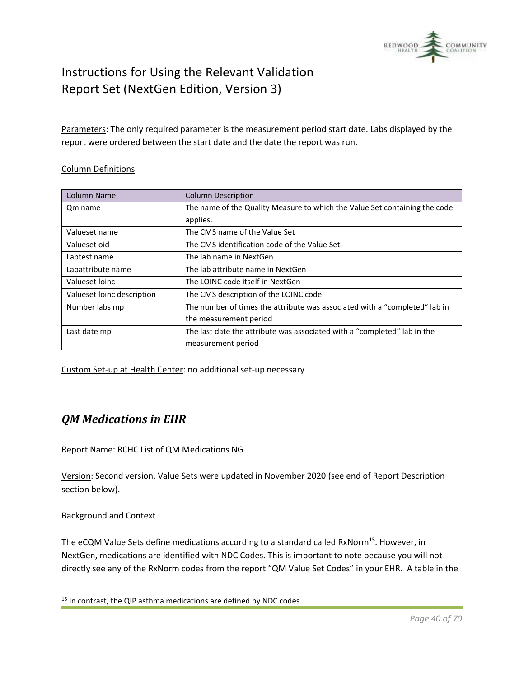

Parameters: The only required parameter is the measurement period start date. Labs displayed by the report were ordered between the start date and the date the report was run.

#### Column Definitions

| Column Name                | <b>Column Description</b>                                                  |
|----------------------------|----------------------------------------------------------------------------|
| Qm name                    | The name of the Quality Measure to which the Value Set containing the code |
|                            | applies.                                                                   |
| Valueset name              | The CMS name of the Value Set                                              |
| Valueset oid               | The CMS identification code of the Value Set                               |
| Labtest name               | The lab name in NextGen                                                    |
| Labattribute name          | The lab attribute name in NextGen                                          |
| Valueset loinc             | The LOINC code itself in NextGen                                           |
| Valueset loinc description | The CMS description of the LOINC code                                      |
| Number labs mp             | The number of times the attribute was associated with a "completed" lab in |
|                            | the measurement period                                                     |
| Last date mp               | The last date the attribute was associated with a "completed" lab in the   |
|                            | measurement period                                                         |

Custom Set-up at Health Center: no additional set-up necessary

### <span id="page-39-0"></span>*QM Medications in EHR*

Report Name: RCHC List of QM Medications NG

Version: Second version. Value Sets were updated in November 2020 (see end of Report Description section below).

#### Background and Context

The eCQM Value Sets define medications according to a standard called RxNorm<sup>15</sup>. However, in NextGen, medications are identified with NDC Codes. This is important to note because you will not directly see any of the RxNorm codes from the report "QM Value Set Codes" in your EHR. A table in the

 $15$  In contrast, the QIP asthma medications are defined by NDC codes.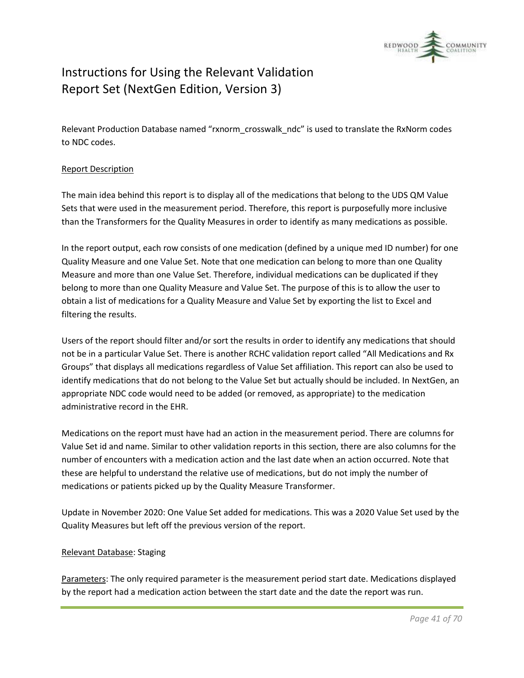

Relevant Production Database named "rxnorm\_crosswalk\_ndc" is used to translate the RxNorm codes to NDC codes.

#### Report Description

The main idea behind this report is to display all of the medications that belong to the UDS QM Value Sets that were used in the measurement period. Therefore, this report is purposefully more inclusive than the Transformers for the Quality Measures in order to identify as many medications as possible.

In the report output, each row consists of one medication (defined by a unique med ID number) for one Quality Measure and one Value Set. Note that one medication can belong to more than one Quality Measure and more than one Value Set. Therefore, individual medications can be duplicated if they belong to more than one Quality Measure and Value Set. The purpose of this is to allow the user to obtain a list of medications for a Quality Measure and Value Set by exporting the list to Excel and filtering the results.

Users of the report should filter and/or sort the results in order to identify any medications that should not be in a particular Value Set. There is another RCHC validation report called "All Medications and Rx Groups" that displays all medications regardless of Value Set affiliation. This report can also be used to identify medications that do not belong to the Value Set but actually should be included. In NextGen, an appropriate NDC code would need to be added (or removed, as appropriate) to the medication administrative record in the EHR.

Medications on the report must have had an action in the measurement period. There are columns for Value Set id and name. Similar to other validation reports in this section, there are also columns for the number of encounters with a medication action and the last date when an action occurred. Note that these are helpful to understand the relative use of medications, but do not imply the number of medications or patients picked up by the Quality Measure Transformer.

Update in November 2020: One Value Set added for medications. This was a 2020 Value Set used by the Quality Measures but left off the previous version of the report.

#### Relevant Database: Staging

Parameters: The only required parameter is the measurement period start date. Medications displayed by the report had a medication action between the start date and the date the report was run.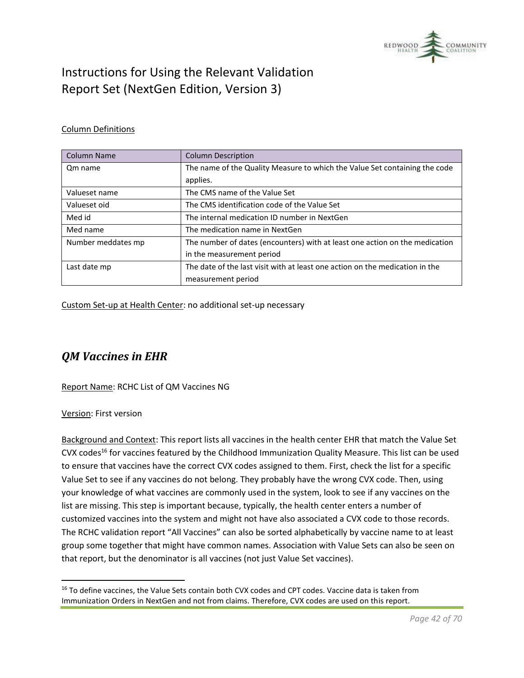

#### Column Definitions

| Column Name        | <b>Column Description</b>                                                    |
|--------------------|------------------------------------------------------------------------------|
| Om name            | The name of the Quality Measure to which the Value Set containing the code   |
|                    | applies.                                                                     |
| Valueset name      | The CMS name of the Value Set                                                |
| Valueset oid       | The CMS identification code of the Value Set                                 |
| Med id             | The internal medication ID number in NextGen                                 |
| Med name           | The medication name in NextGen                                               |
| Number meddates mp | The number of dates (encounters) with at least one action on the medication  |
|                    | in the measurement period                                                    |
| Last date mp       | The date of the last visit with at least one action on the medication in the |
|                    | measurement period                                                           |

Custom Set-up at Health Center: no additional set-up necessary

### <span id="page-41-0"></span>*QM Vaccines in EHR*

Report Name: RCHC List of QM Vaccines NG

Version: First version

Background and Context: This report lists all vaccines in the health center EHR that match the Value Set CVX codes<sup>16</sup> for vaccines featured by the Childhood Immunization Quality Measure. This list can be used to ensure that vaccines have the correct CVX codes assigned to them. First, check the list for a specific Value Set to see if any vaccines do not belong. They probably have the wrong CVX code. Then, using your knowledge of what vaccines are commonly used in the system, look to see if any vaccines on the list are missing. This step is important because, typically, the health center enters a number of customized vaccines into the system and might not have also associated a CVX code to those records. The RCHC validation report "All Vaccines" can also be sorted alphabetically by vaccine name to at least group some together that might have common names. Association with Value Sets can also be seen on that report, but the denominator is all vaccines (not just Value Set vaccines).

<sup>&</sup>lt;sup>16</sup> To define vaccines, the Value Sets contain both CVX codes and CPT codes. Vaccine data is taken from Immunization Orders in NextGen and not from claims. Therefore, CVX codes are used on this report.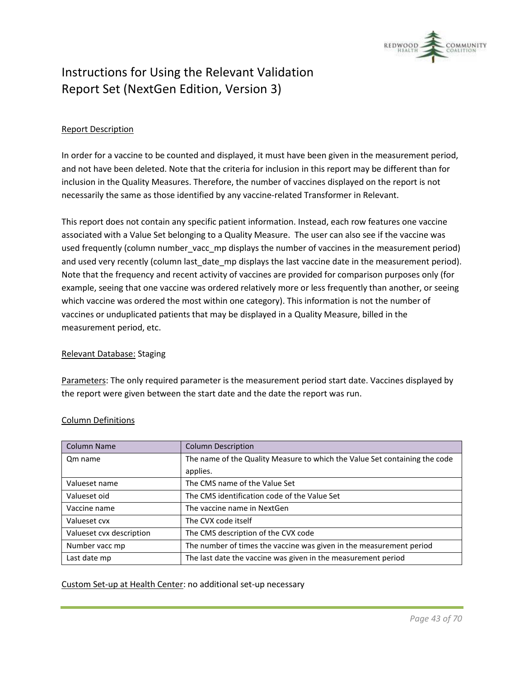

#### Report Description

In order for a vaccine to be counted and displayed, it must have been given in the measurement period, and not have been deleted. Note that the criteria for inclusion in this report may be different than for inclusion in the Quality Measures. Therefore, the number of vaccines displayed on the report is not necessarily the same as those identified by any vaccine-related Transformer in Relevant.

This report does not contain any specific patient information. Instead, each row features one vaccine associated with a Value Set belonging to a Quality Measure. The user can also see if the vaccine was used frequently (column number vacc mp displays the number of vaccines in the measurement period) and used very recently (column last\_date\_mp displays the last vaccine date in the measurement period). Note that the frequency and recent activity of vaccines are provided for comparison purposes only (for example, seeing that one vaccine was ordered relatively more or less frequently than another, or seeing which vaccine was ordered the most within one category). This information is not the number of vaccines or unduplicated patients that may be displayed in a Quality Measure, billed in the measurement period, etc.

#### Relevant Database: Staging

Parameters: The only required parameter is the measurement period start date. Vaccines displayed by the report were given between the start date and the date the report was run.

| <b>Column Name</b>       | <b>Column Description</b>                                                  |
|--------------------------|----------------------------------------------------------------------------|
| Qm name                  | The name of the Quality Measure to which the Value Set containing the code |
|                          | applies.                                                                   |
| Valueset name            | The CMS name of the Value Set                                              |
| Valueset oid             | The CMS identification code of the Value Set                               |
| Vaccine name             | The vaccine name in NextGen                                                |
| Valueset cvx             | The CVX code itself                                                        |
| Valueset cvx description | The CMS description of the CVX code                                        |
| Number vacc mp           | The number of times the vaccine was given in the measurement period        |
| Last date mp             | The last date the vaccine was given in the measurement period              |

#### Column Definitions

Custom Set-up at Health Center: no additional set-up necessary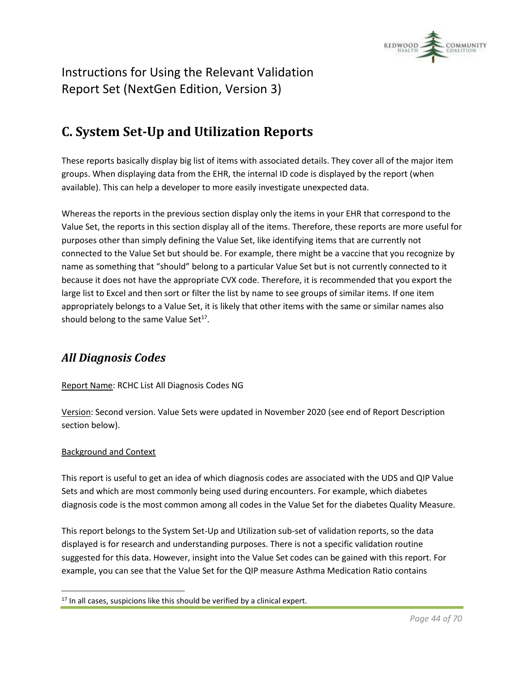

# <span id="page-43-0"></span>**C. System Set-Up and Utilization Reports**

These reports basically display big list of items with associated details. They cover all of the major item groups. When displaying data from the EHR, the internal ID code is displayed by the report (when available). This can help a developer to more easily investigate unexpected data.

Whereas the reports in the previous section display only the items in your EHR that correspond to the Value Set, the reports in this section display all of the items. Therefore, these reports are more useful for purposes other than simply defining the Value Set, like identifying items that are currently not connected to the Value Set but should be. For example, there might be a vaccine that you recognize by name as something that "should" belong to a particular Value Set but is not currently connected to it because it does not have the appropriate CVX code. Therefore, it is recommended that you export the large list to Excel and then sort or filter the list by name to see groups of similar items. If one item appropriately belongs to a Value Set, it is likely that other items with the same or similar names also should belong to the same Value Set $^{17}$ .

### <span id="page-43-1"></span>*All Diagnosis Codes*

#### Report Name: RCHC List All Diagnosis Codes NG

Version: Second version. Value Sets were updated in November 2020 (see end of Report Description section below).

#### Background and Context

This report is useful to get an idea of which diagnosis codes are associated with the UDS and QIP Value Sets and which are most commonly being used during encounters. For example, which diabetes diagnosis code is the most common among all codes in the Value Set for the diabetes Quality Measure.

This report belongs to the System Set-Up and Utilization sub-set of validation reports, so the data displayed is for research and understanding purposes. There is not a specific validation routine suggested for this data. However, insight into the Value Set codes can be gained with this report. For example, you can see that the Value Set for the QIP measure Asthma Medication Ratio contains

 $17$  In all cases, suspicions like this should be verified by a clinical expert.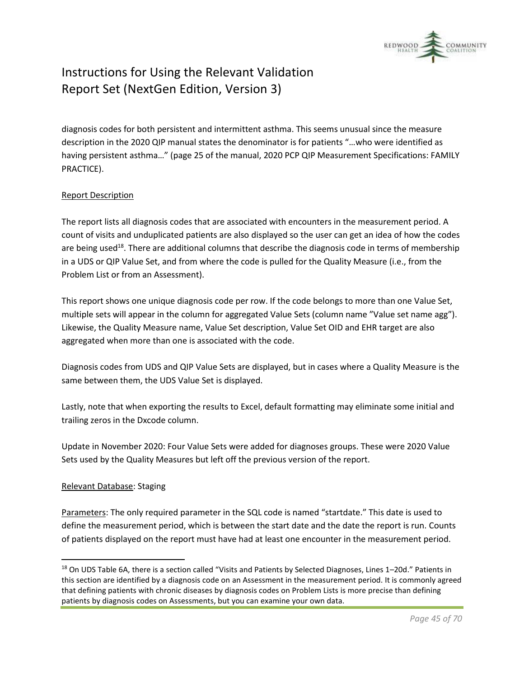

diagnosis codes for both persistent and intermittent asthma. This seems unusual since the measure description in the 2020 QIP manual states the denominator is for patients "…who were identified as having persistent asthma…" (page 25 of the manual, 2020 PCP QIP Measurement Specifications: FAMILY PRACTICE).

#### Report Description

The report lists all diagnosis codes that are associated with encounters in the measurement period. A count of visits and unduplicated patients are also displayed so the user can get an idea of how the codes are being used<sup>18</sup>. There are additional columns that describe the diagnosis code in terms of membership in a UDS or QIP Value Set, and from where the code is pulled for the Quality Measure (i.e., from the Problem List or from an Assessment).

This report shows one unique diagnosis code per row. If the code belongs to more than one Value Set, multiple sets will appear in the column for aggregated Value Sets (column name "Value set name agg"). Likewise, the Quality Measure name, Value Set description, Value Set OID and EHR target are also aggregated when more than one is associated with the code.

Diagnosis codes from UDS and QIP Value Sets are displayed, but in cases where a Quality Measure is the same between them, the UDS Value Set is displayed.

Lastly, note that when exporting the results to Excel, default formatting may eliminate some initial and trailing zeros in the Dxcode column.

Update in November 2020: Four Value Sets were added for diagnoses groups. These were 2020 Value Sets used by the Quality Measures but left off the previous version of the report.

#### Relevant Database: Staging

Parameters: The only required parameter in the SQL code is named "startdate." This date is used to define the measurement period, which is between the start date and the date the report is run. Counts of patients displayed on the report must have had at least one encounter in the measurement period.

<sup>&</sup>lt;sup>18</sup> On UDS Table 6A, there is a section called "Visits and Patients by Selected Diagnoses, Lines 1–20d." Patients in this section are identified by a diagnosis code on an Assessment in the measurement period. It is commonly agreed that defining patients with chronic diseases by diagnosis codes on Problem Lists is more precise than defining patients by diagnosis codes on Assessments, but you can examine your own data.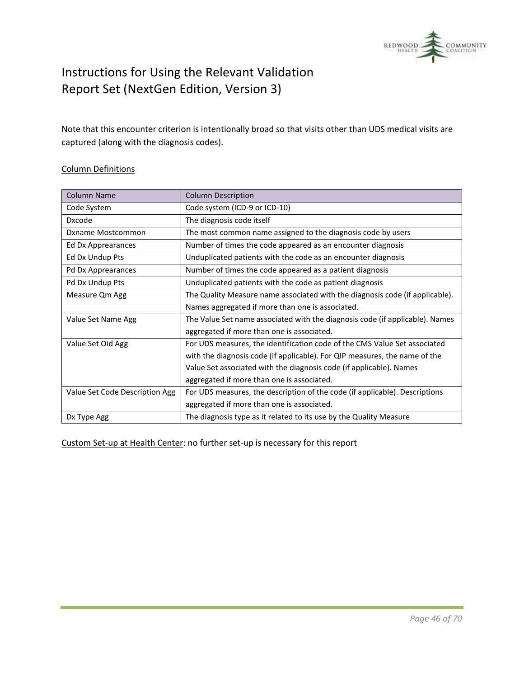

Note that this encounter criterion is intentionally broad so that visits other than UDS medical visits are captured (along with the diagnosis codes).

#### Column Definitions

| <b>Column Name</b>             | <b>Column Description</b>                                                    |
|--------------------------------|------------------------------------------------------------------------------|
| Code System                    | Code system (ICD-9 or ICD-10)                                                |
| <b>Dxcode</b>                  | The diagnosis code itself                                                    |
| Dxname Mostcommon              | The most common name assigned to the diagnosis code by users                 |
| Ed Dx Apprearances             | Number of times the code appeared as an encounter diagnosis                  |
| Ed Dx Undup Pts                | Unduplicated patients with the code as an encounter diagnosis                |
| Pd Dx Apprearances             | Number of times the code appeared as a patient diagnosis                     |
| Pd Dx Undup Pts                | Unduplicated patients with the code as patient diagnosis                     |
| Measure Qm Agg                 | The Quality Measure name associated with the diagnosis code (if applicable). |
|                                | Names aggregated if more than one is associated.                             |
| Value Set Name Agg             | The Value Set name associated with the diagnosis code (if applicable). Names |
|                                | aggregated if more than one is associated.                                   |
| Value Set Oid Agg              | For UDS measures, the identification code of the CMS Value Set associated    |
|                                | with the diagnosis code (if applicable). For QIP measures, the name of the   |
|                                | Value Set associated with the diagnosis code (if applicable). Names          |
|                                | aggregated if more than one is associated.                                   |
| Value Set Code Description Agg | For UDS measures, the description of the code (if applicable). Descriptions  |
|                                | aggregated if more than one is associated.                                   |
| Dx Type Agg                    | The diagnosis type as it related to its use by the Quality Measure           |

Custom Set-up at Health Center: no further set-up is necessary for this report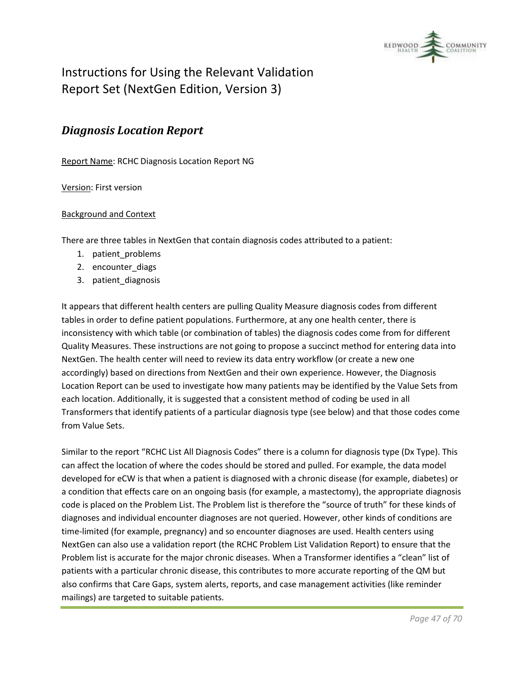

### <span id="page-46-0"></span>*Diagnosis Location Report*

Report Name: RCHC Diagnosis Location Report NG

Version: First version

#### Background and Context

There are three tables in NextGen that contain diagnosis codes attributed to a patient:

- 1. patient\_problems
- 2. encounter diags
- 3. patient\_diagnosis

It appears that different health centers are pulling Quality Measure diagnosis codes from different tables in order to define patient populations. Furthermore, at any one health center, there is inconsistency with which table (or combination of tables) the diagnosis codes come from for different Quality Measures. These instructions are not going to propose a succinct method for entering data into NextGen. The health center will need to review its data entry workflow (or create a new one accordingly) based on directions from NextGen and their own experience. However, the Diagnosis Location Report can be used to investigate how many patients may be identified by the Value Sets from each location. Additionally, it is suggested that a consistent method of coding be used in all Transformers that identify patients of a particular diagnosis type (see below) and that those codes come from Value Sets.

Similar to the report "RCHC List All Diagnosis Codes" there is a column for diagnosis type (Dx Type). This can affect the location of where the codes should be stored and pulled. For example, the data model developed for eCW is that when a patient is diagnosed with a chronic disease (for example, diabetes) or a condition that effects care on an ongoing basis (for example, a mastectomy), the appropriate diagnosis code is placed on the Problem List. The Problem list is therefore the "source of truth" for these kinds of diagnoses and individual encounter diagnoses are not queried. However, other kinds of conditions are time-limited (for example, pregnancy) and so encounter diagnoses are used. Health centers using NextGen can also use a validation report (the RCHC Problem List Validation Report) to ensure that the Problem list is accurate for the major chronic diseases. When a Transformer identifies a "clean" list of patients with a particular chronic disease, this contributes to more accurate reporting of the QM but also confirms that Care Gaps, system alerts, reports, and case management activities (like reminder mailings) are targeted to suitable patients.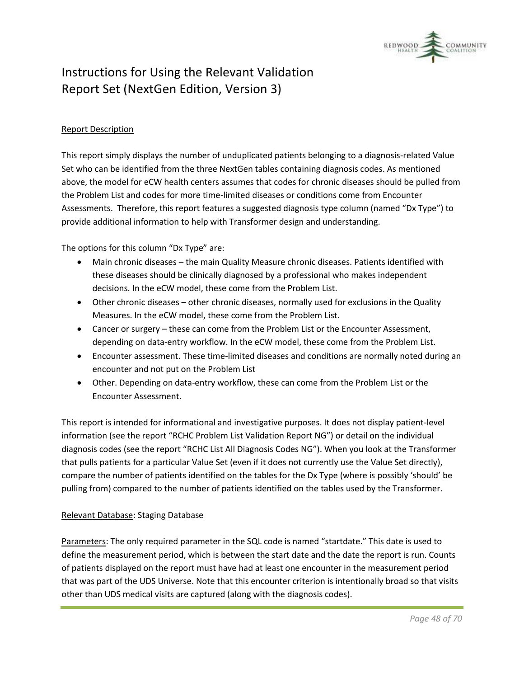

#### Report Description

This report simply displays the number of unduplicated patients belonging to a diagnosis-related Value Set who can be identified from the three NextGen tables containing diagnosis codes. As mentioned above, the model for eCW health centers assumes that codes for chronic diseases should be pulled from the Problem List and codes for more time-limited diseases or conditions come from Encounter Assessments. Therefore, this report features a suggested diagnosis type column (named "Dx Type") to provide additional information to help with Transformer design and understanding.

The options for this column "Dx Type" are:

- Main chronic diseases the main Quality Measure chronic diseases. Patients identified with these diseases should be clinically diagnosed by a professional who makes independent decisions. In the eCW model, these come from the Problem List.
- Other chronic diseases other chronic diseases, normally used for exclusions in the Quality Measures. In the eCW model, these come from the Problem List.
- Cancer or surgery these can come from the Problem List or the Encounter Assessment, depending on data-entry workflow. In the eCW model, these come from the Problem List.
- Encounter assessment. These time-limited diseases and conditions are normally noted during an encounter and not put on the Problem List
- Other. Depending on data-entry workflow, these can come from the Problem List or the Encounter Assessment.

This report is intended for informational and investigative purposes. It does not display patient-level information (see the report "RCHC Problem List Validation Report NG") or detail on the individual diagnosis codes (see the report "RCHC List All Diagnosis Codes NG"). When you look at the Transformer that pulls patients for a particular Value Set (even if it does not currently use the Value Set directly), compare the number of patients identified on the tables for the Dx Type (where is possibly 'should' be pulling from) compared to the number of patients identified on the tables used by the Transformer.

#### Relevant Database: Staging Database

Parameters: The only required parameter in the SQL code is named "startdate." This date is used to define the measurement period, which is between the start date and the date the report is run. Counts of patients displayed on the report must have had at least one encounter in the measurement period that was part of the UDS Universe. Note that this encounter criterion is intentionally broad so that visits other than UDS medical visits are captured (along with the diagnosis codes).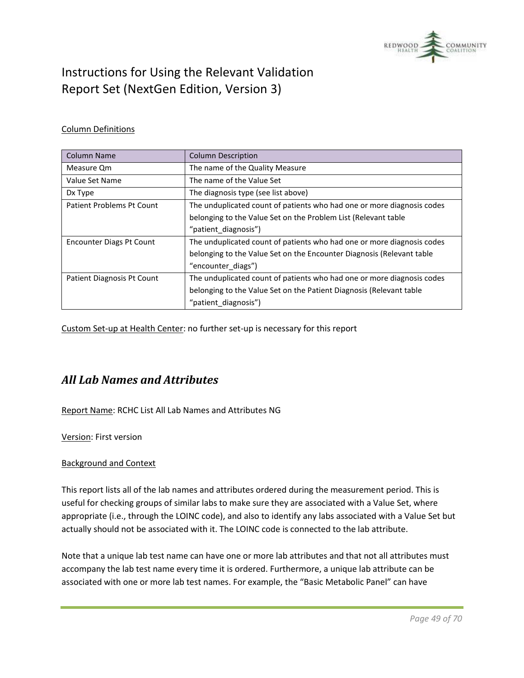

#### Column Definitions

| Column Name                | <b>Column Description</b>                                              |
|----------------------------|------------------------------------------------------------------------|
| Measure Om                 | The name of the Quality Measure                                        |
| Value Set Name             | The name of the Value Set                                              |
| Dx Type                    | The diagnosis type (see list above)                                    |
| Patient Problems Pt Count  | The unduplicated count of patients who had one or more diagnosis codes |
|                            | belonging to the Value Set on the Problem List (Relevant table         |
|                            | "patient diagnosis")                                                   |
| Encounter Diags Pt Count   | The unduplicated count of patients who had one or more diagnosis codes |
|                            | belonging to the Value Set on the Encounter Diagnosis (Relevant table  |
|                            | "encounter diags")                                                     |
| Patient Diagnosis Pt Count | The unduplicated count of patients who had one or more diagnosis codes |
|                            | belonging to the Value Set on the Patient Diagnosis (Relevant table    |
|                            | "patient diagnosis")                                                   |

Custom Set-up at Health Center: no further set-up is necessary for this report

### <span id="page-48-0"></span>*All Lab Names and Attributes*

Report Name: RCHC List All Lab Names and Attributes NG

Version: First version

#### Background and Context

This report lists all of the lab names and attributes ordered during the measurement period. This is useful for checking groups of similar labs to make sure they are associated with a Value Set, where appropriate (i.e., through the LOINC code), and also to identify any labs associated with a Value Set but actually should not be associated with it. The LOINC code is connected to the lab attribute.

Note that a unique lab test name can have one or more lab attributes and that not all attributes must accompany the lab test name every time it is ordered. Furthermore, a unique lab attribute can be associated with one or more lab test names. For example, the "Basic Metabolic Panel" can have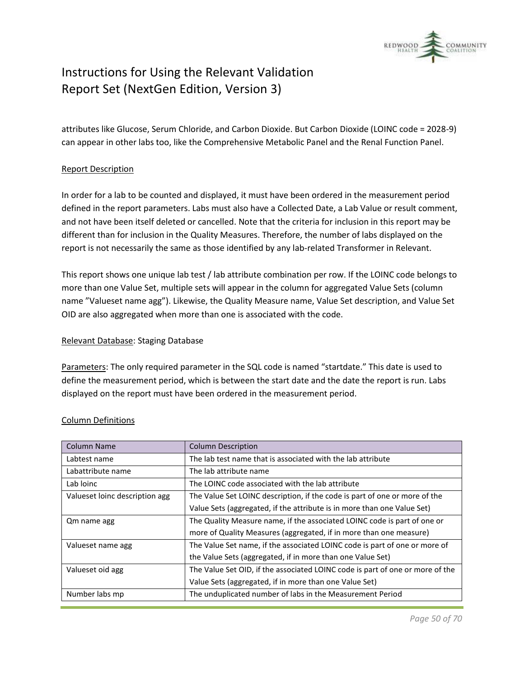

attributes like Glucose, Serum Chloride, and Carbon Dioxide. But Carbon Dioxide (LOINC code = 2028-9) can appear in other labs too, like the Comprehensive Metabolic Panel and the Renal Function Panel.

#### Report Description

In order for a lab to be counted and displayed, it must have been ordered in the measurement period defined in the report parameters. Labs must also have a Collected Date, a Lab Value or result comment, and not have been itself deleted or cancelled. Note that the criteria for inclusion in this report may be different than for inclusion in the Quality Measures. Therefore, the number of labs displayed on the report is not necessarily the same as those identified by any lab-related Transformer in Relevant.

This report shows one unique lab test / lab attribute combination per row. If the LOINC code belongs to more than one Value Set, multiple sets will appear in the column for aggregated Value Sets (column name "Valueset name agg"). Likewise, the Quality Measure name, Value Set description, and Value Set OID are also aggregated when more than one is associated with the code.

#### Relevant Database: Staging Database

Parameters: The only required parameter in the SQL code is named "startdate." This date is used to define the measurement period, which is between the start date and the date the report is run. Labs displayed on the report must have been ordered in the measurement period.

| <b>Column Name</b>             | <b>Column Description</b>                                                     |
|--------------------------------|-------------------------------------------------------------------------------|
| Labtest name                   | The lab test name that is associated with the lab attribute                   |
| Labattribute name              | The lab attribute name                                                        |
| Lab loinc                      | The LOINC code associated with the lab attribute                              |
| Valueset loinc description agg | The Value Set LOINC description, if the code is part of one or more of the    |
|                                | Value Sets (aggregated, if the attribute is in more than one Value Set)       |
| Qm name agg                    | The Quality Measure name, if the associated LOINC code is part of one or      |
|                                | more of Quality Measures (aggregated, if in more than one measure)            |
| Valueset name agg              | The Value Set name, if the associated LOINC code is part of one or more of    |
|                                | the Value Sets (aggregated, if in more than one Value Set)                    |
| Valueset oid agg               | The Value Set OID, if the associated LOINC code is part of one or more of the |
|                                | Value Sets (aggregated, if in more than one Value Set)                        |
| Number labs mp                 | The unduplicated number of labs in the Measurement Period                     |

#### Column Definitions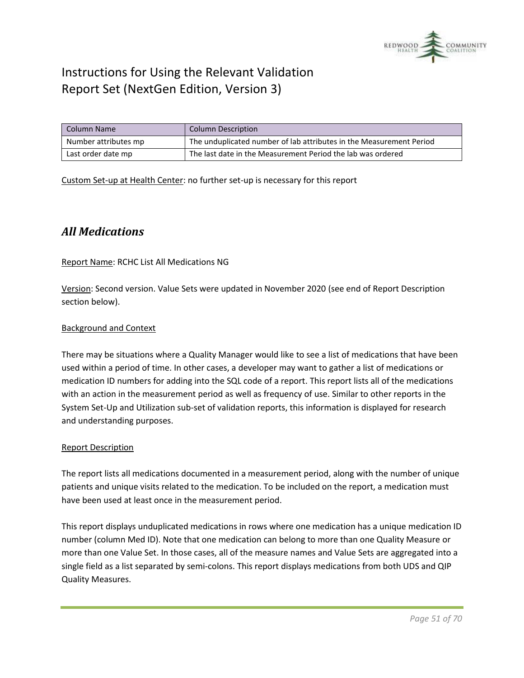

| Column Name          | <b>Column Description</b>                                           |
|----------------------|---------------------------------------------------------------------|
| Number attributes mp | The unduplicated number of lab attributes in the Measurement Period |
| Last order date mp   | The last date in the Measurement Period the lab was ordered         |

Custom Set-up at Health Center: no further set-up is necessary for this report

### <span id="page-50-0"></span>*All Medications*

#### Report Name: RCHC List All Medications NG

Version: Second version. Value Sets were updated in November 2020 (see end of Report Description section below).

#### Background and Context

There may be situations where a Quality Manager would like to see a list of medications that have been used within a period of time. In other cases, a developer may want to gather a list of medications or medication ID numbers for adding into the SQL code of a report. This report lists all of the medications with an action in the measurement period as well as frequency of use. Similar to other reports in the System Set-Up and Utilization sub-set of validation reports, this information is displayed for research and understanding purposes.

#### Report Description

The report lists all medications documented in a measurement period, along with the number of unique patients and unique visits related to the medication. To be included on the report, a medication must have been used at least once in the measurement period.

This report displays unduplicated medications in rows where one medication has a unique medication ID number (column Med ID). Note that one medication can belong to more than one Quality Measure or more than one Value Set. In those cases, all of the measure names and Value Sets are aggregated into a single field as a list separated by semi-colons. This report displays medications from both UDS and QIP Quality Measures.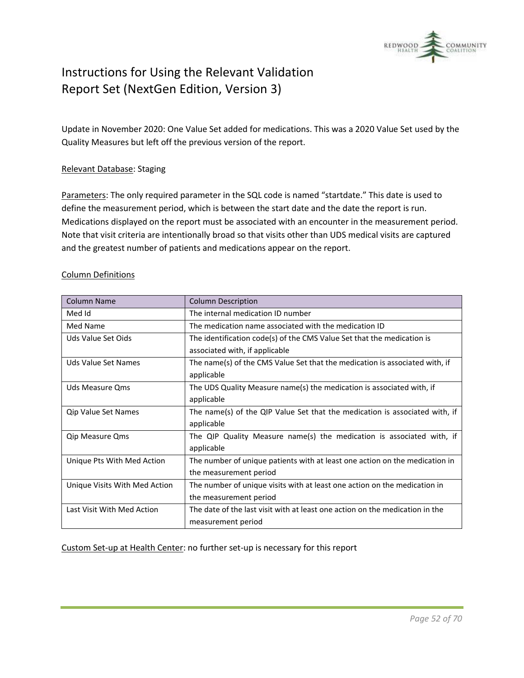

Update in November 2020: One Value Set added for medications. This was a 2020 Value Set used by the Quality Measures but left off the previous version of the report.

#### Relevant Database: Staging

Parameters: The only required parameter in the SQL code is named "startdate." This date is used to define the measurement period, which is between the start date and the date the report is run. Medications displayed on the report must be associated with an encounter in the measurement period. Note that visit criteria are intentionally broad so that visits other than UDS medical visits are captured and the greatest number of patients and medications appear on the report.

| <b>Column Name</b>            | <b>Column Description</b>                                                    |
|-------------------------------|------------------------------------------------------------------------------|
| Med Id                        | The internal medication ID number                                            |
| Med Name                      | The medication name associated with the medication ID                        |
| Uds Value Set Oids            | The identification code(s) of the CMS Value Set that the medication is       |
|                               | associated with, if applicable                                               |
| Uds Value Set Names           | The name(s) of the CMS Value Set that the medication is associated with, if  |
|                               | applicable                                                                   |
| Uds Measure Oms               | The UDS Quality Measure name(s) the medication is associated with, if        |
|                               | applicable                                                                   |
| Qip Value Set Names           | The name(s) of the QIP Value Set that the medication is associated with, if  |
|                               | applicable                                                                   |
| <b>Qip Measure Qms</b>        | The QIP Quality Measure name(s) the medication is associated with, if        |
|                               | applicable                                                                   |
| Unique Pts With Med Action    | The number of unique patients with at least one action on the medication in  |
|                               | the measurement period                                                       |
| Unique Visits With Med Action | The number of unique visits with at least one action on the medication in    |
|                               | the measurement period                                                       |
| Last Visit With Med Action    | The date of the last visit with at least one action on the medication in the |
|                               | measurement period                                                           |

#### Column Definitions

Custom Set-up at Health Center: no further set-up is necessary for this report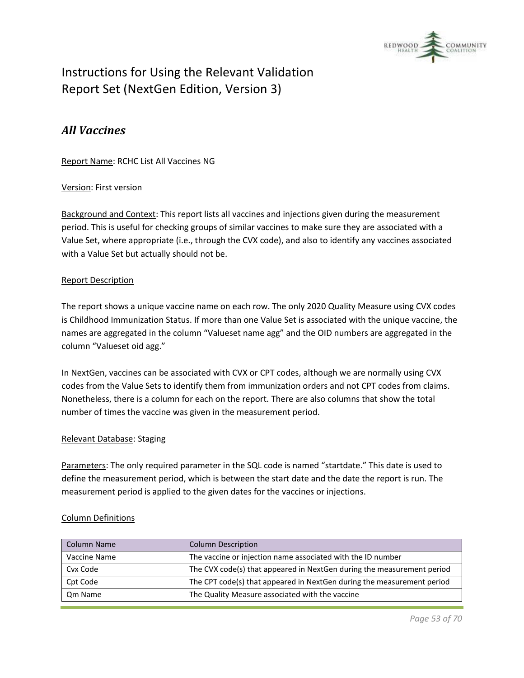

### <span id="page-52-0"></span>*All Vaccines*

Report Name: RCHC List All Vaccines NG

#### Version: First version

Background and Context: This report lists all vaccines and injections given during the measurement period. This is useful for checking groups of similar vaccines to make sure they are associated with a Value Set, where appropriate (i.e., through the CVX code), and also to identify any vaccines associated with a Value Set but actually should not be.

#### Report Description

The report shows a unique vaccine name on each row. The only 2020 Quality Measure using CVX codes is Childhood Immunization Status. If more than one Value Set is associated with the unique vaccine, the names are aggregated in the column "Valueset name agg" and the OID numbers are aggregated in the column "Valueset oid agg."

In NextGen, vaccines can be associated with CVX or CPT codes, although we are normally using CVX codes from the Value Sets to identify them from immunization orders and not CPT codes from claims. Nonetheless, there is a column for each on the report. There are also columns that show the total number of times the vaccine was given in the measurement period.

#### Relevant Database: Staging

Parameters: The only required parameter in the SQL code is named "startdate." This date is used to define the measurement period, which is between the start date and the date the report is run. The measurement period is applied to the given dates for the vaccines or injections.

#### Column Definitions

| <b>Column Name</b> | <b>Column Description</b>                                              |
|--------------------|------------------------------------------------------------------------|
| Vaccine Name       | The vaccine or injection name associated with the ID number            |
| Cvx Code           | The CVX code(s) that appeared in NextGen during the measurement period |
| Cpt Code           | The CPT code(s) that appeared in NextGen during the measurement period |
| Om Name            | The Quality Measure associated with the vaccine                        |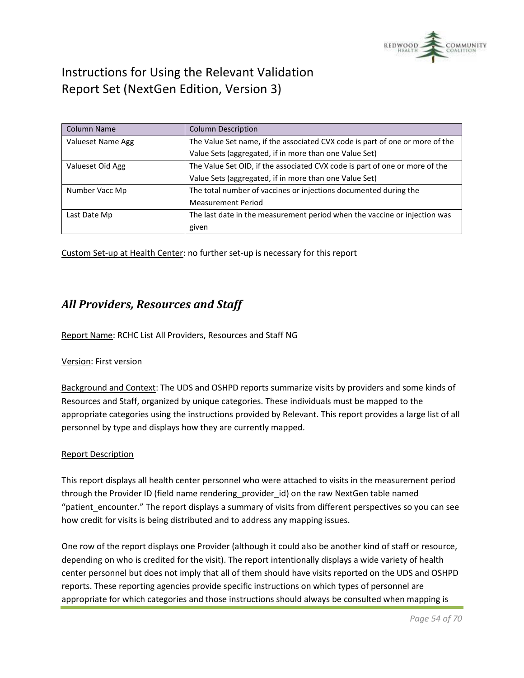

| <b>Column Name</b> | <b>Column Description</b>                                                    |  |  |  |
|--------------------|------------------------------------------------------------------------------|--|--|--|
| Valueset Name Agg  | The Value Set name, if the associated CVX code is part of one or more of the |  |  |  |
|                    | Value Sets (aggregated, if in more than one Value Set)                       |  |  |  |
| Valueset Oid Agg   | The Value Set OID, if the associated CVX code is part of one or more of the  |  |  |  |
|                    | Value Sets (aggregated, if in more than one Value Set)                       |  |  |  |
| Number Vacc Mp     | The total number of vaccines or injections documented during the             |  |  |  |
|                    | <b>Measurement Period</b>                                                    |  |  |  |
| Last Date Mp       | The last date in the measurement period when the vaccine or injection was    |  |  |  |
|                    | given                                                                        |  |  |  |

Custom Set-up at Health Center: no further set-up is necessary for this report

### <span id="page-53-0"></span>*All Providers, Resources and Staff*

Report Name: RCHC List All Providers, Resources and Staff NG

#### Version: First version

Background and Context: The UDS and OSHPD reports summarize visits by providers and some kinds of Resources and Staff, organized by unique categories. These individuals must be mapped to the appropriate categories using the instructions provided by Relevant. This report provides a large list of all personnel by type and displays how they are currently mapped.

#### Report Description

This report displays all health center personnel who were attached to visits in the measurement period through the Provider ID (field name rendering\_provider\_id) on the raw NextGen table named "patient\_encounter." The report displays a summary of visits from different perspectives so you can see how credit for visits is being distributed and to address any mapping issues.

One row of the report displays one Provider (although it could also be another kind of staff or resource, depending on who is credited for the visit). The report intentionally displays a wide variety of health center personnel but does not imply that all of them should have visits reported on the UDS and OSHPD reports. These reporting agencies provide specific instructions on which types of personnel are appropriate for which categories and those instructions should always be consulted when mapping is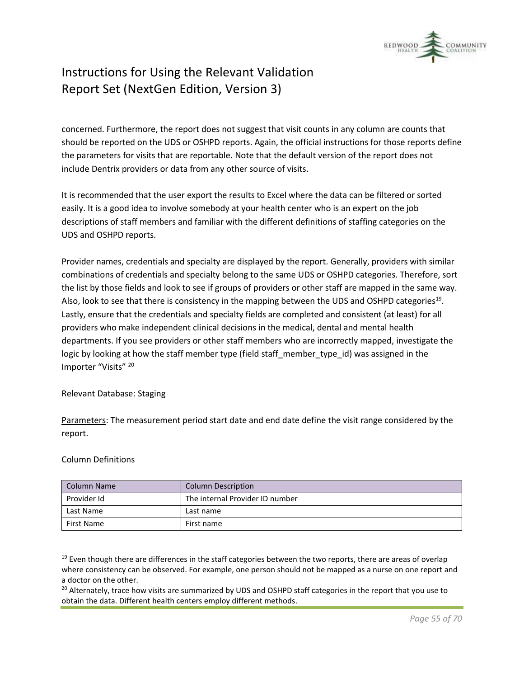

concerned. Furthermore, the report does not suggest that visit counts in any column are counts that should be reported on the UDS or OSHPD reports. Again, the official instructions for those reports define the parameters for visits that are reportable. Note that the default version of the report does not include Dentrix providers or data from any other source of visits.

It is recommended that the user export the results to Excel where the data can be filtered or sorted easily. It is a good idea to involve somebody at your health center who is an expert on the job descriptions of staff members and familiar with the different definitions of staffing categories on the UDS and OSHPD reports.

Provider names, credentials and specialty are displayed by the report. Generally, providers with similar combinations of credentials and specialty belong to the same UDS or OSHPD categories. Therefore, sort the list by those fields and look to see if groups of providers or other staff are mapped in the same way. Also, look to see that there is consistency in the mapping between the UDS and OSHPD categories<sup>19</sup>. Lastly, ensure that the credentials and specialty fields are completed and consistent (at least) for all providers who make independent clinical decisions in the medical, dental and mental health departments. If you see providers or other staff members who are incorrectly mapped, investigate the logic by looking at how the staff member type (field staff member type id) was assigned in the Importer "Visits" <sup>20</sup>

#### Relevant Database: Staging

Parameters: The measurement period start date and end date define the visit range considered by the report.

#### Column Definitions

| Column Name | <b>Column Description</b>       |  |  |
|-------------|---------------------------------|--|--|
| Provider Id | The internal Provider ID number |  |  |
| Last Name   | Last name                       |  |  |
| First Name  | First name                      |  |  |

 $19$  Even though there are differences in the staff categories between the two reports, there are areas of overlap where consistency can be observed. For example, one person should not be mapped as a nurse on one report and a doctor on the other.

<sup>&</sup>lt;sup>20</sup> Alternately, trace how visits are summarized by UDS and OSHPD staff categories in the report that you use to obtain the data. Different health centers employ different methods.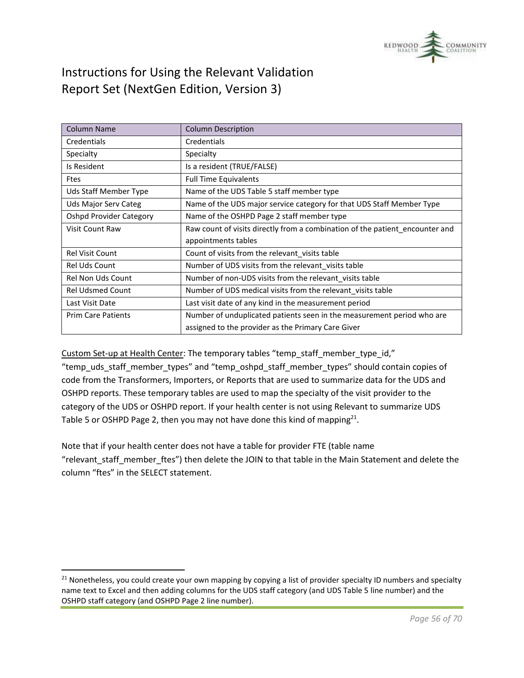

| <b>Column Name</b>             | <b>Column Description</b>                                                    |  |  |
|--------------------------------|------------------------------------------------------------------------------|--|--|
| Credentials                    | Credentials                                                                  |  |  |
| Specialty                      | Specialty                                                                    |  |  |
| Is Resident                    | Is a resident (TRUE/FALSE)                                                   |  |  |
| <b>Ftes</b>                    | <b>Full Time Equivalents</b>                                                 |  |  |
| Uds Staff Member Type          | Name of the UDS Table 5 staff member type                                    |  |  |
| Uds Major Serv Categ           | Name of the UDS major service category for that UDS Staff Member Type        |  |  |
| <b>Oshpd Provider Category</b> | Name of the OSHPD Page 2 staff member type                                   |  |  |
| Visit Count Raw                | Raw count of visits directly from a combination of the patient encounter and |  |  |
|                                | appointments tables                                                          |  |  |
| Rel Visit Count                | Count of visits from the relevant visits table                               |  |  |
| <b>Rel Uds Count</b>           | Number of UDS visits from the relevant_visits table                          |  |  |
| <b>Rel Non Uds Count</b>       | Number of non-UDS visits from the relevant visits table                      |  |  |
| <b>Rel Udsmed Count</b>        | Number of UDS medical visits from the relevant visits table                  |  |  |
| Last Visit Date                | Last visit date of any kind in the measurement period                        |  |  |
| <b>Prim Care Patients</b>      | Number of unduplicated patients seen in the measurement period who are       |  |  |
|                                | assigned to the provider as the Primary Care Giver                           |  |  |

Custom Set-up at Health Center: The temporary tables "temp\_staff\_member\_type\_id," "temp\_uds\_staff\_member\_types" and "temp\_oshpd\_staff\_member\_types" should contain copies of code from the Transformers, Importers, or Reports that are used to summarize data for the UDS and OSHPD reports. These temporary tables are used to map the specialty of the visit provider to the category of the UDS or OSHPD report. If your health center is not using Relevant to summarize UDS Table 5 or OSHPD Page 2, then you may not have done this kind of mapping<sup>21</sup>.

Note that if your health center does not have a table for provider FTE (table name "relevant staff member ftes") then delete the JOIN to that table in the Main Statement and delete the column "ftes" in the SELECT statement.

 $21$  Nonetheless, you could create your own mapping by copying a list of provider specialty ID numbers and specialty name text to Excel and then adding columns for the UDS staff category (and UDS Table 5 line number) and the OSHPD staff category (and OSHPD Page 2 line number).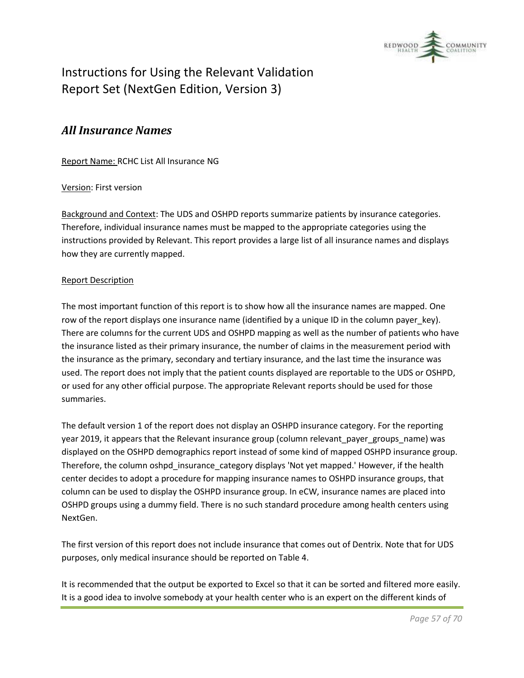

### <span id="page-56-0"></span>*All Insurance Names*

Report Name: RCHC List All Insurance NG

#### Version: First version

Background and Context: The UDS and OSHPD reports summarize patients by insurance categories. Therefore, individual insurance names must be mapped to the appropriate categories using the instructions provided by Relevant. This report provides a large list of all insurance names and displays how they are currently mapped.

#### Report Description

The most important function of this report is to show how all the insurance names are mapped. One row of the report displays one insurance name (identified by a unique ID in the column payer\_key). There are columns for the current UDS and OSHPD mapping as well as the number of patients who have the insurance listed as their primary insurance, the number of claims in the measurement period with the insurance as the primary, secondary and tertiary insurance, and the last time the insurance was used. The report does not imply that the patient counts displayed are reportable to the UDS or OSHPD, or used for any other official purpose. The appropriate Relevant reports should be used for those summaries.

The default version 1 of the report does not display an OSHPD insurance category. For the reporting year 2019, it appears that the Relevant insurance group (column relevant payer groups\_name) was displayed on the OSHPD demographics report instead of some kind of mapped OSHPD insurance group. Therefore, the column oshpd insurance category displays 'Not yet mapped.' However, if the health center decides to adopt a procedure for mapping insurance names to OSHPD insurance groups, that column can be used to display the OSHPD insurance group. In eCW, insurance names are placed into OSHPD groups using a dummy field. There is no such standard procedure among health centers using NextGen.

The first version of this report does not include insurance that comes out of Dentrix. Note that for UDS purposes, only medical insurance should be reported on Table 4.

It is recommended that the output be exported to Excel so that it can be sorted and filtered more easily. It is a good idea to involve somebody at your health center who is an expert on the different kinds of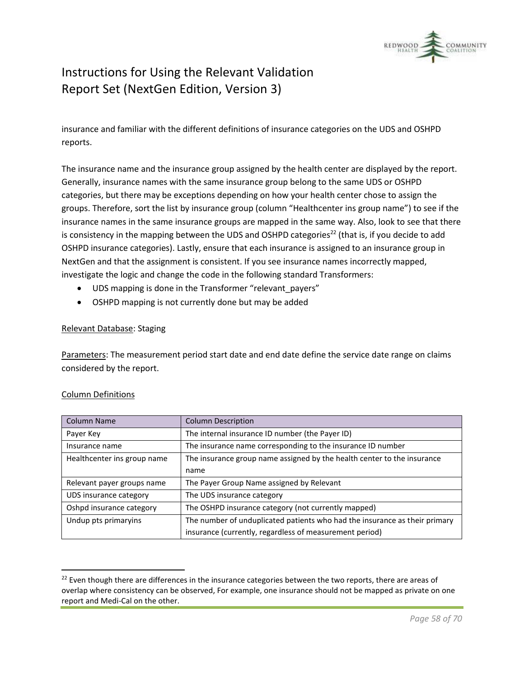

insurance and familiar with the different definitions of insurance categories on the UDS and OSHPD reports.

The insurance name and the insurance group assigned by the health center are displayed by the report. Generally, insurance names with the same insurance group belong to the same UDS or OSHPD categories, but there may be exceptions depending on how your health center chose to assign the groups. Therefore, sort the list by insurance group (column "Healthcenter ins group name") to see if the insurance names in the same insurance groups are mapped in the same way. Also, look to see that there is consistency in the mapping between the UDS and OSHPD categories<sup>22</sup> (that is, if you decide to add OSHPD insurance categories). Lastly, ensure that each insurance is assigned to an insurance group in NextGen and that the assignment is consistent. If you see insurance names incorrectly mapped, investigate the logic and change the code in the following standard Transformers:

- UDS mapping is done in the Transformer "relevant payers"
- OSHPD mapping is not currently done but may be added

#### Relevant Database: Staging

Parameters: The measurement period start date and end date define the service date range on claims considered by the report.

| <b>Column Name</b>          | <b>Column Description</b>                                                  |  |
|-----------------------------|----------------------------------------------------------------------------|--|
| Payer Key                   | The internal insurance ID number (the Payer ID)                            |  |
| Insurance name              | The insurance name corresponding to the insurance ID number                |  |
| Healthcenter ins group name | The insurance group name assigned by the health center to the insurance    |  |
|                             | name                                                                       |  |
| Relevant payer groups name  | The Payer Group Name assigned by Relevant                                  |  |
| UDS insurance category      | The UDS insurance category                                                 |  |
| Oshpd insurance category    | The OSHPD insurance category (not currently mapped)                        |  |
| Undup pts primaryins        | The number of unduplicated patients who had the insurance as their primary |  |
|                             | insurance (currently, regardless of measurement period)                    |  |

#### Column Definitions

 $22$  Even though there are differences in the insurance categories between the two reports, there are areas of overlap where consistency can be observed, For example, one insurance should not be mapped as private on one report and Medi-Cal on the other.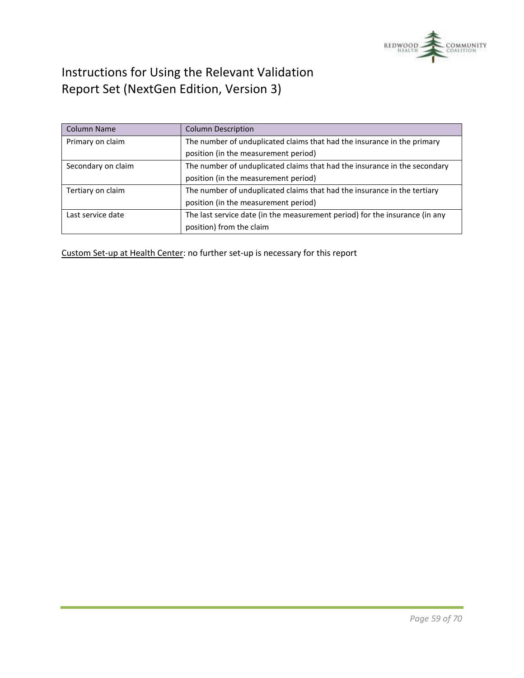

| <b>Column Name</b> | <b>Column Description</b>                                                   |  |  |  |
|--------------------|-----------------------------------------------------------------------------|--|--|--|
| Primary on claim   | The number of unduplicated claims that had the insurance in the primary     |  |  |  |
|                    | position (in the measurement period)                                        |  |  |  |
| Secondary on claim | The number of unduplicated claims that had the insurance in the secondary   |  |  |  |
|                    | position (in the measurement period)                                        |  |  |  |
| Tertiary on claim  | The number of unduplicated claims that had the insurance in the tertiary    |  |  |  |
|                    | position (in the measurement period)                                        |  |  |  |
| Last service date  | The last service date (in the measurement period) for the insurance (in any |  |  |  |
|                    | position) from the claim                                                    |  |  |  |

Custom Set-up at Health Center: no further set-up is necessary for this report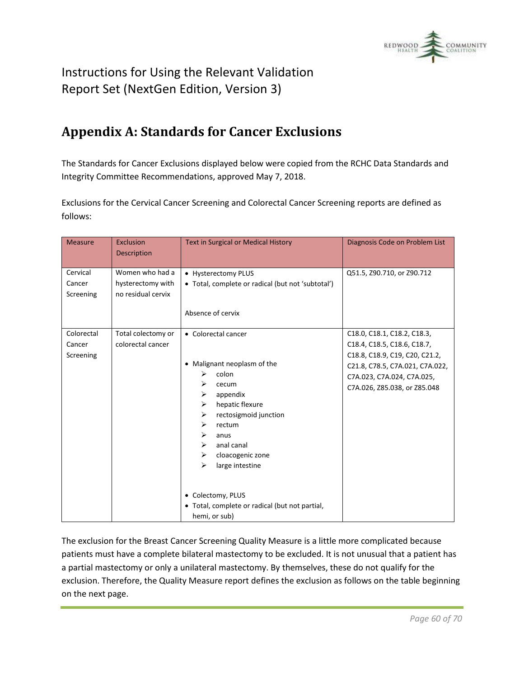

# <span id="page-59-0"></span>**Appendix A: Standards for Cancer Exclusions**

The Standards for Cancer Exclusions displayed below were copied from the RCHC Data Standards and Integrity Committee Recommendations, approved May 7, 2018.

Exclusions for the Cervical Cancer Screening and Colorectal Cancer Screening reports are defined as follows:

| <b>Measure</b>                    | <b>Exclusion</b><br><b>Description</b>                     | Text in Surgical or Medical History                                                                                                                                                                                                                                                                                                                      | Diagnosis Code on Problem List                                                                                                                                                                |
|-----------------------------------|------------------------------------------------------------|----------------------------------------------------------------------------------------------------------------------------------------------------------------------------------------------------------------------------------------------------------------------------------------------------------------------------------------------------------|-----------------------------------------------------------------------------------------------------------------------------------------------------------------------------------------------|
| Cervical<br>Cancer<br>Screening   | Women who had a<br>hysterectomy with<br>no residual cervix | • Hysterectomy PLUS<br>• Total, complete or radical (but not 'subtotal')<br>Absence of cervix                                                                                                                                                                                                                                                            | Q51.5, Z90.710, or Z90.712                                                                                                                                                                    |
| Colorectal<br>Cancer<br>Screening | Total colectomy or<br>colorectal cancer                    | • Colorectal cancer<br>Malignant neoplasm of the<br>$\bullet$<br>colon<br>⋗<br>⋗<br>cecum<br>appendix<br>➤<br>hepatic flexure<br>➤<br>rectosigmoid junction<br>⋗<br>➤<br>rectum<br>➤<br>anus<br>anal canal<br>➤<br>cloacogenic zone<br>➤<br>large intestine<br>⋗<br>• Colectomy, PLUS<br>• Total, complete or radical (but not partial,<br>hemi, or sub) | C18.0, C18.1, C18.2, C18.3,<br>C18.4, C18.5, C18.6, C18.7,<br>C18.8, C18.9, C19, C20, C21.2,<br>C21.8, C78.5, C7A.021, C7A.022,<br>C7A.023, C7A.024, C7A.025,<br>C7A.026, Z85.038, or Z85.048 |

The exclusion for the Breast Cancer Screening Quality Measure is a little more complicated because patients must have a complete bilateral mastectomy to be excluded. It is not unusual that a patient has a partial mastectomy or only a unilateral mastectomy. By themselves, these do not qualify for the exclusion. Therefore, the Quality Measure report defines the exclusion as follows on the table beginning on the next page.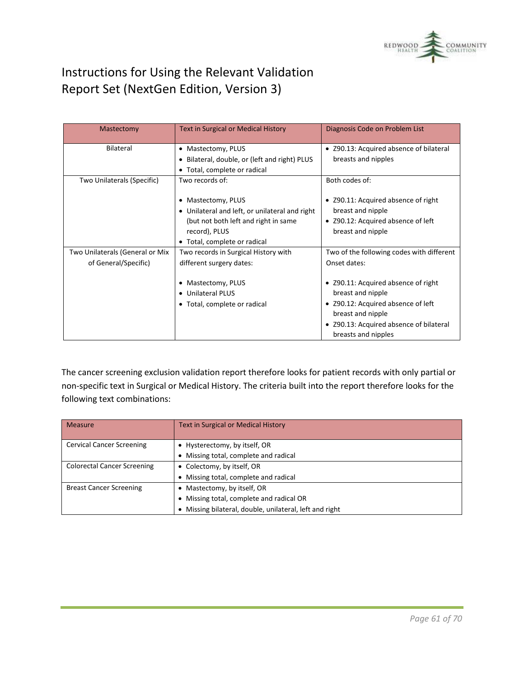

| Mastectomy                      | <b>Text in Surgical or Medical History</b>     | Diagnosis Code on Problem List            |  |
|---------------------------------|------------------------------------------------|-------------------------------------------|--|
| Bilateral                       | • Mastectomy, PLUS                             | • Z90.13: Acquired absence of bilateral   |  |
|                                 | • Bilateral, double, or (left and right) PLUS  | breasts and nipples                       |  |
|                                 | • Total, complete or radical                   |                                           |  |
| Two Unilaterals (Specific)      | Two records of:                                | Both codes of:                            |  |
|                                 | • Mastectomy, PLUS                             | • Z90.11: Acquired absence of right       |  |
|                                 | • Unilateral and left, or unilateral and right | breast and nipple                         |  |
|                                 | (but not both left and right in same           | • Z90.12: Acquired absence of left        |  |
|                                 | record), PLUS                                  | breast and nipple                         |  |
|                                 | • Total, complete or radical                   |                                           |  |
| Two Unilaterals (General or Mix | Two records in Surgical History with           | Two of the following codes with different |  |
| of General/Specific)            | different surgery dates:                       | Onset dates:                              |  |
|                                 | Mastectomy, PLUS                               | • Z90.11: Acquired absence of right       |  |
|                                 | • Unilateral PLUS                              | breast and nipple                         |  |
|                                 | • Total, complete or radical                   | • Z90.12: Acquired absence of left        |  |
|                                 |                                                | breast and nipple                         |  |
|                                 |                                                | • Z90.13: Acquired absence of bilateral   |  |
|                                 |                                                | breasts and nipples                       |  |

The cancer screening exclusion validation report therefore looks for patient records with only partial or non-specific text in Surgical or Medical History. The criteria built into the report therefore looks for the following text combinations:

| <b>Measure</b>                     | Text in Surgical or Medical History                     |  |  |  |
|------------------------------------|---------------------------------------------------------|--|--|--|
|                                    |                                                         |  |  |  |
| <b>Cervical Cancer Screening</b>   | • Hysterectomy, by itself, OR                           |  |  |  |
|                                    | • Missing total, complete and radical                   |  |  |  |
| <b>Colorectal Cancer Screening</b> | • Colectomy, by itself, OR                              |  |  |  |
|                                    | Missing total, complete and radical                     |  |  |  |
| <b>Breast Cancer Screening</b>     | • Mastectomy, by itself, OR                             |  |  |  |
|                                    | • Missing total, complete and radical OR                |  |  |  |
|                                    | • Missing bilateral, double, unilateral, left and right |  |  |  |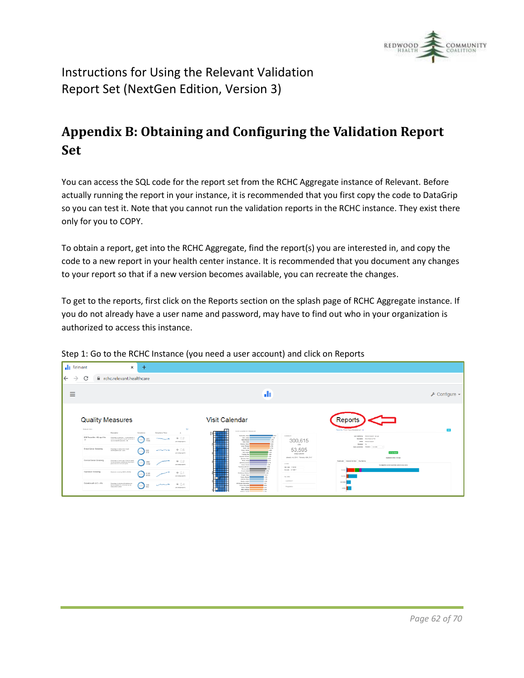

# <span id="page-61-0"></span>**Appendix B: Obtaining and Configuring the Validation Report Set**

You can access the SQL code for the report set from the RCHC Aggregate instance of Relevant. Before actually running the report in your instance, it is recommended that you first copy the code to DataGrip so you can test it. Note that you cannot run the validation reports in the RCHC instance. They exist there only for you to COPY.

To obtain a report, get into the RCHC Aggregate, find the report(s) you are interested in, and copy the code to a new report in your health center instance. It is recommended that you document any changes to your report so that if a new version becomes available, you can recreate the changes.

To get to the reports, first click on the Reports section on the splash page of RCHC Aggregate instance. If you do not already have a user name and password, may have to find out who in your organization is authorized to access this instance.



Step 1: Go to the RCHC Instance (you need a user account) and click on Reports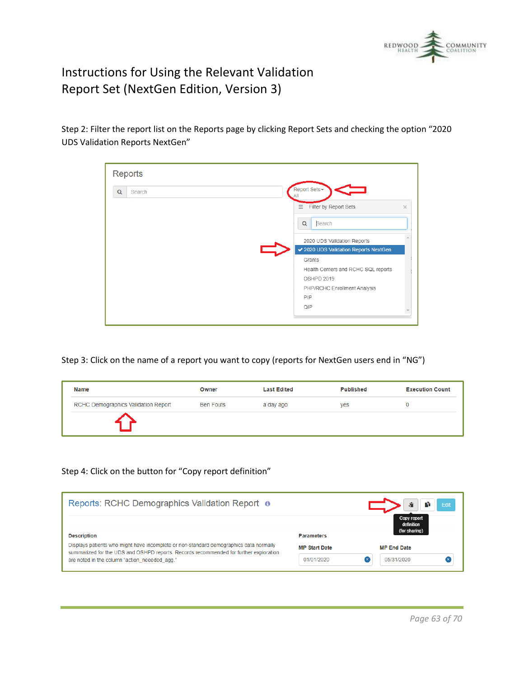

Step 2: Filter the report list on the Reports page by clicking Report Sets and checking the option "2020 UDS Validation Reports NextGen"

| <b>Reports</b> |                                               |
|----------------|-----------------------------------------------|
| Q<br>Search    | Report Sets -                                 |
|                | Filter by Report Sets<br>$\equiv$<br>$\times$ |
|                | Search<br>$\alpha$                            |
|                | 2020 UDS Validation Reports                   |
|                | ✔ 2020 UDS Validation Reports NextGen         |
|                | Grants                                        |
|                | Health Centers and RCHC SQL reports           |
|                | OSHPD 2019                                    |
|                | PHP/RCHC Enrollment Analysis                  |
|                | PIP                                           |
|                | QIP                                           |
|                |                                               |

Step 3: Click on the name of a report you want to copy (reports for NextGen users end in "NG")

| <b>Name</b>                         | Owner            | <b>Last Edited</b> | <b>Published</b> | <b>Execution Count</b> |
|-------------------------------------|------------------|--------------------|------------------|------------------------|
| RCHC Demographics Validation Report | <b>Ben Fouts</b> | a day ago          | yes              | 0                      |
|                                     |                  |                    |                  |                        |

#### Step 4: Click on the button for "Copy report definition"

| Reports: RCHC Demographics Validation Report o                                                                                                                                  |                      | <b>SP</b><br>Edit<br>I۴                    |
|---------------------------------------------------------------------------------------------------------------------------------------------------------------------------------|----------------------|--------------------------------------------|
| <b>Description</b>                                                                                                                                                              | <b>Parameters</b>    | Copy report<br>definition<br>(for sharing) |
| Displays patients who might have incomplete or non-standard demographics data normally<br>summarized for the UDS and OSHPD reports. Records recommended for further exploration | <b>MP Start Date</b> | <b>MP End Date</b>                         |
| are noted in the column "action neeeded agg."                                                                                                                                   | 01/01/2020           | 05/31/2020                                 |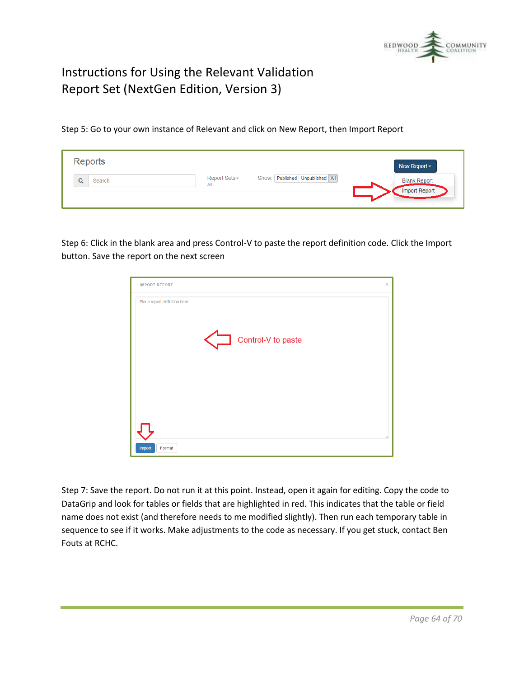

Step 5: Go to your own instance of Relevant and click on New Report, then Import Report

| Reports |                     |                                 | New Report $\sim$                    |
|---------|---------------------|---------------------------------|--------------------------------------|
| Search  | Report Sets-<br>All | Show: Published Unpublished All | <b>Blank Report</b><br>Import Report |

Step 6: Click in the blank area and press Control-V to paste the report definition code. Click the Import button. Save the report on the next screen

| <b>IMPORT REPORT</b>                               | $\times$ |
|----------------------------------------------------|----------|
| Place report definition here<br>Control-V to paste |          |
| Import<br>Format                                   |          |

Step 7: Save the report. Do not run it at this point. Instead, open it again for editing. Copy the code to DataGrip and look for tables or fields that are highlighted in red. This indicates that the table or field name does not exist (and therefore needs to me modified slightly). Then run each temporary table in sequence to see if it works. Make adjustments to the code as necessary. If you get stuck, contact Ben Fouts at RCHC.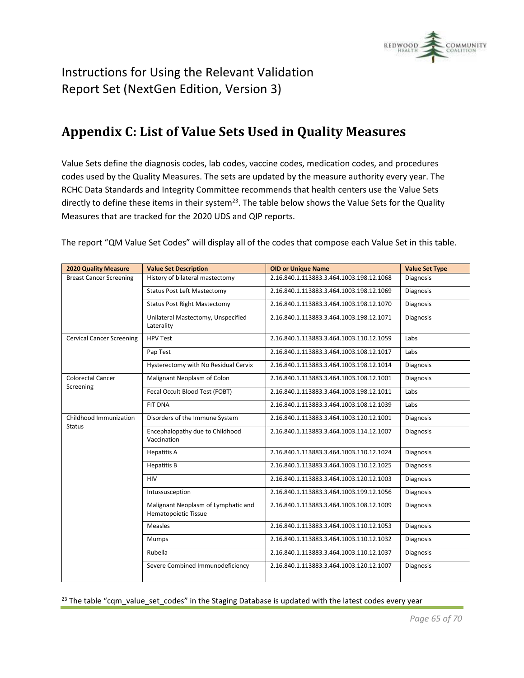

# <span id="page-64-0"></span>**Appendix C: List of Value Sets Used in Quality Measures**

Value Sets define the diagnosis codes, lab codes, vaccine codes, medication codes, and procedures codes used by the Quality Measures. The sets are updated by the measure authority every year. The RCHC Data Standards and Integrity Committee recommends that health centers use the Value Sets directly to define these items in their system<sup>23</sup>. The table below shows the Value Sets for the Quality Measures that are tracked for the 2020 UDS and QIP reports.

| <b>2020 Quality Measure</b>      | <b>Value Set Description</b>                                | <b>OID or Unique Name</b>                | <b>Value Set Type</b> |
|----------------------------------|-------------------------------------------------------------|------------------------------------------|-----------------------|
| <b>Breast Cancer Screening</b>   | History of bilateral mastectomy                             | 2.16.840.1.113883.3.464.1003.198.12.1068 | Diagnosis             |
|                                  | <b>Status Post Left Mastectomy</b>                          | 2.16.840.1.113883.3.464.1003.198.12.1069 | <b>Diagnosis</b>      |
|                                  | <b>Status Post Right Mastectomy</b>                         | 2.16.840.1.113883.3.464.1003.198.12.1070 | Diagnosis             |
|                                  | Unilateral Mastectomy, Unspecified<br>Laterality            | 2.16.840.1.113883.3.464.1003.198.12.1071 | <b>Diagnosis</b>      |
| <b>Cervical Cancer Screening</b> | <b>HPV Test</b>                                             | 2.16.840.1.113883.3.464.1003.110.12.1059 | Labs                  |
|                                  | Pap Test                                                    | 2.16.840.1.113883.3.464.1003.108.12.1017 | Labs                  |
|                                  | Hysterectomy with No Residual Cervix                        | 2.16.840.1.113883.3.464.1003.198.12.1014 | Diagnosis             |
| <b>Colorectal Cancer</b>         | Malignant Neoplasm of Colon                                 | 2.16.840.1.113883.3.464.1003.108.12.1001 | Diagnosis             |
| Screening                        | Fecal Occult Blood Test (FOBT)                              | 2.16.840.1.113883.3.464.1003.198.12.1011 | Labs                  |
|                                  | <b>FIT DNA</b>                                              | 2.16.840.1.113883.3.464.1003.108.12.1039 | Labs                  |
| Childhood Immunization<br>Status | Disorders of the Immune System                              | 2.16.840.1.113883.3.464.1003.120.12.1001 | Diagnosis             |
|                                  | Encephalopathy due to Childhood<br>Vaccination              | 2.16.840.1.113883.3.464.1003.114.12.1007 | <b>Diagnosis</b>      |
|                                  | <b>Hepatitis A</b>                                          | 2.16.840.1.113883.3.464.1003.110.12.1024 | Diagnosis             |
|                                  | <b>Hepatitis B</b>                                          | 2.16.840.1.113883.3.464.1003.110.12.1025 | Diagnosis             |
|                                  | <b>HIV</b>                                                  | 2.16.840.1.113883.3.464.1003.120.12.1003 | <b>Diagnosis</b>      |
|                                  | Intussusception                                             | 2.16.840.1.113883.3.464.1003.199.12.1056 | Diagnosis             |
|                                  | Malignant Neoplasm of Lymphatic and<br>Hematopoietic Tissue | 2.16.840.1.113883.3.464.1003.108.12.1009 | <b>Diagnosis</b>      |
|                                  | <b>Measles</b>                                              | 2.16.840.1.113883.3.464.1003.110.12.1053 | <b>Diagnosis</b>      |
|                                  | Mumps                                                       | 2.16.840.1.113883.3.464.1003.110.12.1032 | Diagnosis             |
|                                  | Rubella                                                     | 2.16.840.1.113883.3.464.1003.110.12.1037 | Diagnosis             |
|                                  | Severe Combined Immunodeficiency                            | 2.16.840.1.113883.3.464.1003.120.12.1007 | Diagnosis             |

The report "QM Value Set Codes" will display all of the codes that compose each Value Set in this table.

<sup>23</sup> The table "cqm\_value\_set\_codes" in the Staging Database is updated with the latest codes every year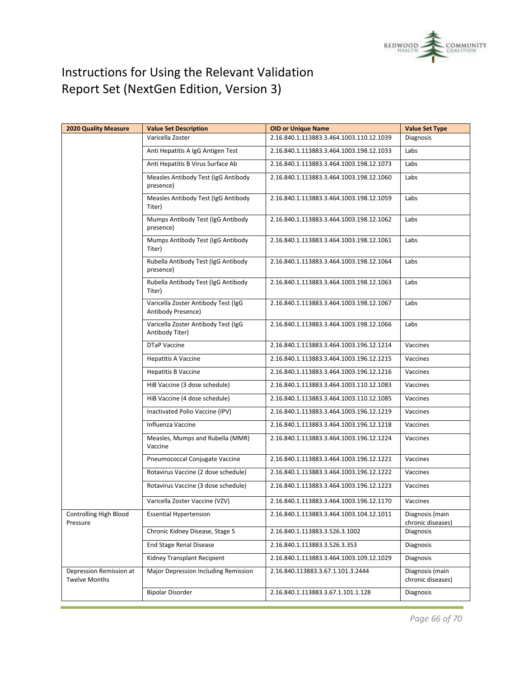

| <b>2020 Quality Measure</b>                     | <b>Value Set Description</b>                              | <b>OID or Unique Name</b>                | <b>Value Set Type</b>                |
|-------------------------------------------------|-----------------------------------------------------------|------------------------------------------|--------------------------------------|
|                                                 | Varicella Zoster                                          | 2.16.840.1.113883.3.464.1003.110.12.1039 | Diagnosis                            |
|                                                 | Anti Hepatitis A IgG Antigen Test                         | 2.16.840.1.113883.3.464.1003.198.12.1033 | Labs                                 |
|                                                 | Anti Hepatitis B Virus Surface Ab                         | 2.16.840.1.113883.3.464.1003.198.12.1073 | Labs                                 |
|                                                 | Measles Antibody Test (IgG Antibody<br>presence)          | 2.16.840.1.113883.3.464.1003.198.12.1060 | Labs                                 |
|                                                 | Measles Antibody Test (IgG Antibody<br>Titer)             | 2.16.840.1.113883.3.464.1003.198.12.1059 | Labs                                 |
|                                                 | Mumps Antibody Test (IgG Antibody<br>presence)            | 2.16.840.1.113883.3.464.1003.198.12.1062 | Labs                                 |
|                                                 | Mumps Antibody Test (IgG Antibody<br>Titer)               | 2.16.840.1.113883.3.464.1003.198.12.1061 | Labs                                 |
|                                                 | Rubella Antibody Test (IgG Antibody<br>presence)          | 2.16.840.1.113883.3.464.1003.198.12.1064 | Labs                                 |
|                                                 | Rubella Antibody Test (IgG Antibody<br>Titer)             | 2.16.840.1.113883.3.464.1003.198.12.1063 | Labs                                 |
|                                                 | Varicella Zoster Antibody Test (IgG<br>Antibody Presence) | 2.16.840.1.113883.3.464.1003.198.12.1067 | Labs                                 |
|                                                 | Varicella Zoster Antibody Test (IgG<br>Antibody Titer)    | 2.16.840.1.113883.3.464.1003.198.12.1066 | Labs                                 |
|                                                 | DTaP Vaccine                                              | 2.16.840.1.113883.3.464.1003.196.12.1214 | Vaccines                             |
|                                                 | <b>Hepatitis A Vaccine</b>                                | 2.16.840.1.113883.3.464.1003.196.12.1215 | Vaccines                             |
|                                                 | <b>Hepatitis B Vaccine</b>                                | 2.16.840.1.113883.3.464.1003.196.12.1216 | Vaccines                             |
|                                                 | HiB Vaccine (3 dose schedule)                             | 2.16.840.1.113883.3.464.1003.110.12.1083 | Vaccines                             |
|                                                 | HiB Vaccine (4 dose schedule)                             | 2.16.840.1.113883.3.464.1003.110.12.1085 | Vaccines                             |
|                                                 | Inactivated Polio Vaccine (IPV)                           | 2.16.840.1.113883.3.464.1003.196.12.1219 | Vaccines                             |
|                                                 | Influenza Vaccine                                         | 2.16.840.1.113883.3.464.1003.196.12.1218 | Vaccines                             |
|                                                 | Measles, Mumps and Rubella (MMR)<br>Vaccine               | 2.16.840.1.113883.3.464.1003.196.12.1224 | Vaccines                             |
|                                                 | Pneumococcal Conjugate Vaccine                            | 2.16.840.1.113883.3.464.1003.196.12.1221 | Vaccines                             |
|                                                 | Rotavirus Vaccine (2 dose schedule)                       | 2.16.840.1.113883.3.464.1003.196.12.1222 | Vaccines                             |
|                                                 | Rotavirus Vaccine (3 dose schedule)                       | 2.16.840.1.113883.3.464.1003.196.12.1223 | Vaccines                             |
|                                                 | Varicella Zoster Vaccine (VZV)                            | 2.16.840.1.113883.3.464.1003.196.12.1170 | Vaccines                             |
| Controlling High Blood<br>Pressure              | <b>Essential Hypertension</b>                             | 2.16.840.1.113883.3.464.1003.104.12.1011 | Diagnosis (main<br>chronic diseases) |
|                                                 | Chronic Kidney Disease, Stage 5                           | 2.16.840.1.113883.3.526.3.1002           | Diagnosis                            |
|                                                 | End Stage Renal Disease                                   | 2.16.840.1.113883.3.526.3.353            | Diagnosis                            |
|                                                 | Kidney Transplant Recipient                               | 2.16.840.1.113883.3.464.1003.109.12.1029 | <b>Diagnosis</b>                     |
| Depression Remission at<br><b>Twelve Months</b> | Major Depression Including Remission                      | 2.16.840.113883.3.67.1.101.3.2444        | Diagnosis (main<br>chronic diseases) |
|                                                 | <b>Bipolar Disorder</b>                                   | 2.16.840.1.113883.3.67.1.101.1.128       | Diagnosis                            |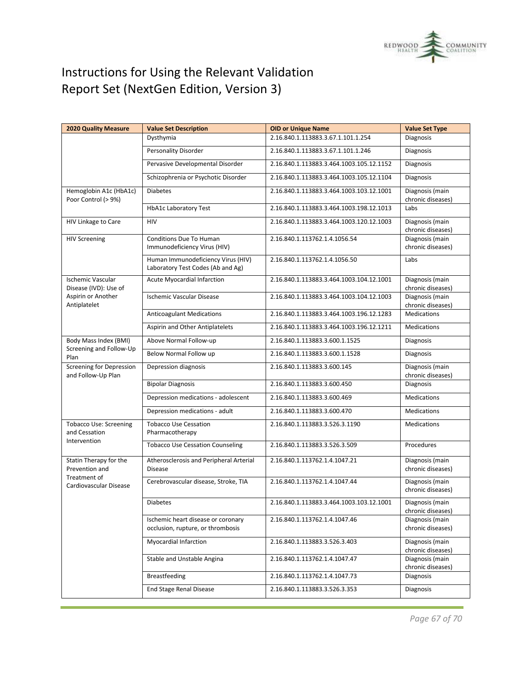

| <b>2020 Quality Measure</b>                           | <b>Value Set Description</b>                                            | <b>OID or Unique Name</b>                | <b>Value Set Type</b>                |
|-------------------------------------------------------|-------------------------------------------------------------------------|------------------------------------------|--------------------------------------|
|                                                       | Dysthymia                                                               | 2.16.840.1.113883.3.67.1.101.1.254       | Diagnosis                            |
|                                                       | Personality Disorder                                                    | 2.16.840.1.113883.3.67.1.101.1.246       | Diagnosis                            |
|                                                       | Pervasive Developmental Disorder                                        | 2.16.840.1.113883.3.464.1003.105.12.1152 | Diagnosis                            |
|                                                       | Schizophrenia or Psychotic Disorder                                     | 2.16.840.1.113883.3.464.1003.105.12.1104 | Diagnosis                            |
| Hemoglobin A1c (HbA1c)<br>Poor Control (> 9%)         | <b>Diabetes</b>                                                         | 2.16.840.1.113883.3.464.1003.103.12.1001 | Diagnosis (main<br>chronic diseases) |
|                                                       | <b>HbA1c Laboratory Test</b>                                            | 2.16.840.1.113883.3.464.1003.198.12.1013 | Labs                                 |
| HIV Linkage to Care                                   | HIV                                                                     | 2.16.840.1.113883.3.464.1003.120.12.1003 | Diagnosis (main<br>chronic diseases) |
| <b>HIV Screening</b>                                  | Conditions Due To Human<br>Immunodeficiency Virus (HIV)                 | 2.16.840.1.113762.1.4.1056.54            | Diagnosis (main<br>chronic diseases) |
|                                                       | Human Immunodeficiency Virus (HIV)<br>Laboratory Test Codes (Ab and Ag) | 2.16.840.1.113762.1.4.1056.50            | Labs                                 |
| <b>Ischemic Vascular</b><br>Disease (IVD): Use of     | <b>Acute Myocardial Infarction</b>                                      | 2.16.840.1.113883.3.464.1003.104.12.1001 | Diagnosis (main<br>chronic diseases) |
| Aspirin or Another<br>Antiplatelet                    | Ischemic Vascular Disease                                               | 2.16.840.1.113883.3.464.1003.104.12.1003 | Diagnosis (main<br>chronic diseases) |
|                                                       | <b>Anticoagulant Medications</b>                                        | 2.16.840.1.113883.3.464.1003.196.12.1283 | <b>Medications</b>                   |
|                                                       | Aspirin and Other Antiplatelets                                         | 2.16.840.1.113883.3.464.1003.196.12.1211 | <b>Medications</b>                   |
| Body Mass Index (BMI)                                 | Above Normal Follow-up                                                  | 2.16.840.1.113883.3.600.1.1525           | Diagnosis                            |
| Screening and Follow-Up<br>Plan                       | Below Normal Follow up                                                  | 2.16.840.1.113883.3.600.1.1528           | Diagnosis                            |
| <b>Screening for Depression</b><br>and Follow-Up Plan | Depression diagnosis                                                    | 2.16.840.1.113883.3.600.145              | Diagnosis (main<br>chronic diseases) |
|                                                       | <b>Bipolar Diagnosis</b>                                                | 2.16.840.1.113883.3.600.450              | Diagnosis                            |
|                                                       | Depression medications - adolescent                                     | 2.16.840.1.113883.3.600.469              | <b>Medications</b>                   |
|                                                       | Depression medications - adult                                          | 2.16.840.1.113883.3.600.470              | <b>Medications</b>                   |
| <b>Tobacco Use: Screening</b><br>and Cessation        | <b>Tobacco Use Cessation</b><br>Pharmacotherapy                         | 2.16.840.1.113883.3.526.3.1190           | <b>Medications</b>                   |
| Intervention                                          | <b>Tobacco Use Cessation Counseling</b>                                 | 2.16.840.1.113883.3.526.3.509            | Procedures                           |
| Statin Therapy for the<br>Prevention and              | Atherosclerosis and Peripheral Arterial<br><b>Disease</b>               | 2.16.840.1.113762.1.4.1047.21            | Diagnosis (main<br>chronic diseases) |
| Treatment of<br>Cardiovascular Disease                | Cerebrovascular disease, Stroke, TIA                                    | 2.16.840.1.113762.1.4.1047.44            | Diagnosis (main<br>chronic diseases) |
|                                                       | <b>Diabetes</b>                                                         | 2.16.840.1.113883.3.464.1003.103.12.1001 | Diagnosis (main<br>chronic diseases) |
|                                                       | Ischemic heart disease or coronary<br>occlusion, rupture, or thrombosis | 2.16.840.1.113762.1.4.1047.46            | Diagnosis (main<br>chronic diseases) |
|                                                       | Myocardial Infarction                                                   | 2.16.840.1.113883.3.526.3.403            | Diagnosis (main<br>chronic diseases) |
|                                                       | Stable and Unstable Angina                                              | 2.16.840.1.113762.1.4.1047.47            | Diagnosis (main<br>chronic diseases) |
|                                                       | <b>Breastfeeding</b>                                                    | 2.16.840.1.113762.1.4.1047.73            | Diagnosis                            |
|                                                       | <b>End Stage Renal Disease</b>                                          | 2.16.840.1.113883.3.526.3.353            | <b>Diagnosis</b>                     |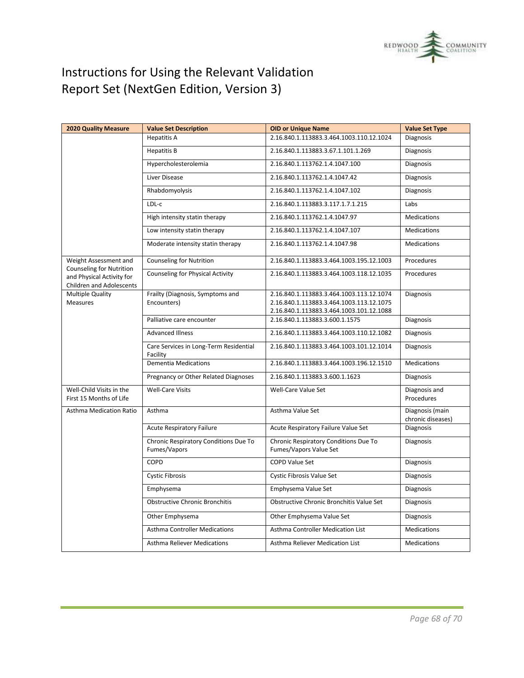

| <b>2020 Quality Measure</b>                                                                     | <b>Value Set Description</b>                          | <b>OID or Unique Name</b>                                                                                                        | <b>Value Set Type</b>                |
|-------------------------------------------------------------------------------------------------|-------------------------------------------------------|----------------------------------------------------------------------------------------------------------------------------------|--------------------------------------|
|                                                                                                 | <b>Hepatitis A</b>                                    | 2.16.840.1.113883.3.464.1003.110.12.1024                                                                                         | <b>Diagnosis</b>                     |
|                                                                                                 | <b>Hepatitis B</b>                                    | 2.16.840.1.113883.3.67.1.101.1.269                                                                                               | Diagnosis                            |
|                                                                                                 | Hypercholesterolemia                                  | 2.16.840.1.113762.1.4.1047.100                                                                                                   | Diagnosis                            |
|                                                                                                 | Liver Disease                                         | 2.16.840.1.113762.1.4.1047.42                                                                                                    | Diagnosis                            |
|                                                                                                 | Rhabdomyolysis                                        | 2.16.840.1.113762.1.4.1047.102                                                                                                   | <b>Diagnosis</b>                     |
|                                                                                                 | LDL-c                                                 | 2.16.840.1.113883.3.117.1.7.1.215                                                                                                | Labs                                 |
|                                                                                                 | High intensity statin therapy                         | 2.16.840.1.113762.1.4.1047.97                                                                                                    | <b>Medications</b>                   |
|                                                                                                 | Low intensity statin therapy                          | 2.16.840.1.113762.1.4.1047.107                                                                                                   | <b>Medications</b>                   |
|                                                                                                 | Moderate intensity statin therapy                     | 2.16.840.1.113762.1.4.1047.98                                                                                                    | <b>Medications</b>                   |
| Weight Assessment and                                                                           | <b>Counseling for Nutrition</b>                       | 2.16.840.1.113883.3.464.1003.195.12.1003                                                                                         | Procedures                           |
| <b>Counseling for Nutrition</b><br>and Physical Activity for<br><b>Children and Adolescents</b> | <b>Counseling for Physical Activity</b>               | 2.16.840.1.113883.3.464.1003.118.12.1035                                                                                         | Procedures                           |
| <b>Multiple Quality</b><br>Measures                                                             | Frailty (Diagnosis, Symptoms and<br>Encounters)       | 2.16.840.1.113883.3.464.1003.113.12.1074<br>2.16.840.1.113883.3.464.1003.113.12.1075<br>2.16.840.1.113883.3.464.1003.101.12.1088 | Diagnosis                            |
|                                                                                                 | Palliative care encounter                             | 2.16.840.1.113883.3.600.1.1575                                                                                                   | Diagnosis                            |
|                                                                                                 | <b>Advanced Illness</b>                               | 2.16.840.1.113883.3.464.1003.110.12.1082                                                                                         | Diagnosis                            |
|                                                                                                 | Care Services in Long-Term Residential<br>Facility    | 2.16.840.1.113883.3.464.1003.101.12.1014                                                                                         | Diagnosis                            |
|                                                                                                 | <b>Dementia Medications</b>                           | 2.16.840.1.113883.3.464.1003.196.12.1510                                                                                         | <b>Medications</b>                   |
|                                                                                                 | Pregnancy or Other Related Diagnoses                  | 2.16.840.1.113883.3.600.1.1623                                                                                                   | Diagnosis                            |
| Well-Child Visits in the<br>First 15 Months of Life                                             | <b>Well-Care Visits</b>                               | Well-Care Value Set                                                                                                              | Diagnosis and<br>Procedures          |
| <b>Asthma Medication Ratio</b>                                                                  | Asthma                                                | Asthma Value Set                                                                                                                 | Diagnosis (main<br>chronic diseases) |
|                                                                                                 | <b>Acute Respiratory Failure</b>                      | Acute Respiratory Failure Value Set                                                                                              | Diagnosis                            |
|                                                                                                 | Chronic Respiratory Conditions Due To<br>Fumes/Vapors | Chronic Respiratory Conditions Due To<br>Fumes/Vapors Value Set                                                                  | <b>Diagnosis</b>                     |
|                                                                                                 | COPD                                                  | <b>COPD Value Set</b>                                                                                                            | Diagnosis                            |
|                                                                                                 | <b>Cystic Fibrosis</b>                                | Cystic Fibrosis Value Set                                                                                                        | Diagnosis                            |
|                                                                                                 | Emphysema                                             | Emphysema Value Set                                                                                                              | Diagnosis                            |
|                                                                                                 | <b>Obstructive Chronic Bronchitis</b>                 | Obstructive Chronic Bronchitis Value Set                                                                                         | Diagnosis                            |
|                                                                                                 | Other Emphysema                                       | Other Emphysema Value Set                                                                                                        | Diagnosis                            |
|                                                                                                 | <b>Asthma Controller Medications</b>                  | <b>Asthma Controller Medication List</b>                                                                                         | <b>Medications</b>                   |
|                                                                                                 | <b>Asthma Reliever Medications</b>                    | Asthma Reliever Medication List                                                                                                  | <b>Medications</b>                   |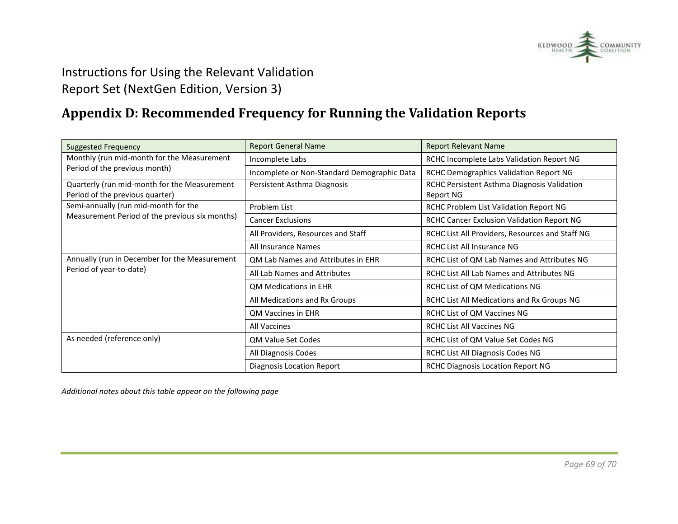

# **Appendix D: Recommended Frequency for Running the Validation Reports**

<span id="page-68-0"></span>

| <b>Suggested Frequency</b>                                                      | <b>Report General Name</b>                  | <b>Report Relevant Name</b>                              |
|---------------------------------------------------------------------------------|---------------------------------------------|----------------------------------------------------------|
| Monthly (run mid-month for the Measurement                                      | Incomplete Labs                             | RCHC Incomplete Labs Validation Report NG                |
| Period of the previous month)                                                   | Incomplete or Non-Standard Demographic Data | RCHC Demographics Validation Report NG                   |
| Quarterly (run mid-month for the Measurement<br>Period of the previous quarter) | Persistent Asthma Diagnosis                 | RCHC Persistent Asthma Diagnosis Validation<br>Report NG |
| Semi-annually (run mid-month for the                                            | Problem List                                | RCHC Problem List Validation Report NG                   |
| Measurement Period of the previous six months)                                  | <b>Cancer Exclusions</b>                    | RCHC Cancer Exclusion Validation Report NG               |
|                                                                                 | All Providers, Resources and Staff          | RCHC List All Providers, Resources and Staff NG          |
|                                                                                 | All Insurance Names                         | RCHC List All Insurance NG                               |
| Annually (run in December for the Measurement<br>Period of year-to-date)        | QM Lab Names and Attributes in EHR          | RCHC List of QM Lab Names and Attributes NG              |
|                                                                                 | All Lab Names and Attributes                | RCHC List All Lab Names and Attributes NG                |
|                                                                                 | <b>QM Medications in EHR</b>                | RCHC List of QM Medications NG                           |
|                                                                                 | All Medications and Rx Groups               | RCHC List All Medications and Rx Groups NG               |
|                                                                                 | QM Vaccines in EHR                          | RCHC List of QM Vaccines NG                              |
|                                                                                 | All Vaccines                                | <b>RCHC List All Vaccines NG</b>                         |
| As needed (reference only)                                                      | <b>QM Value Set Codes</b>                   | RCHC List of QM Value Set Codes NG                       |
|                                                                                 | All Diagnosis Codes                         | RCHC List All Diagnosis Codes NG                         |
|                                                                                 | <b>Diagnosis Location Report</b>            | <b>RCHC Diagnosis Location Report NG</b>                 |

*Additional notes about this table appear on the following page*